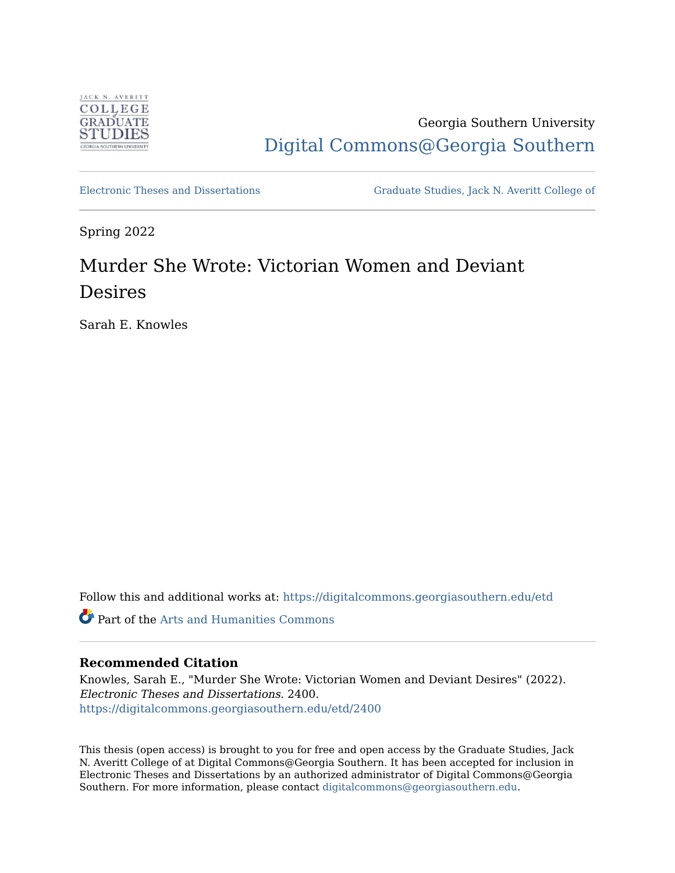

## Georgia Southern University [Digital Commons@Georgia Southern](https://digitalcommons.georgiasouthern.edu/)

[Electronic Theses and Dissertations](https://digitalcommons.georgiasouthern.edu/etd) [Graduate Studies, Jack N. Averitt College of](https://digitalcommons.georgiasouthern.edu/cogs) 

Spring 2022

# Murder She Wrote: Victorian Women and Deviant Desires

Sarah E. Knowles

Follow this and additional works at: [https://digitalcommons.georgiasouthern.edu/etd](https://digitalcommons.georgiasouthern.edu/etd?utm_source=digitalcommons.georgiasouthern.edu%2Fetd%2F2400&utm_medium=PDF&utm_campaign=PDFCoverPages) 

Part of the [Arts and Humanities Commons](https://network.bepress.com/hgg/discipline/438?utm_source=digitalcommons.georgiasouthern.edu%2Fetd%2F2400&utm_medium=PDF&utm_campaign=PDFCoverPages) 

#### **Recommended Citation**

Knowles, Sarah E., "Murder She Wrote: Victorian Women and Deviant Desires" (2022). Electronic Theses and Dissertations. 2400. [https://digitalcommons.georgiasouthern.edu/etd/2400](https://digitalcommons.georgiasouthern.edu/etd/2400?utm_source=digitalcommons.georgiasouthern.edu%2Fetd%2F2400&utm_medium=PDF&utm_campaign=PDFCoverPages) 

This thesis (open access) is brought to you for free and open access by the Graduate Studies, Jack N. Averitt College of at Digital Commons@Georgia Southern. It has been accepted for inclusion in Electronic Theses and Dissertations by an authorized administrator of Digital Commons@Georgia Southern. For more information, please contact [digitalcommons@georgiasouthern.edu](mailto:digitalcommons@georgiasouthern.edu).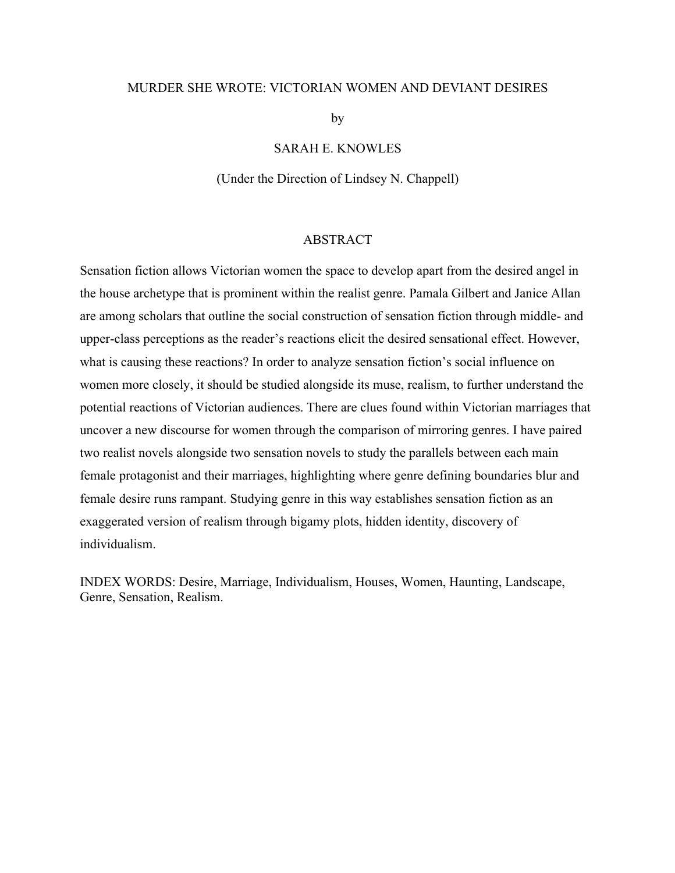#### MURDER SHE WROTE: VICTORIAN WOMEN AND DEVIANT DESIRES

by

SARAH E. KNOWLES

(Under the Direction of Lindsey N. Chappell)

#### ABSTRACT

Sensation fiction allows Victorian women the space to develop apart from the desired angel in the house archetype that is prominent within the realist genre. Pamala Gilbert and Janice Allan are among scholars that outline the social construction of sensation fiction through middle- and upper-class perceptions as the reader's reactions elicit the desired sensational effect. However, what is causing these reactions? In order to analyze sensation fiction's social influence on women more closely, it should be studied alongside its muse, realism, to further understand the potential reactions of Victorian audiences. There are clues found within Victorian marriages that uncover a new discourse for women through the comparison of mirroring genres. I have paired two realist novels alongside two sensation novels to study the parallels between each main female protagonist and their marriages, highlighting where genre defining boundaries blur and female desire runs rampant. Studying genre in this way establishes sensation fiction as an exaggerated version of realism through bigamy plots, hidden identity, discovery of individualism.

INDEX WORDS: Desire, Marriage, Individualism, Houses, Women, Haunting, Landscape, Genre, Sensation, Realism.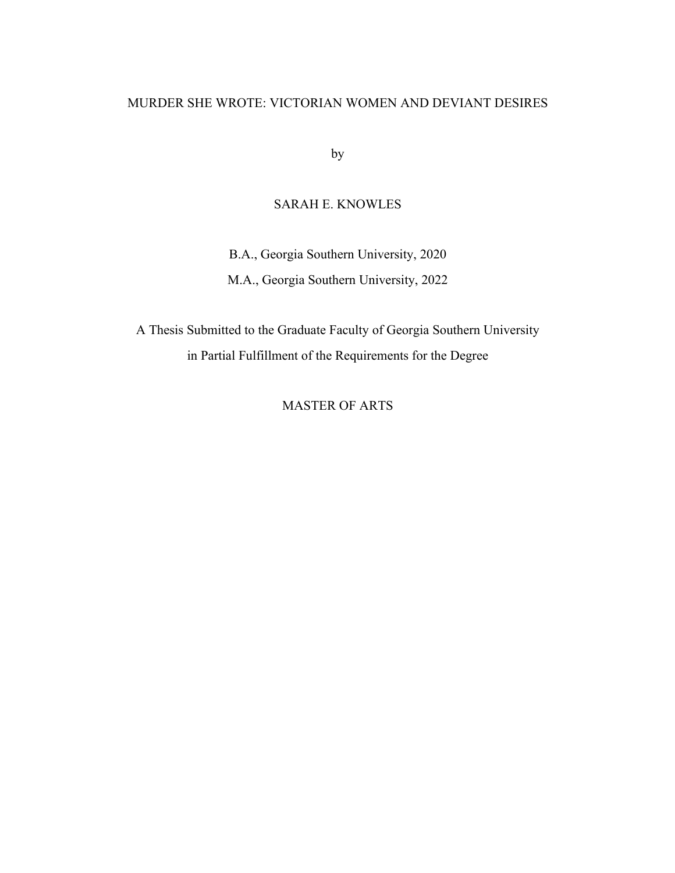#### MURDER SHE WROTE: VICTORIAN WOMEN AND DEVIANT DESIRES

by

### SARAH E. KNOWLES

B.A., Georgia Southern University, 2020 M.A., Georgia Southern University, 2022

A Thesis Submitted to the Graduate Faculty of Georgia Southern University in Partial Fulfillment of the Requirements for the Degree

MASTER OF ARTS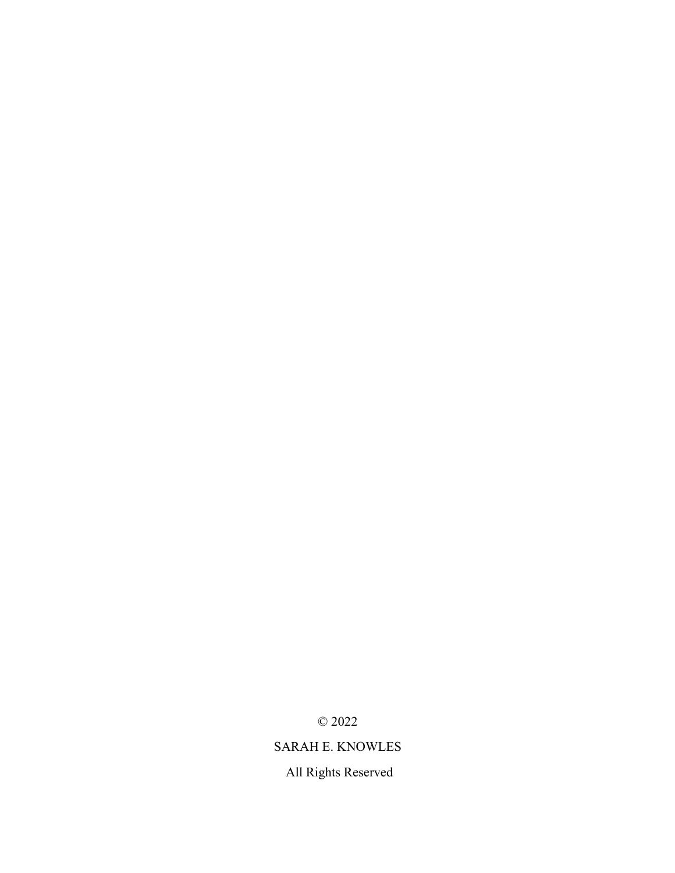© 2022

## SARAH E. KNOWLES

All Rights Reserved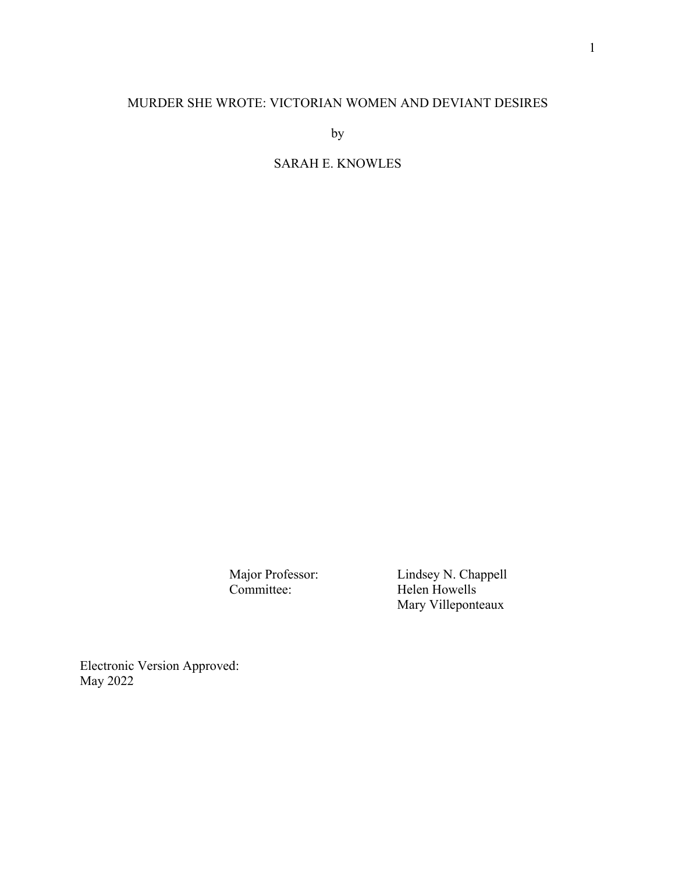## MURDER SHE WROTE: VICTORIAN WOMEN AND DEVIANT DESIRES

by

## SARAH E. KNOWLES

Major Professor: Lindsey N. Chappell Committee: Helen Howells Mary Villeponteaux

Electronic Version Approved: May 2022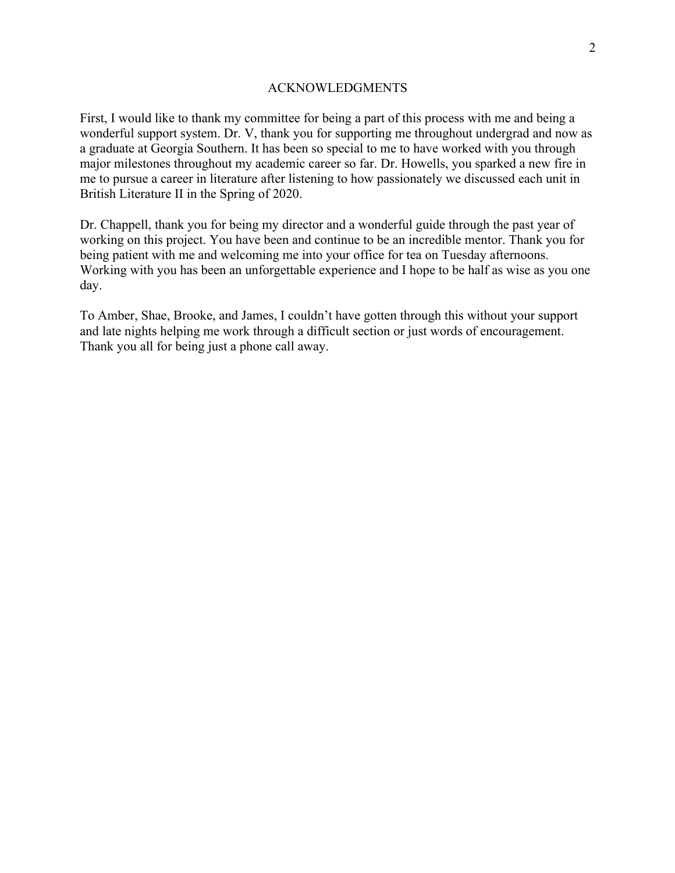#### ACKNOWLEDGMENTS

First, I would like to thank my committee for being a part of this process with me and being a wonderful support system. Dr. V, thank you for supporting me throughout undergrad and now as a graduate at Georgia Southern. It has been so special to me to have worked with you through major milestones throughout my academic career so far. Dr. Howells, you sparked a new fire in me to pursue a career in literature after listening to how passionately we discussed each unit in British Literature II in the Spring of 2020.

Dr. Chappell, thank you for being my director and a wonderful guide through the past year of working on this project. You have been and continue to be an incredible mentor. Thank you for being patient with me and welcoming me into your office for tea on Tuesday afternoons. Working with you has been an unforgettable experience and I hope to be half as wise as you one day.

To Amber, Shae, Brooke, and James, I couldn't have gotten through this without your support and late nights helping me work through a difficult section or just words of encouragement. Thank you all for being just a phone call away.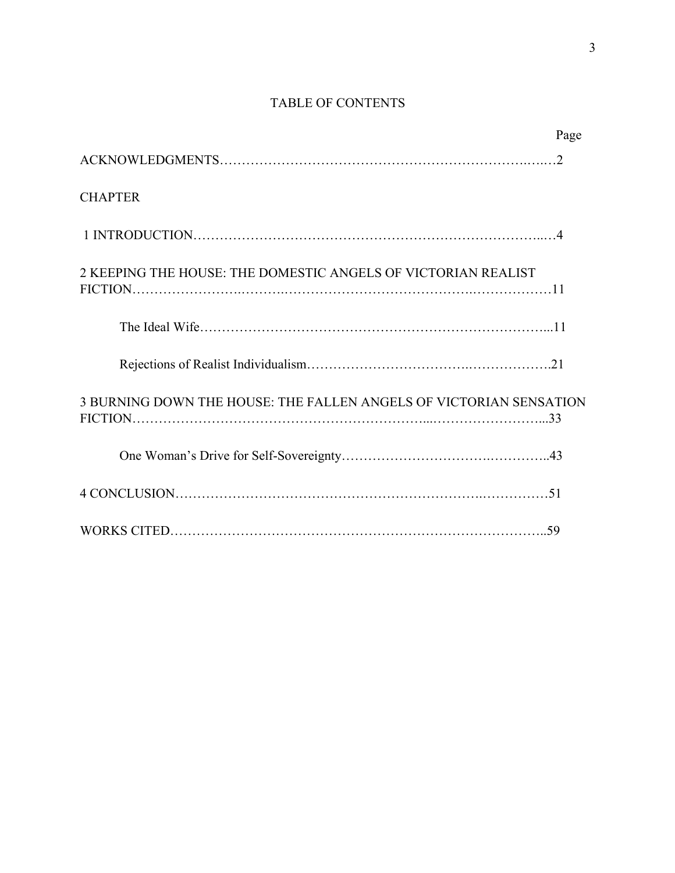## TABLE OF CONTENTS

|                                                                    | Page |
|--------------------------------------------------------------------|------|
|                                                                    |      |
| <b>CHAPTER</b>                                                     |      |
|                                                                    |      |
| 2 KEEPING THE HOUSE: THE DOMESTIC ANGELS OF VICTORIAN REALIST      |      |
|                                                                    |      |
|                                                                    |      |
| 3 BURNING DOWN THE HOUSE: THE FALLEN ANGELS OF VICTORIAN SENSATION |      |
|                                                                    |      |
|                                                                    |      |
|                                                                    |      |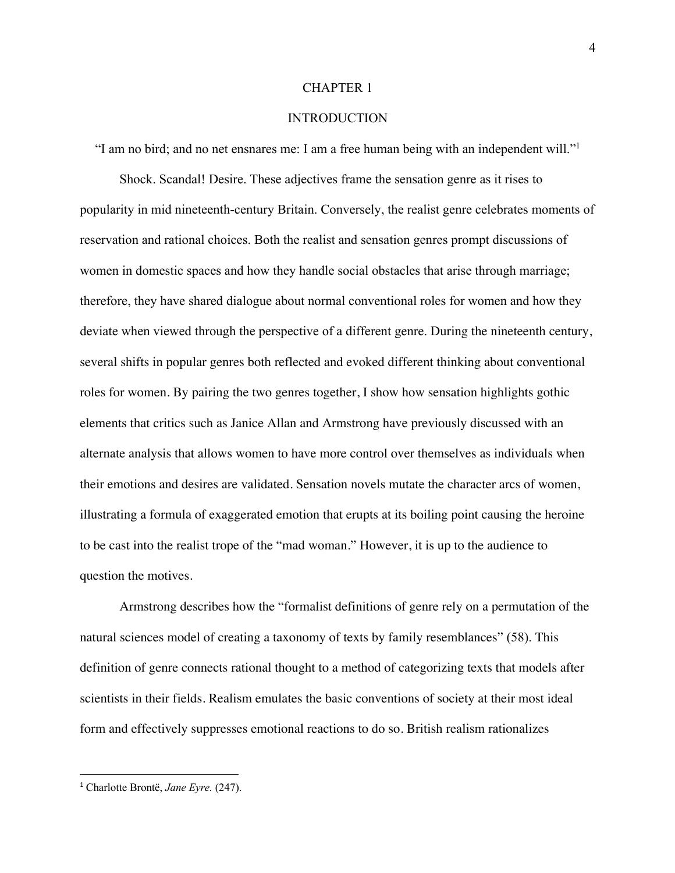#### CHAPTER 1

#### INTRODUCTION

"I am no bird; and no net ensnares me: I am a free human being with an independent will."1

Shock. Scandal! Desire. These adjectives frame the sensation genre as it rises to popularity in mid nineteenth-century Britain. Conversely, the realist genre celebrates moments of reservation and rational choices. Both the realist and sensation genres prompt discussions of women in domestic spaces and how they handle social obstacles that arise through marriage; therefore, they have shared dialogue about normal conventional roles for women and how they deviate when viewed through the perspective of a different genre. During the nineteenth century, several shifts in popular genres both reflected and evoked different thinking about conventional roles for women. By pairing the two genres together, I show how sensation highlights gothic elements that critics such as Janice Allan and Armstrong have previously discussed with an alternate analysis that allows women to have more control over themselves as individuals when their emotions and desires are validated. Sensation novels mutate the character arcs of women, illustrating a formula of exaggerated emotion that erupts at its boiling point causing the heroine to be cast into the realist trope of the "mad woman." However, it is up to the audience to question the motives.

Armstrong describes how the "formalist definitions of genre rely on a permutation of the natural sciences model of creating a taxonomy of texts by family resemblances" (58). This definition of genre connects rational thought to a method of categorizing texts that models after scientists in their fields. Realism emulates the basic conventions of society at their most ideal form and effectively suppresses emotional reactions to do so. British realism rationalizes

<sup>1</sup> Charlotte Brontë, *Jane Eyre.* (247).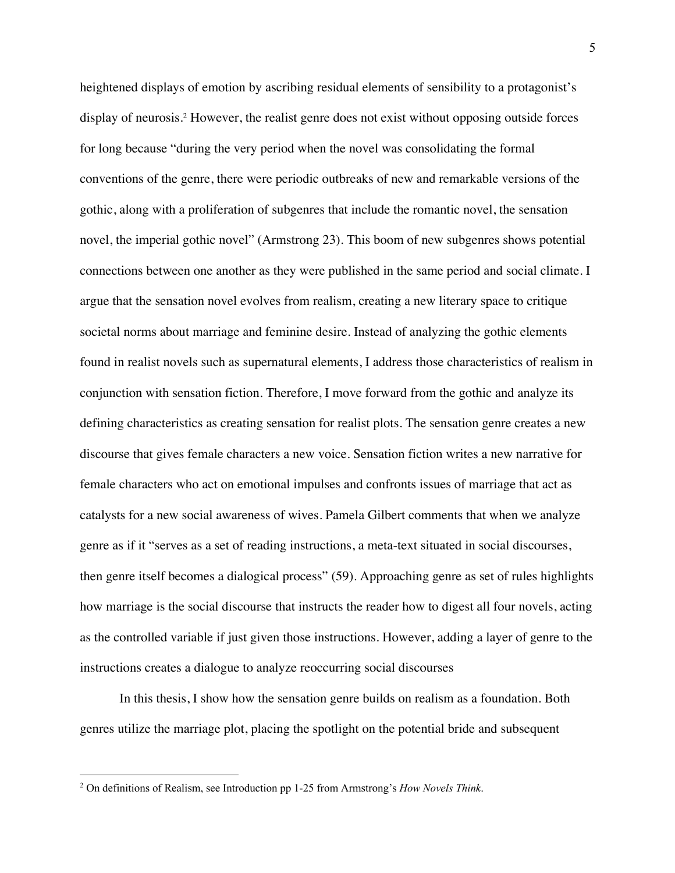heightened displays of emotion by ascribing residual elements of sensibility to a protagonist's display of neurosis. <sup>2</sup> However, the realist genre does not exist without opposing outside forces for long because "during the very period when the novel was consolidating the formal conventions of the genre, there were periodic outbreaks of new and remarkable versions of the gothic, along with a proliferation of subgenres that include the romantic novel, the sensation novel, the imperial gothic novel" (Armstrong 23). This boom of new subgenres shows potential connections between one another as they were published in the same period and social climate. I argue that the sensation novel evolves from realism, creating a new literary space to critique societal norms about marriage and feminine desire. Instead of analyzing the gothic elements found in realist novels such as supernatural elements, I address those characteristics of realism in conjunction with sensation fiction. Therefore, I move forward from the gothic and analyze its defining characteristics as creating sensation for realist plots. The sensation genre creates a new discourse that gives female characters a new voice. Sensation fiction writes a new narrative for female characters who act on emotional impulses and confronts issues of marriage that act as catalysts for a new social awareness of wives. Pamela Gilbert comments that when we analyze genre as if it "serves as a set of reading instructions, a meta-text situated in social discourses, then genre itself becomes a dialogical process" (59). Approaching genre as set of rules highlights how marriage is the social discourse that instructs the reader how to digest all four novels, acting as the controlled variable if just given those instructions. However, adding a layer of genre to the instructions creates a dialogue to analyze reoccurring social discourses

In this thesis, I show how the sensation genre builds on realism as a foundation. Both genres utilize the marriage plot, placing the spotlight on the potential bride and subsequent

<sup>2</sup> On definitions of Realism, see Introduction pp 1-25 from Armstrong's *How Novels Think*.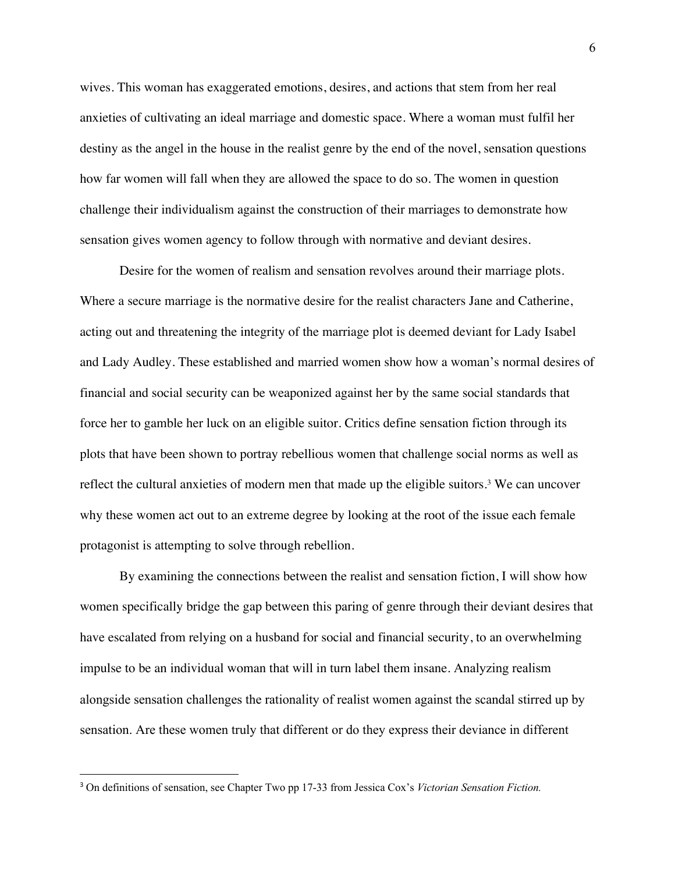wives. This woman has exaggerated emotions, desires, and actions that stem from her real anxieties of cultivating an ideal marriage and domestic space. Where a woman must fulfil her destiny as the angel in the house in the realist genre by the end of the novel, sensation questions how far women will fall when they are allowed the space to do so. The women in question challenge their individualism against the construction of their marriages to demonstrate how sensation gives women agency to follow through with normative and deviant desires.

Desire for the women of realism and sensation revolves around their marriage plots. Where a secure marriage is the normative desire for the realist characters Jane and Catherine, acting out and threatening the integrity of the marriage plot is deemed deviant for Lady Isabel and Lady Audley. These established and married women show how a woman's normal desires of financial and social security can be weaponized against her by the same social standards that force her to gamble her luck on an eligible suitor. Critics define sensation fiction through its plots that have been shown to portray rebellious women that challenge social norms as well as reflect the cultural anxieties of modern men that made up the eligible suitors.<sup>3</sup> We can uncover why these women act out to an extreme degree by looking at the root of the issue each female protagonist is attempting to solve through rebellion.

By examining the connections between the realist and sensation fiction, I will show how women specifically bridge the gap between this paring of genre through their deviant desires that have escalated from relying on a husband for social and financial security, to an overwhelming impulse to be an individual woman that will in turn label them insane. Analyzing realism alongside sensation challenges the rationality of realist women against the scandal stirred up by sensation. Are these women truly that different or do they express their deviance in different

<sup>3</sup> On definitions of sensation, see Chapter Two pp 17-33 from Jessica Cox's *Victorian Sensation Fiction.*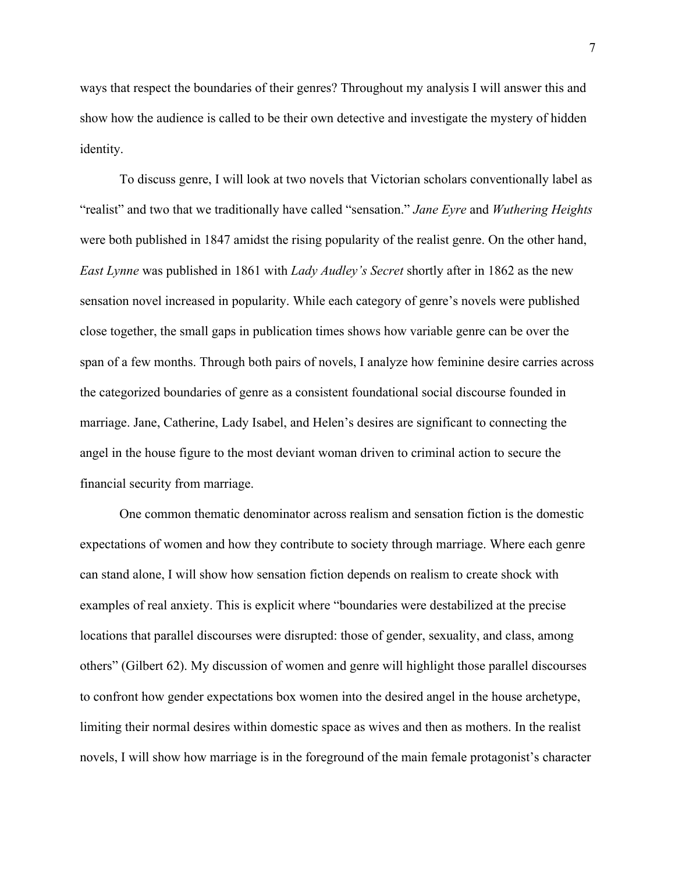ways that respect the boundaries of their genres? Throughout my analysis I will answer this and show how the audience is called to be their own detective and investigate the mystery of hidden identity.

To discuss genre, I will look at two novels that Victorian scholars conventionally label as "realist" and two that we traditionally have called "sensation." *Jane Eyre* and *Wuthering Heights* were both published in 1847 amidst the rising popularity of the realist genre. On the other hand, *East Lynne* was published in 1861 with *Lady Audley's Secret* shortly after in 1862 as the new sensation novel increased in popularity. While each category of genre's novels were published close together, the small gaps in publication times shows how variable genre can be over the span of a few months. Through both pairs of novels, I analyze how feminine desire carries across the categorized boundaries of genre as a consistent foundational social discourse founded in marriage. Jane, Catherine, Lady Isabel, and Helen's desires are significant to connecting the angel in the house figure to the most deviant woman driven to criminal action to secure the financial security from marriage.

One common thematic denominator across realism and sensation fiction is the domestic expectations of women and how they contribute to society through marriage. Where each genre can stand alone, I will show how sensation fiction depends on realism to create shock with examples of real anxiety. This is explicit where "boundaries were destabilized at the precise locations that parallel discourses were disrupted: those of gender, sexuality, and class, among others" (Gilbert 62). My discussion of women and genre will highlight those parallel discourses to confront how gender expectations box women into the desired angel in the house archetype, limiting their normal desires within domestic space as wives and then as mothers. In the realist novels, I will show how marriage is in the foreground of the main female protagonist's character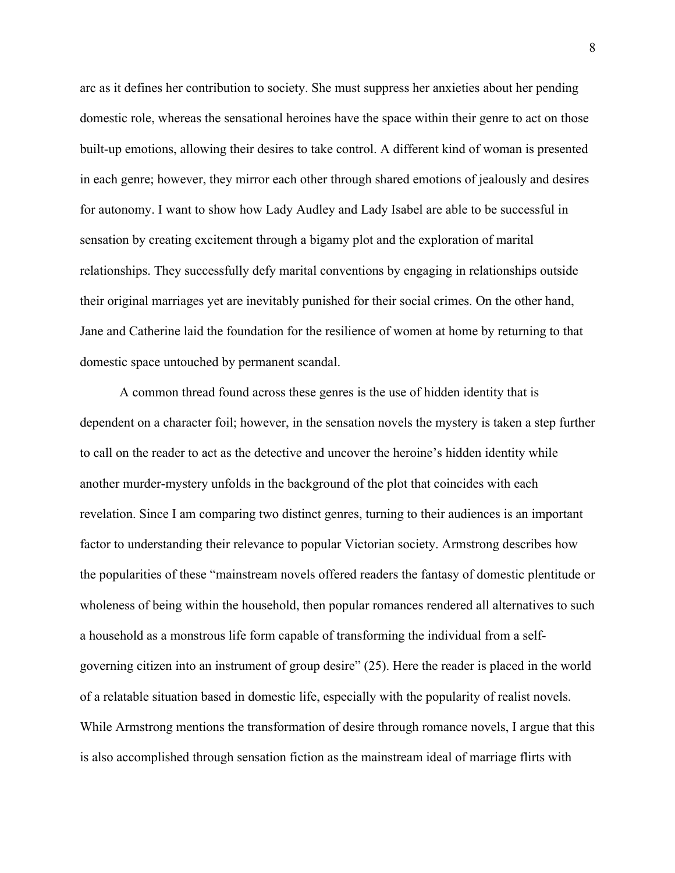arc as it defines her contribution to society. She must suppress her anxieties about her pending domestic role, whereas the sensational heroines have the space within their genre to act on those built-up emotions, allowing their desires to take control. A different kind of woman is presented in each genre; however, they mirror each other through shared emotions of jealously and desires for autonomy. I want to show how Lady Audley and Lady Isabel are able to be successful in sensation by creating excitement through a bigamy plot and the exploration of marital relationships. They successfully defy marital conventions by engaging in relationships outside their original marriages yet are inevitably punished for their social crimes. On the other hand, Jane and Catherine laid the foundation for the resilience of women at home by returning to that domestic space untouched by permanent scandal.

A common thread found across these genres is the use of hidden identity that is dependent on a character foil; however, in the sensation novels the mystery is taken a step further to call on the reader to act as the detective and uncover the heroine's hidden identity while another murder-mystery unfolds in the background of the plot that coincides with each revelation. Since I am comparing two distinct genres, turning to their audiences is an important factor to understanding their relevance to popular Victorian society. Armstrong describes how the popularities of these "mainstream novels offered readers the fantasy of domestic plentitude or wholeness of being within the household, then popular romances rendered all alternatives to such a household as a monstrous life form capable of transforming the individual from a selfgoverning citizen into an instrument of group desire" (25). Here the reader is placed in the world of a relatable situation based in domestic life, especially with the popularity of realist novels. While Armstrong mentions the transformation of desire through romance novels, I argue that this is also accomplished through sensation fiction as the mainstream ideal of marriage flirts with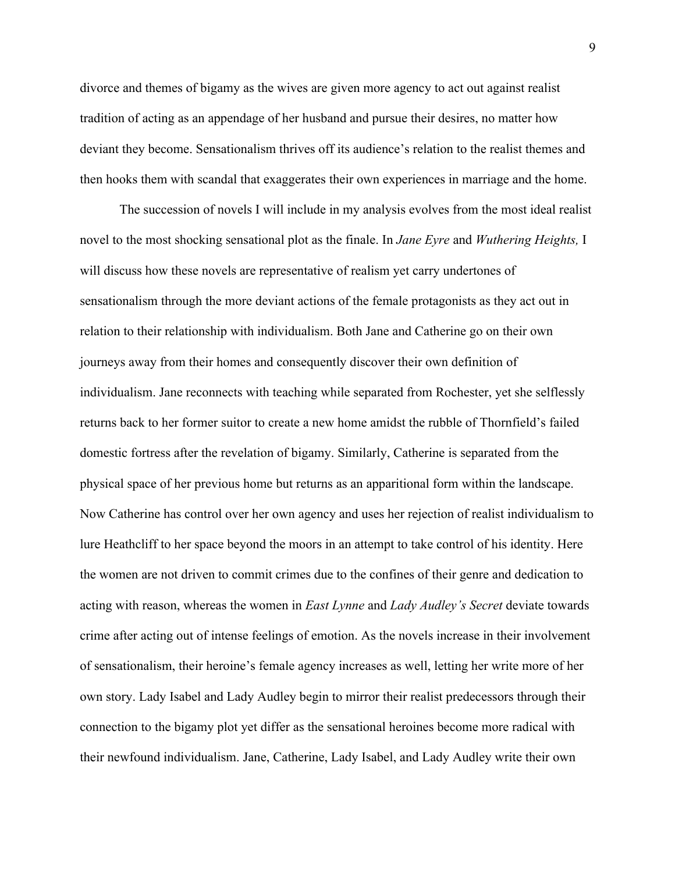divorce and themes of bigamy as the wives are given more agency to act out against realist tradition of acting as an appendage of her husband and pursue their desires, no matter how deviant they become. Sensationalism thrives off its audience's relation to the realist themes and then hooks them with scandal that exaggerates their own experiences in marriage and the home.

The succession of novels I will include in my analysis evolves from the most ideal realist novel to the most shocking sensational plot as the finale. In *Jane Eyre* and *Wuthering Heights,* I will discuss how these novels are representative of realism yet carry undertones of sensationalism through the more deviant actions of the female protagonists as they act out in relation to their relationship with individualism. Both Jane and Catherine go on their own journeys away from their homes and consequently discover their own definition of individualism. Jane reconnects with teaching while separated from Rochester, yet she selflessly returns back to her former suitor to create a new home amidst the rubble of Thornfield's failed domestic fortress after the revelation of bigamy. Similarly, Catherine is separated from the physical space of her previous home but returns as an apparitional form within the landscape. Now Catherine has control over her own agency and uses her rejection of realist individualism to lure Heathcliff to her space beyond the moors in an attempt to take control of his identity. Here the women are not driven to commit crimes due to the confines of their genre and dedication to acting with reason, whereas the women in *East Lynne* and *Lady Audley's Secret* deviate towards crime after acting out of intense feelings of emotion. As the novels increase in their involvement of sensationalism, their heroine's female agency increases as well, letting her write more of her own story. Lady Isabel and Lady Audley begin to mirror their realist predecessors through their connection to the bigamy plot yet differ as the sensational heroines become more radical with their newfound individualism. Jane, Catherine, Lady Isabel, and Lady Audley write their own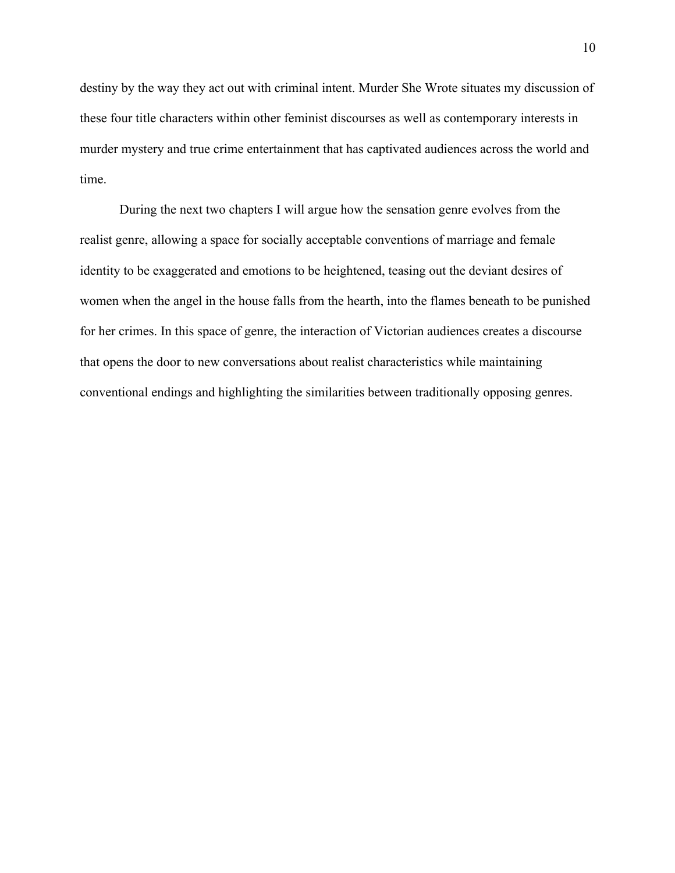destiny by the way they act out with criminal intent. Murder She Wrote situates my discussion of these four title characters within other feminist discourses as well as contemporary interests in murder mystery and true crime entertainment that has captivated audiences across the world and time.

During the next two chapters I will argue how the sensation genre evolves from the realist genre, allowing a space for socially acceptable conventions of marriage and female identity to be exaggerated and emotions to be heightened, teasing out the deviant desires of women when the angel in the house falls from the hearth, into the flames beneath to be punished for her crimes. In this space of genre, the interaction of Victorian audiences creates a discourse that opens the door to new conversations about realist characteristics while maintaining conventional endings and highlighting the similarities between traditionally opposing genres.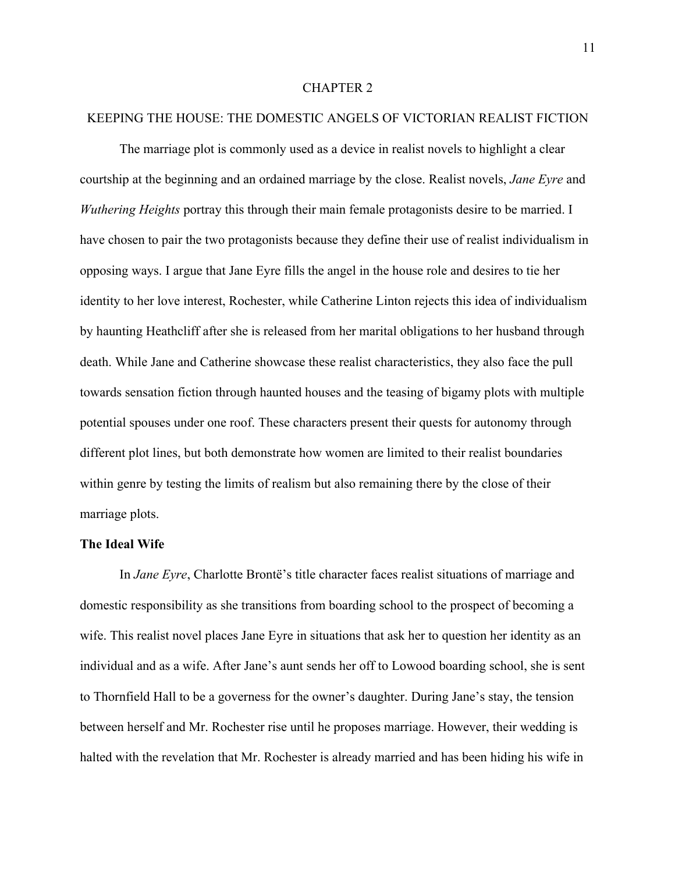#### CHAPTER 2

#### KEEPING THE HOUSE: THE DOMESTIC ANGELS OF VICTORIAN REALIST FICTION

The marriage plot is commonly used as a device in realist novels to highlight a clear courtship at the beginning and an ordained marriage by the close. Realist novels, *Jane Eyre* and *Wuthering Heights* portray this through their main female protagonists desire to be married. I have chosen to pair the two protagonists because they define their use of realist individualism in opposing ways. I argue that Jane Eyre fills the angel in the house role and desires to tie her identity to her love interest, Rochester, while Catherine Linton rejects this idea of individualism by haunting Heathcliff after she is released from her marital obligations to her husband through death. While Jane and Catherine showcase these realist characteristics, they also face the pull towards sensation fiction through haunted houses and the teasing of bigamy plots with multiple potential spouses under one roof. These characters present their quests for autonomy through different plot lines, but both demonstrate how women are limited to their realist boundaries within genre by testing the limits of realism but also remaining there by the close of their marriage plots.

#### **The Ideal Wife**

In *Jane Eyre*, Charlotte Brontë's title character faces realist situations of marriage and domestic responsibility as she transitions from boarding school to the prospect of becoming a wife. This realist novel places Jane Eyre in situations that ask her to question her identity as an individual and as a wife. After Jane's aunt sends her off to Lowood boarding school, she is sent to Thornfield Hall to be a governess for the owner's daughter. During Jane's stay, the tension between herself and Mr. Rochester rise until he proposes marriage. However, their wedding is halted with the revelation that Mr. Rochester is already married and has been hiding his wife in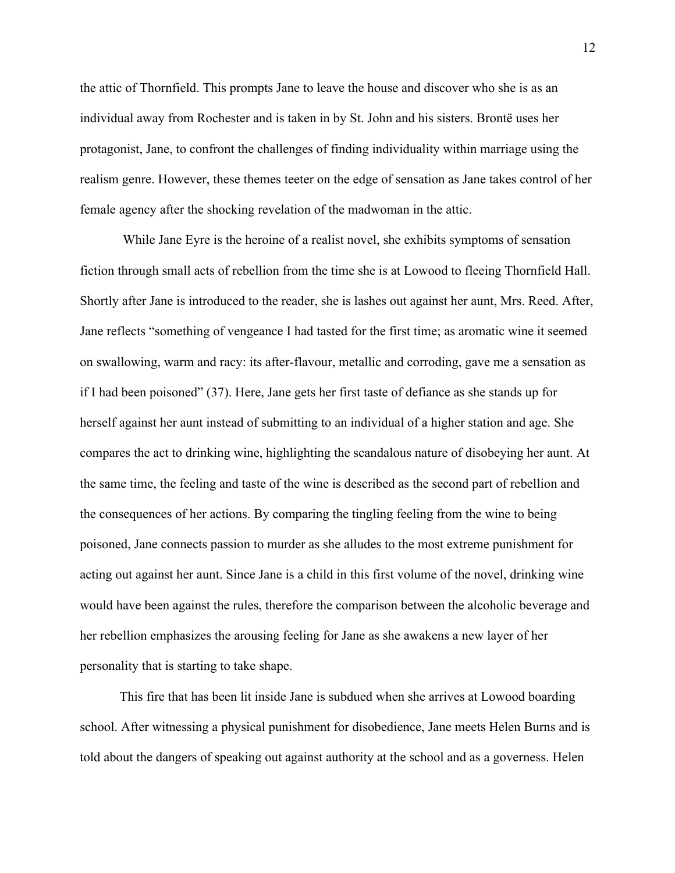the attic of Thornfield. This prompts Jane to leave the house and discover who she is as an individual away from Rochester and is taken in by St. John and his sisters. Brontë uses her protagonist, Jane, to confront the challenges of finding individuality within marriage using the realism genre. However, these themes teeter on the edge of sensation as Jane takes control of her female agency after the shocking revelation of the madwoman in the attic.

While Jane Eyre is the heroine of a realist novel, she exhibits symptoms of sensation fiction through small acts of rebellion from the time she is at Lowood to fleeing Thornfield Hall. Shortly after Jane is introduced to the reader, she is lashes out against her aunt, Mrs. Reed. After, Jane reflects "something of vengeance I had tasted for the first time; as aromatic wine it seemed on swallowing, warm and racy: its after-flavour, metallic and corroding, gave me a sensation as if I had been poisoned" (37). Here, Jane gets her first taste of defiance as she stands up for herself against her aunt instead of submitting to an individual of a higher station and age. She compares the act to drinking wine, highlighting the scandalous nature of disobeying her aunt. At the same time, the feeling and taste of the wine is described as the second part of rebellion and the consequences of her actions. By comparing the tingling feeling from the wine to being poisoned, Jane connects passion to murder as she alludes to the most extreme punishment for acting out against her aunt. Since Jane is a child in this first volume of the novel, drinking wine would have been against the rules, therefore the comparison between the alcoholic beverage and her rebellion emphasizes the arousing feeling for Jane as she awakens a new layer of her personality that is starting to take shape.

This fire that has been lit inside Jane is subdued when she arrives at Lowood boarding school. After witnessing a physical punishment for disobedience, Jane meets Helen Burns and is told about the dangers of speaking out against authority at the school and as a governess. Helen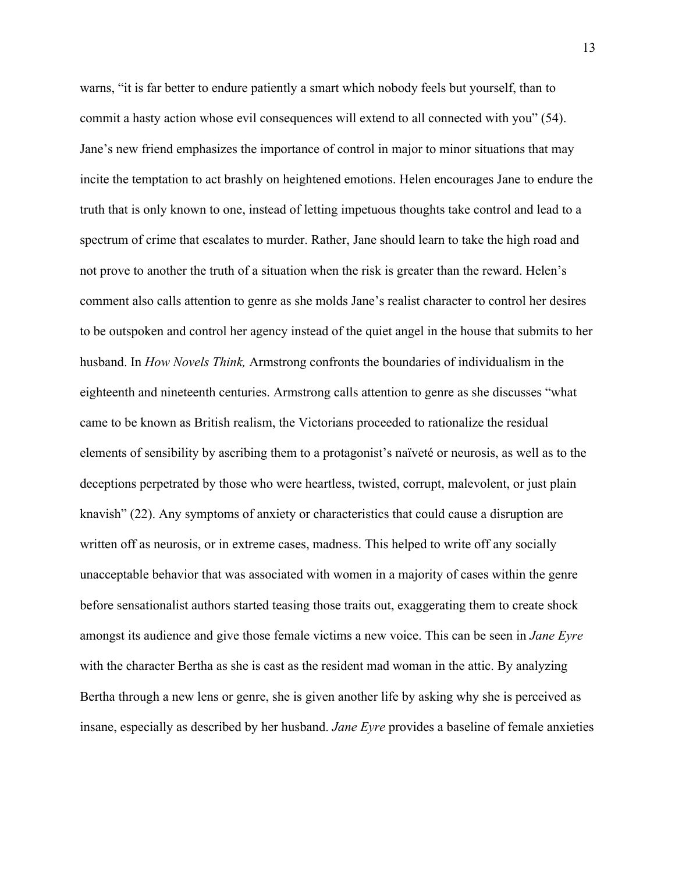warns, "it is far better to endure patiently a smart which nobody feels but yourself, than to commit a hasty action whose evil consequences will extend to all connected with you" (54). Jane's new friend emphasizes the importance of control in major to minor situations that may incite the temptation to act brashly on heightened emotions. Helen encourages Jane to endure the truth that is only known to one, instead of letting impetuous thoughts take control and lead to a spectrum of crime that escalates to murder. Rather, Jane should learn to take the high road and not prove to another the truth of a situation when the risk is greater than the reward. Helen's comment also calls attention to genre as she molds Jane's realist character to control her desires to be outspoken and control her agency instead of the quiet angel in the house that submits to her husband. In *How Novels Think,* Armstrong confronts the boundaries of individualism in the eighteenth and nineteenth centuries. Armstrong calls attention to genre as she discusses "what came to be known as British realism, the Victorians proceeded to rationalize the residual elements of sensibility by ascribing them to a protagonist's naïveté or neurosis, as well as to the deceptions perpetrated by those who were heartless, twisted, corrupt, malevolent, or just plain knavish" (22). Any symptoms of anxiety or characteristics that could cause a disruption are written off as neurosis, or in extreme cases, madness. This helped to write off any socially unacceptable behavior that was associated with women in a majority of cases within the genre before sensationalist authors started teasing those traits out, exaggerating them to create shock amongst its audience and give those female victims a new voice. This can be seen in *Jane Eyre* with the character Bertha as she is cast as the resident mad woman in the attic. By analyzing Bertha through a new lens or genre, she is given another life by asking why she is perceived as insane, especially as described by her husband. *Jane Eyre* provides a baseline of female anxieties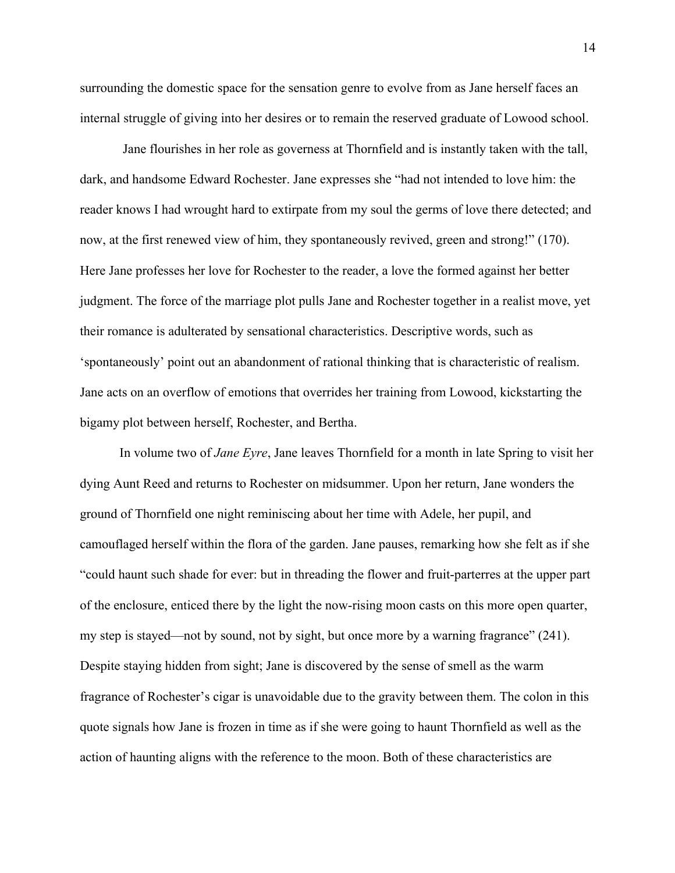surrounding the domestic space for the sensation genre to evolve from as Jane herself faces an internal struggle of giving into her desires or to remain the reserved graduate of Lowood school.

Jane flourishes in her role as governess at Thornfield and is instantly taken with the tall, dark, and handsome Edward Rochester. Jane expresses she "had not intended to love him: the reader knows I had wrought hard to extirpate from my soul the germs of love there detected; and now, at the first renewed view of him, they spontaneously revived, green and strong!" (170). Here Jane professes her love for Rochester to the reader, a love the formed against her better judgment. The force of the marriage plot pulls Jane and Rochester together in a realist move, yet their romance is adulterated by sensational characteristics. Descriptive words, such as 'spontaneously' point out an abandonment of rational thinking that is characteristic of realism. Jane acts on an overflow of emotions that overrides her training from Lowood, kickstarting the bigamy plot between herself, Rochester, and Bertha.

In volume two of *Jane Eyre*, Jane leaves Thornfield for a month in late Spring to visit her dying Aunt Reed and returns to Rochester on midsummer. Upon her return, Jane wonders the ground of Thornfield one night reminiscing about her time with Adele, her pupil, and camouflaged herself within the flora of the garden. Jane pauses, remarking how she felt as if she "could haunt such shade for ever: but in threading the flower and fruit-parterres at the upper part of the enclosure, enticed there by the light the now-rising moon casts on this more open quarter, my step is stayed—not by sound, not by sight, but once more by a warning fragrance" (241). Despite staying hidden from sight; Jane is discovered by the sense of smell as the warm fragrance of Rochester's cigar is unavoidable due to the gravity between them. The colon in this quote signals how Jane is frozen in time as if she were going to haunt Thornfield as well as the action of haunting aligns with the reference to the moon. Both of these characteristics are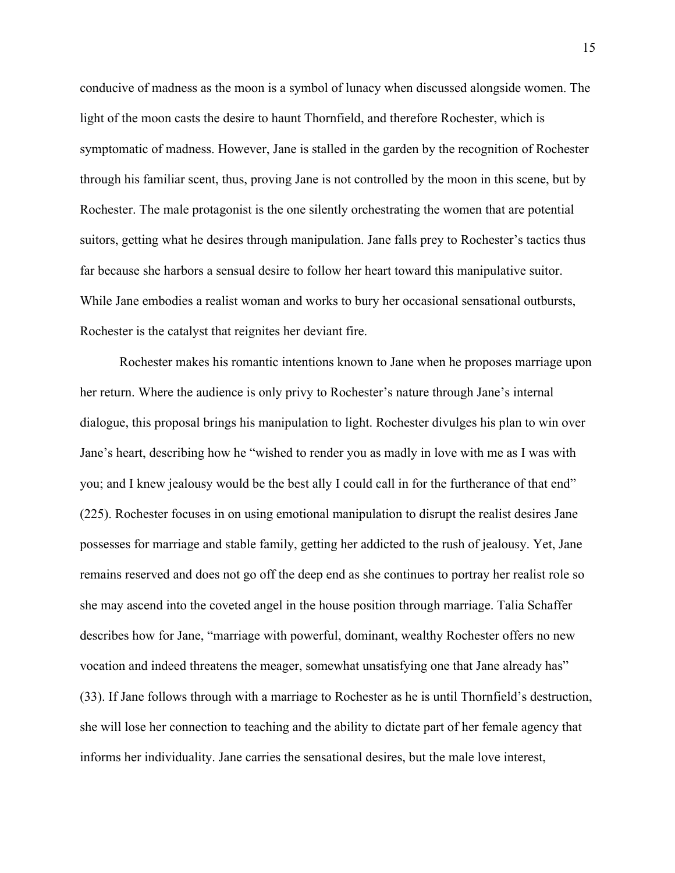conducive of madness as the moon is a symbol of lunacy when discussed alongside women. The light of the moon casts the desire to haunt Thornfield, and therefore Rochester, which is symptomatic of madness. However, Jane is stalled in the garden by the recognition of Rochester through his familiar scent, thus, proving Jane is not controlled by the moon in this scene, but by Rochester. The male protagonist is the one silently orchestrating the women that are potential suitors, getting what he desires through manipulation. Jane falls prey to Rochester's tactics thus far because she harbors a sensual desire to follow her heart toward this manipulative suitor. While Jane embodies a realist woman and works to bury her occasional sensational outbursts, Rochester is the catalyst that reignites her deviant fire.

Rochester makes his romantic intentions known to Jane when he proposes marriage upon her return. Where the audience is only privy to Rochester's nature through Jane's internal dialogue, this proposal brings his manipulation to light. Rochester divulges his plan to win over Jane's heart, describing how he "wished to render you as madly in love with me as I was with you; and I knew jealousy would be the best ally I could call in for the furtherance of that end" (225). Rochester focuses in on using emotional manipulation to disrupt the realist desires Jane possesses for marriage and stable family, getting her addicted to the rush of jealousy. Yet, Jane remains reserved and does not go off the deep end as she continues to portray her realist role so she may ascend into the coveted angel in the house position through marriage. Talia Schaffer describes how for Jane, "marriage with powerful, dominant, wealthy Rochester offers no new vocation and indeed threatens the meager, somewhat unsatisfying one that Jane already has" (33). If Jane follows through with a marriage to Rochester as he is until Thornfield's destruction, she will lose her connection to teaching and the ability to dictate part of her female agency that informs her individuality. Jane carries the sensational desires, but the male love interest,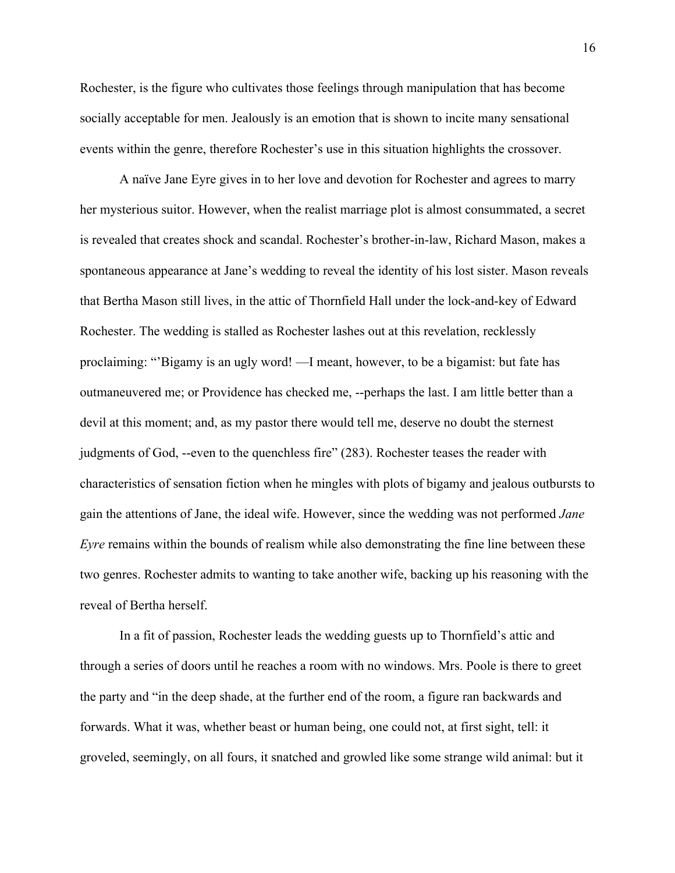Rochester, is the figure who cultivates those feelings through manipulation that has become socially acceptable for men. Jealously is an emotion that is shown to incite many sensational events within the genre, therefore Rochester's use in this situation highlights the crossover.

A naïve Jane Eyre gives in to her love and devotion for Rochester and agrees to marry her mysterious suitor. However, when the realist marriage plot is almost consummated, a secret is revealed that creates shock and scandal. Rochester's brother-in-law, Richard Mason, makes a spontaneous appearance at Jane's wedding to reveal the identity of his lost sister. Mason reveals that Bertha Mason still lives, in the attic of Thornfield Hall under the lock-and-key of Edward Rochester. The wedding is stalled as Rochester lashes out at this revelation, recklessly proclaiming: "'Bigamy is an ugly word! —I meant, however, to be a bigamist: but fate has outmaneuvered me; or Providence has checked me, --perhaps the last. I am little better than a devil at this moment; and, as my pastor there would tell me, deserve no doubt the sternest judgments of God, --even to the quenchless fire" (283). Rochester teases the reader with characteristics of sensation fiction when he mingles with plots of bigamy and jealous outbursts to gain the attentions of Jane, the ideal wife. However, since the wedding was not performed *Jane Eyre* remains within the bounds of realism while also demonstrating the fine line between these two genres. Rochester admits to wanting to take another wife, backing up his reasoning with the reveal of Bertha herself.

In a fit of passion, Rochester leads the wedding guests up to Thornfield's attic and through a series of doors until he reaches a room with no windows. Mrs. Poole is there to greet the party and "in the deep shade, at the further end of the room, a figure ran backwards and forwards. What it was, whether beast or human being, one could not, at first sight, tell: it groveled, seemingly, on all fours, it snatched and growled like some strange wild animal: but it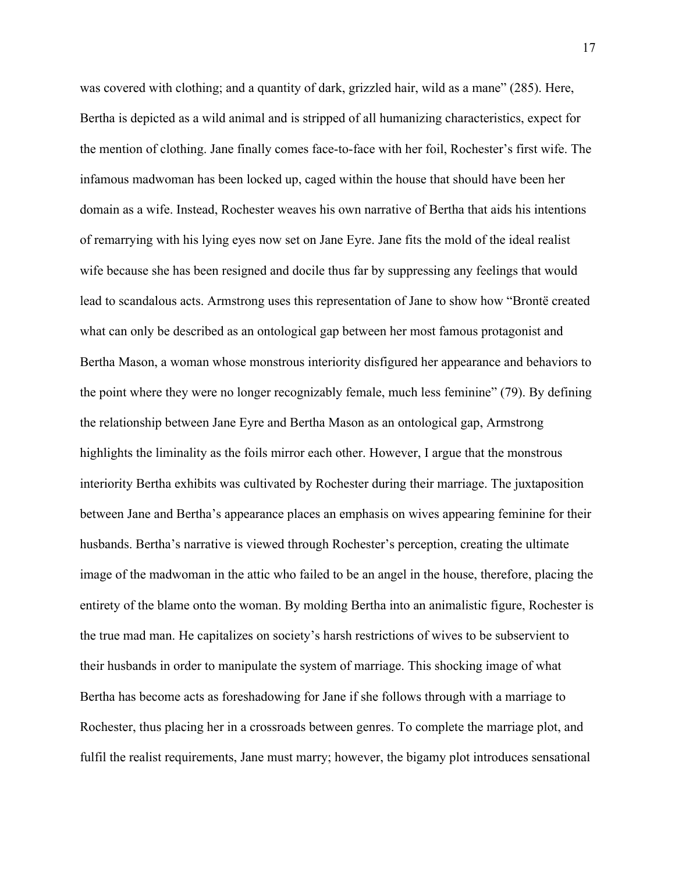was covered with clothing; and a quantity of dark, grizzled hair, wild as a mane" (285). Here, Bertha is depicted as a wild animal and is stripped of all humanizing characteristics, expect for the mention of clothing. Jane finally comes face-to-face with her foil, Rochester's first wife. The infamous madwoman has been locked up, caged within the house that should have been her domain as a wife. Instead, Rochester weaves his own narrative of Bertha that aids his intentions of remarrying with his lying eyes now set on Jane Eyre. Jane fits the mold of the ideal realist wife because she has been resigned and docile thus far by suppressing any feelings that would lead to scandalous acts. Armstrong uses this representation of Jane to show how "Brontë created what can only be described as an ontological gap between her most famous protagonist and Bertha Mason, a woman whose monstrous interiority disfigured her appearance and behaviors to the point where they were no longer recognizably female, much less feminine" (79). By defining the relationship between Jane Eyre and Bertha Mason as an ontological gap, Armstrong highlights the liminality as the foils mirror each other. However, I argue that the monstrous interiority Bertha exhibits was cultivated by Rochester during their marriage. The juxtaposition between Jane and Bertha's appearance places an emphasis on wives appearing feminine for their husbands. Bertha's narrative is viewed through Rochester's perception, creating the ultimate image of the madwoman in the attic who failed to be an angel in the house, therefore, placing the entirety of the blame onto the woman. By molding Bertha into an animalistic figure, Rochester is the true mad man. He capitalizes on society's harsh restrictions of wives to be subservient to their husbands in order to manipulate the system of marriage. This shocking image of what Bertha has become acts as foreshadowing for Jane if she follows through with a marriage to Rochester, thus placing her in a crossroads between genres. To complete the marriage plot, and fulfil the realist requirements, Jane must marry; however, the bigamy plot introduces sensational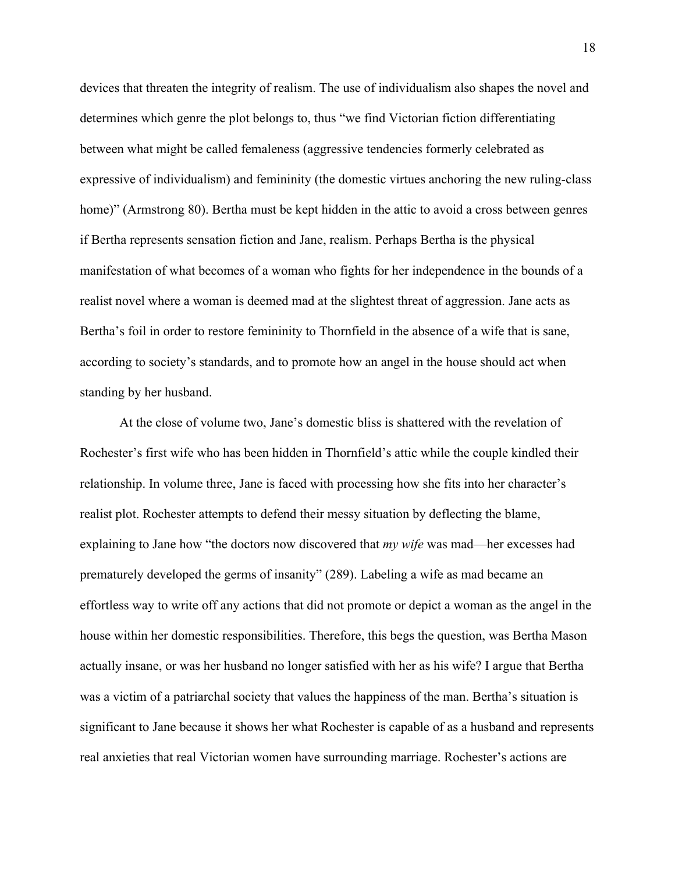devices that threaten the integrity of realism. The use of individualism also shapes the novel and determines which genre the plot belongs to, thus "we find Victorian fiction differentiating between what might be called femaleness (aggressive tendencies formerly celebrated as expressive of individualism) and femininity (the domestic virtues anchoring the new ruling-class home)" (Armstrong 80). Bertha must be kept hidden in the attic to avoid a cross between genres if Bertha represents sensation fiction and Jane, realism. Perhaps Bertha is the physical manifestation of what becomes of a woman who fights for her independence in the bounds of a realist novel where a woman is deemed mad at the slightest threat of aggression. Jane acts as Bertha's foil in order to restore femininity to Thornfield in the absence of a wife that is sane, according to society's standards, and to promote how an angel in the house should act when standing by her husband.

At the close of volume two, Jane's domestic bliss is shattered with the revelation of Rochester's first wife who has been hidden in Thornfield's attic while the couple kindled their relationship. In volume three, Jane is faced with processing how she fits into her character's realist plot. Rochester attempts to defend their messy situation by deflecting the blame, explaining to Jane how "the doctors now discovered that *my wife* was mad—her excesses had prematurely developed the germs of insanity" (289). Labeling a wife as mad became an effortless way to write off any actions that did not promote or depict a woman as the angel in the house within her domestic responsibilities. Therefore, this begs the question, was Bertha Mason actually insane, or was her husband no longer satisfied with her as his wife? I argue that Bertha was a victim of a patriarchal society that values the happiness of the man. Bertha's situation is significant to Jane because it shows her what Rochester is capable of as a husband and represents real anxieties that real Victorian women have surrounding marriage. Rochester's actions are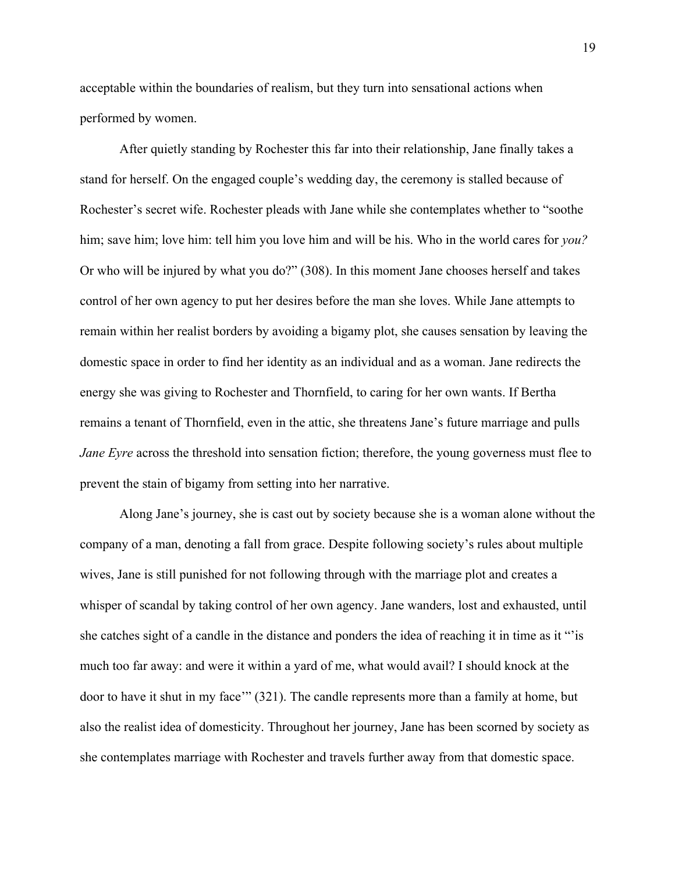acceptable within the boundaries of realism, but they turn into sensational actions when performed by women.

After quietly standing by Rochester this far into their relationship, Jane finally takes a stand for herself. On the engaged couple's wedding day, the ceremony is stalled because of Rochester's secret wife. Rochester pleads with Jane while she contemplates whether to "soothe him; save him; love him: tell him you love him and will be his. Who in the world cares for *you?* Or who will be injured by what you do?" (308). In this moment Jane chooses herself and takes control of her own agency to put her desires before the man she loves. While Jane attempts to remain within her realist borders by avoiding a bigamy plot, she causes sensation by leaving the domestic space in order to find her identity as an individual and as a woman. Jane redirects the energy she was giving to Rochester and Thornfield, to caring for her own wants. If Bertha remains a tenant of Thornfield, even in the attic, she threatens Jane's future marriage and pulls *Jane Eyre* across the threshold into sensation fiction; therefore, the young governess must flee to prevent the stain of bigamy from setting into her narrative.

Along Jane's journey, she is cast out by society because she is a woman alone without the company of a man, denoting a fall from grace. Despite following society's rules about multiple wives, Jane is still punished for not following through with the marriage plot and creates a whisper of scandal by taking control of her own agency. Jane wanders, lost and exhausted, until she catches sight of a candle in the distance and ponders the idea of reaching it in time as it "'is much too far away: and were it within a yard of me, what would avail? I should knock at the door to have it shut in my face'" (321). The candle represents more than a family at home, but also the realist idea of domesticity. Throughout her journey, Jane has been scorned by society as she contemplates marriage with Rochester and travels further away from that domestic space.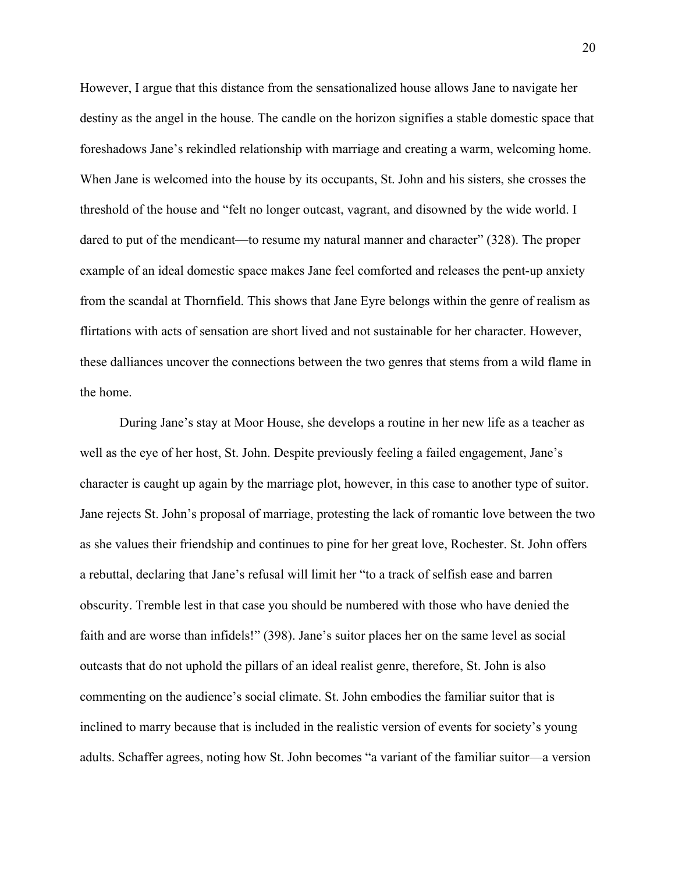However, I argue that this distance from the sensationalized house allows Jane to navigate her destiny as the angel in the house. The candle on the horizon signifies a stable domestic space that foreshadows Jane's rekindled relationship with marriage and creating a warm, welcoming home. When Jane is welcomed into the house by its occupants, St. John and his sisters, she crosses the threshold of the house and "felt no longer outcast, vagrant, and disowned by the wide world. I dared to put of the mendicant—to resume my natural manner and character" (328). The proper example of an ideal domestic space makes Jane feel comforted and releases the pent-up anxiety from the scandal at Thornfield. This shows that Jane Eyre belongs within the genre of realism as flirtations with acts of sensation are short lived and not sustainable for her character. However, these dalliances uncover the connections between the two genres that stems from a wild flame in the home.

During Jane's stay at Moor House, she develops a routine in her new life as a teacher as well as the eye of her host, St. John. Despite previously feeling a failed engagement, Jane's character is caught up again by the marriage plot, however, in this case to another type of suitor. Jane rejects St. John's proposal of marriage, protesting the lack of romantic love between the two as she values their friendship and continues to pine for her great love, Rochester. St. John offers a rebuttal, declaring that Jane's refusal will limit her "to a track of selfish ease and barren obscurity. Tremble lest in that case you should be numbered with those who have denied the faith and are worse than infidels!" (398). Jane's suitor places her on the same level as social outcasts that do not uphold the pillars of an ideal realist genre, therefore, St. John is also commenting on the audience's social climate. St. John embodies the familiar suitor that is inclined to marry because that is included in the realistic version of events for society's young adults. Schaffer agrees, noting how St. John becomes "a variant of the familiar suitor—a version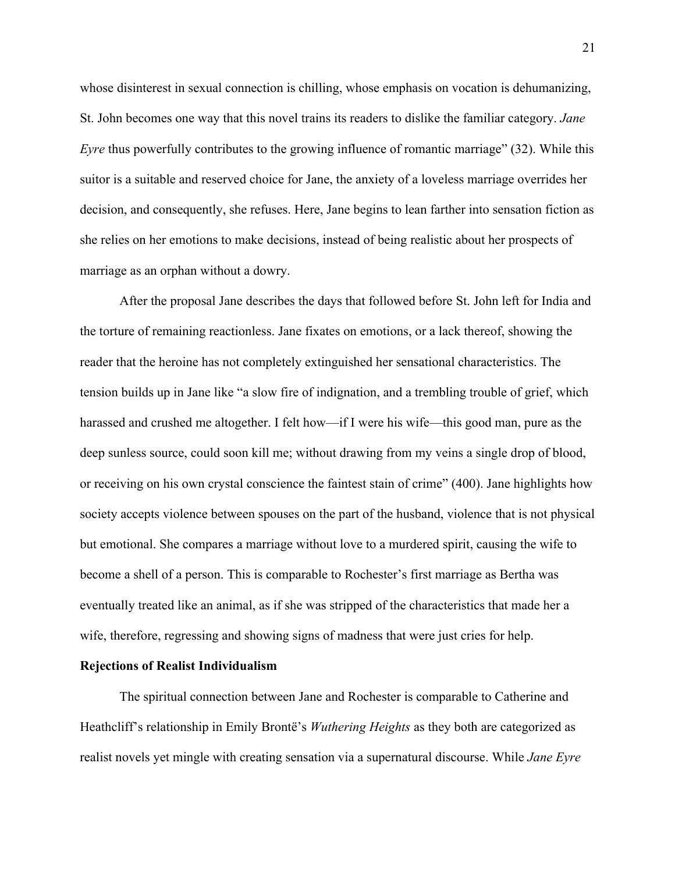whose disinterest in sexual connection is chilling, whose emphasis on vocation is dehumanizing, St. John becomes one way that this novel trains its readers to dislike the familiar category. *Jane Eyre* thus powerfully contributes to the growing influence of romantic marriage" (32). While this suitor is a suitable and reserved choice for Jane, the anxiety of a loveless marriage overrides her decision, and consequently, she refuses. Here, Jane begins to lean farther into sensation fiction as she relies on her emotions to make decisions, instead of being realistic about her prospects of marriage as an orphan without a dowry.

After the proposal Jane describes the days that followed before St. John left for India and the torture of remaining reactionless. Jane fixates on emotions, or a lack thereof, showing the reader that the heroine has not completely extinguished her sensational characteristics. The tension builds up in Jane like "a slow fire of indignation, and a trembling trouble of grief, which harassed and crushed me altogether. I felt how—if I were his wife—this good man, pure as the deep sunless source, could soon kill me; without drawing from my veins a single drop of blood, or receiving on his own crystal conscience the faintest stain of crime" (400). Jane highlights how society accepts violence between spouses on the part of the husband, violence that is not physical but emotional. She compares a marriage without love to a murdered spirit, causing the wife to become a shell of a person. This is comparable to Rochester's first marriage as Bertha was eventually treated like an animal, as if she was stripped of the characteristics that made her a wife, therefore, regressing and showing signs of madness that were just cries for help.

#### **Rejections of Realist Individualism**

The spiritual connection between Jane and Rochester is comparable to Catherine and Heathcliff's relationship in Emily Brontë's *Wuthering Heights* as they both are categorized as realist novels yet mingle with creating sensation via a supernatural discourse. While *Jane Eyre*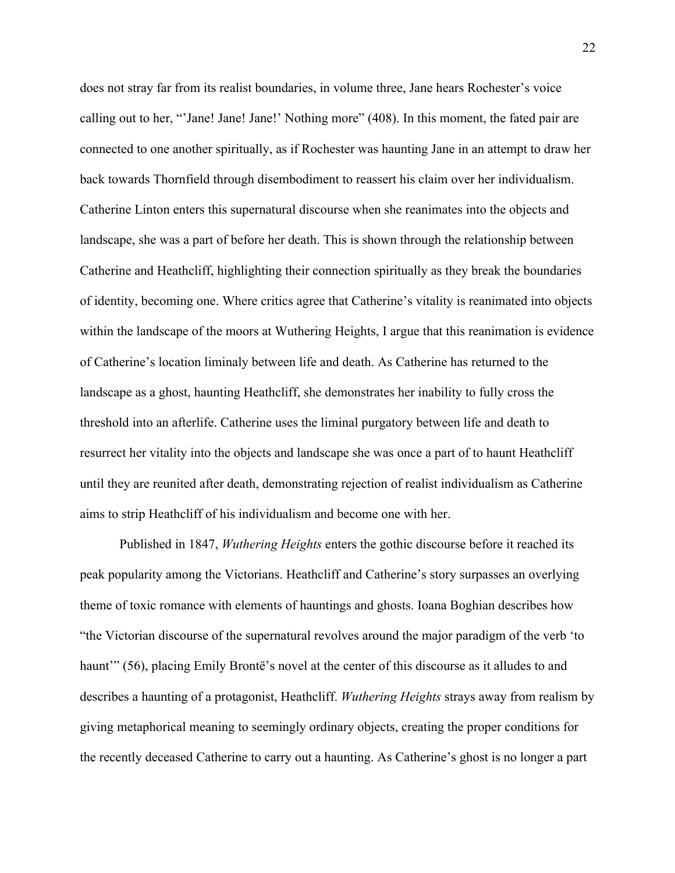does not stray far from its realist boundaries, in volume three, Jane hears Rochester's voice calling out to her, "'Jane! Jane! Jane!' Nothing more" (408). In this moment, the fated pair are connected to one another spiritually, as if Rochester was haunting Jane in an attempt to draw her back towards Thornfield through disembodiment to reassert his claim over her individualism. Catherine Linton enters this supernatural discourse when she reanimates into the objects and landscape, she was a part of before her death. This is shown through the relationship between Catherine and Heathcliff, highlighting their connection spiritually as they break the boundaries of identity, becoming one. Where critics agree that Catherine's vitality is reanimated into objects within the landscape of the moors at Wuthering Heights, I argue that this reanimation is evidence of Catherine's location liminaly between life and death. As Catherine has returned to the landscape as a ghost, haunting Heathcliff, she demonstrates her inability to fully cross the threshold into an afterlife. Catherine uses the liminal purgatory between life and death to resurrect her vitality into the objects and landscape she was once a part of to haunt Heathcliff until they are reunited after death, demonstrating rejection of realist individualism as Catherine aims to strip Heathcliff of his individualism and become one with her.

Published in 1847, *Wuthering Heights* enters the gothic discourse before it reached its peak popularity among the Victorians. Heathcliff and Catherine's story surpasses an overlying theme of toxic romance with elements of hauntings and ghosts. Ioana Boghian describes how "the Victorian discourse of the supernatural revolves around the major paradigm of the verb 'to haunt'" (56), placing Emily Brontë's novel at the center of this discourse as it alludes to and describes a haunting of a protagonist, Heathcliff. *Wuthering Heights* strays away from realism by giving metaphorical meaning to seemingly ordinary objects, creating the proper conditions for the recently deceased Catherine to carry out a haunting. As Catherine's ghost is no longer a part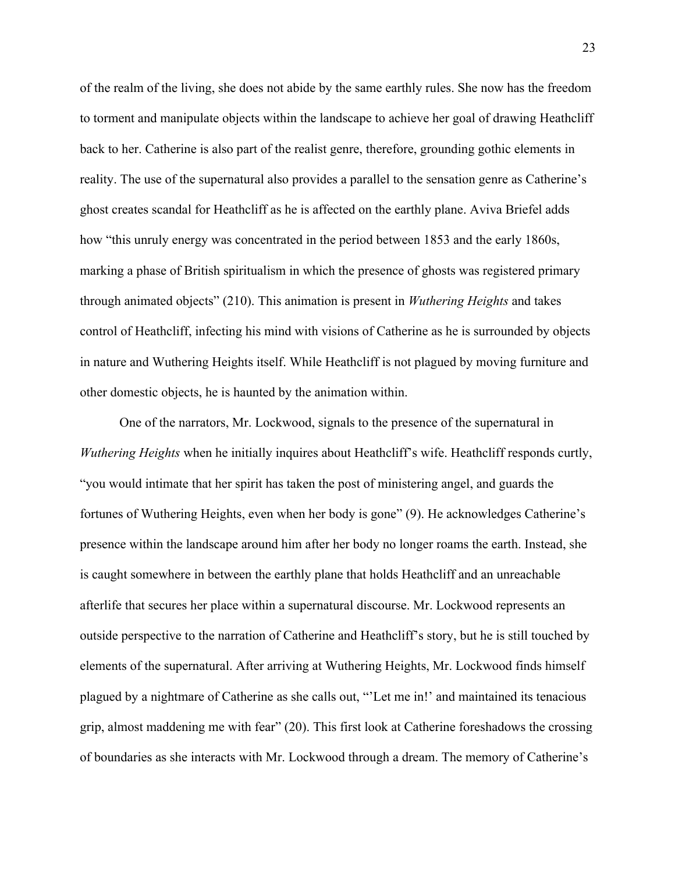of the realm of the living, she does not abide by the same earthly rules. She now has the freedom to torment and manipulate objects within the landscape to achieve her goal of drawing Heathcliff back to her. Catherine is also part of the realist genre, therefore, grounding gothic elements in reality. The use of the supernatural also provides a parallel to the sensation genre as Catherine's ghost creates scandal for Heathcliff as he is affected on the earthly plane. Aviva Briefel adds how "this unruly energy was concentrated in the period between 1853 and the early 1860s, marking a phase of British spiritualism in which the presence of ghosts was registered primary through animated objects" (210). This animation is present in *Wuthering Heights* and takes control of Heathcliff, infecting his mind with visions of Catherine as he is surrounded by objects in nature and Wuthering Heights itself. While Heathcliff is not plagued by moving furniture and other domestic objects, he is haunted by the animation within.

One of the narrators, Mr. Lockwood, signals to the presence of the supernatural in *Wuthering Heights* when he initially inquires about Heathcliff's wife. Heathcliff responds curtly, "you would intimate that her spirit has taken the post of ministering angel, and guards the fortunes of Wuthering Heights, even when her body is gone" (9). He acknowledges Catherine's presence within the landscape around him after her body no longer roams the earth. Instead, she is caught somewhere in between the earthly plane that holds Heathcliff and an unreachable afterlife that secures her place within a supernatural discourse. Mr. Lockwood represents an outside perspective to the narration of Catherine and Heathcliff's story, but he is still touched by elements of the supernatural. After arriving at Wuthering Heights, Mr. Lockwood finds himself plagued by a nightmare of Catherine as she calls out, "'Let me in!' and maintained its tenacious grip, almost maddening me with fear" (20). This first look at Catherine foreshadows the crossing of boundaries as she interacts with Mr. Lockwood through a dream. The memory of Catherine's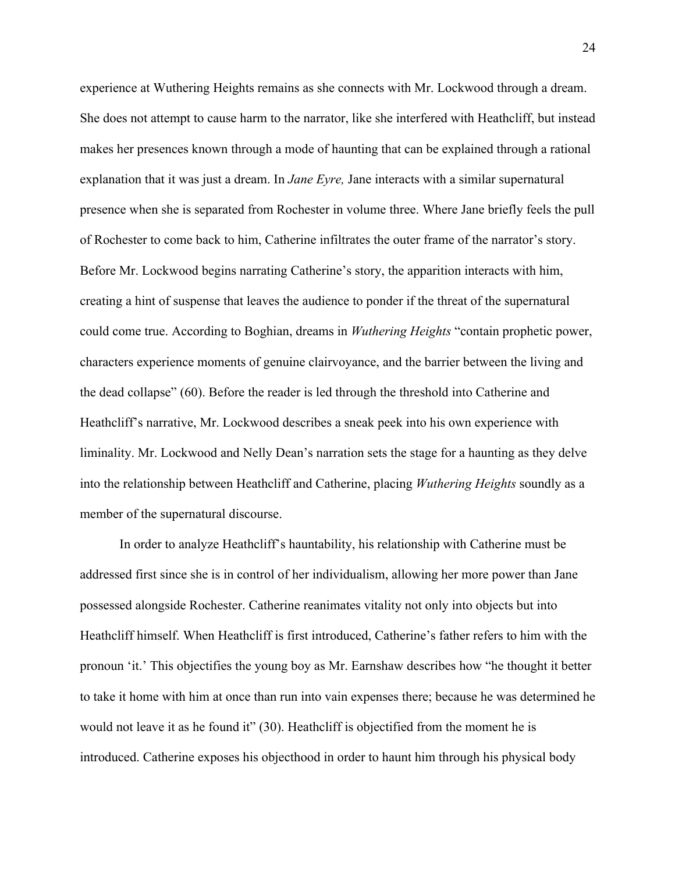experience at Wuthering Heights remains as she connects with Mr. Lockwood through a dream. She does not attempt to cause harm to the narrator, like she interfered with Heathcliff, but instead makes her presences known through a mode of haunting that can be explained through a rational explanation that it was just a dream. In *Jane Eyre,* Jane interacts with a similar supernatural presence when she is separated from Rochester in volume three. Where Jane briefly feels the pull of Rochester to come back to him, Catherine infiltrates the outer frame of the narrator's story. Before Mr. Lockwood begins narrating Catherine's story, the apparition interacts with him, creating a hint of suspense that leaves the audience to ponder if the threat of the supernatural could come true. According to Boghian, dreams in *Wuthering Heights* "contain prophetic power, characters experience moments of genuine clairvoyance, and the barrier between the living and the dead collapse" (60). Before the reader is led through the threshold into Catherine and Heathcliff's narrative, Mr. Lockwood describes a sneak peek into his own experience with liminality. Mr. Lockwood and Nelly Dean's narration sets the stage for a haunting as they delve into the relationship between Heathcliff and Catherine, placing *Wuthering Heights* soundly as a member of the supernatural discourse.

In order to analyze Heathcliff's hauntability, his relationship with Catherine must be addressed first since she is in control of her individualism, allowing her more power than Jane possessed alongside Rochester. Catherine reanimates vitality not only into objects but into Heathcliff himself. When Heathcliff is first introduced, Catherine's father refers to him with the pronoun 'it.' This objectifies the young boy as Mr. Earnshaw describes how "he thought it better to take it home with him at once than run into vain expenses there; because he was determined he would not leave it as he found it" (30). Heathcliff is objectified from the moment he is introduced. Catherine exposes his objecthood in order to haunt him through his physical body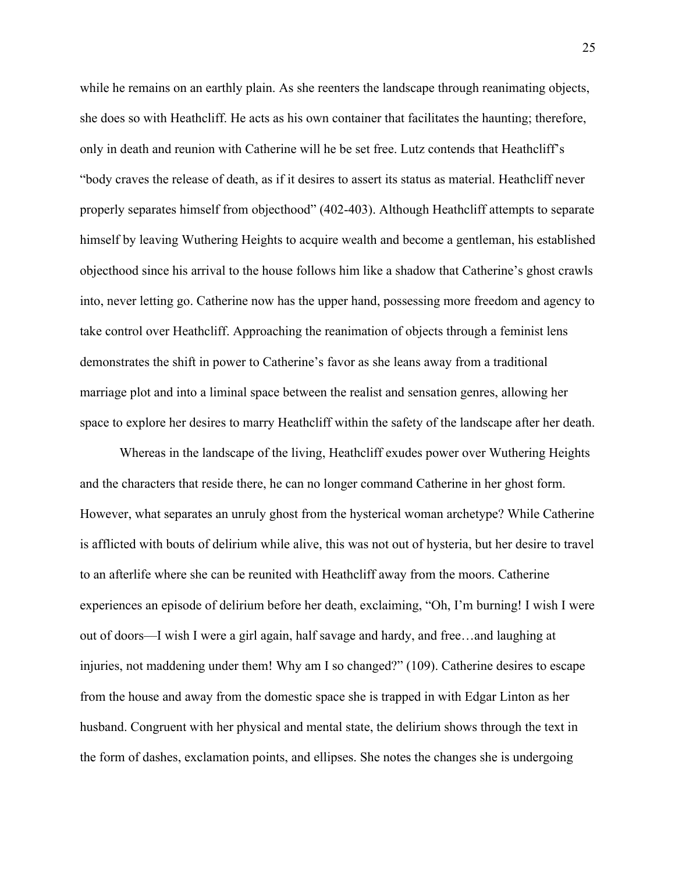while he remains on an earthly plain. As she reenters the landscape through reanimating objects, she does so with Heathcliff. He acts as his own container that facilitates the haunting; therefore, only in death and reunion with Catherine will he be set free. Lutz contends that Heathcliff's "body craves the release of death, as if it desires to assert its status as material. Heathcliff never properly separates himself from objecthood" (402-403). Although Heathcliff attempts to separate himself by leaving Wuthering Heights to acquire wealth and become a gentleman, his established objecthood since his arrival to the house follows him like a shadow that Catherine's ghost crawls into, never letting go. Catherine now has the upper hand, possessing more freedom and agency to take control over Heathcliff. Approaching the reanimation of objects through a feminist lens demonstrates the shift in power to Catherine's favor as she leans away from a traditional marriage plot and into a liminal space between the realist and sensation genres, allowing her space to explore her desires to marry Heathcliff within the safety of the landscape after her death.

Whereas in the landscape of the living, Heathcliff exudes power over Wuthering Heights and the characters that reside there, he can no longer command Catherine in her ghost form. However, what separates an unruly ghost from the hysterical woman archetype? While Catherine is afflicted with bouts of delirium while alive, this was not out of hysteria, but her desire to travel to an afterlife where she can be reunited with Heathcliff away from the moors. Catherine experiences an episode of delirium before her death, exclaiming, "Oh, I'm burning! I wish I were out of doors—I wish I were a girl again, half savage and hardy, and free…and laughing at injuries, not maddening under them! Why am I so changed?" (109). Catherine desires to escape from the house and away from the domestic space she is trapped in with Edgar Linton as her husband. Congruent with her physical and mental state, the delirium shows through the text in the form of dashes, exclamation points, and ellipses. She notes the changes she is undergoing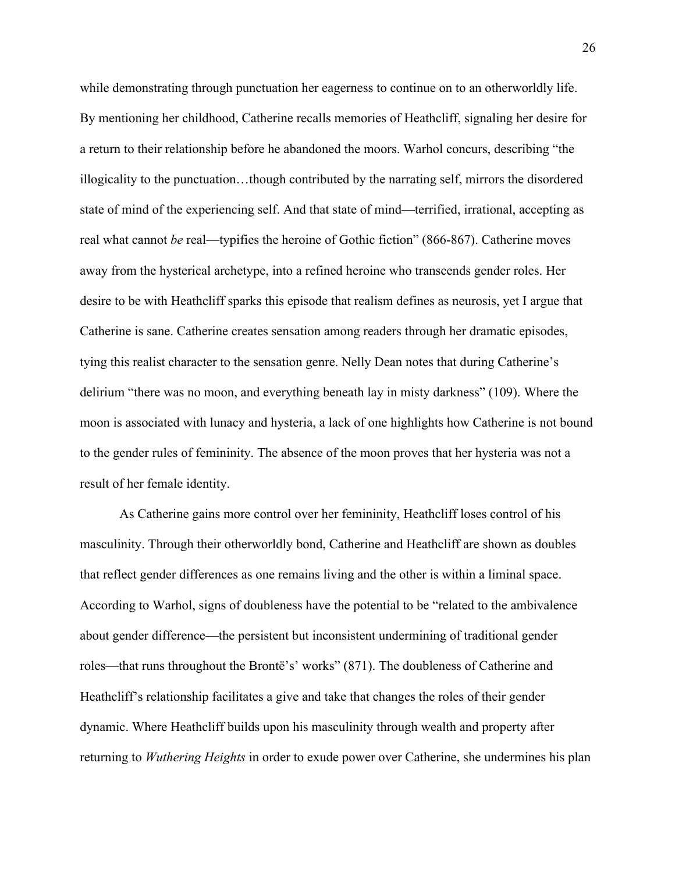while demonstrating through punctuation her eagerness to continue on to an otherworldly life. By mentioning her childhood, Catherine recalls memories of Heathcliff, signaling her desire for a return to their relationship before he abandoned the moors. Warhol concurs, describing "the illogicality to the punctuation…though contributed by the narrating self, mirrors the disordered state of mind of the experiencing self. And that state of mind—terrified, irrational, accepting as real what cannot *be* real—typifies the heroine of Gothic fiction" (866-867). Catherine moves away from the hysterical archetype, into a refined heroine who transcends gender roles. Her desire to be with Heathcliff sparks this episode that realism defines as neurosis, yet I argue that Catherine is sane. Catherine creates sensation among readers through her dramatic episodes, tying this realist character to the sensation genre. Nelly Dean notes that during Catherine's delirium "there was no moon, and everything beneath lay in misty darkness" (109). Where the moon is associated with lunacy and hysteria, a lack of one highlights how Catherine is not bound to the gender rules of femininity. The absence of the moon proves that her hysteria was not a result of her female identity.

As Catherine gains more control over her femininity, Heathcliff loses control of his masculinity. Through their otherworldly bond, Catherine and Heathcliff are shown as doubles that reflect gender differences as one remains living and the other is within a liminal space. According to Warhol, signs of doubleness have the potential to be "related to the ambivalence about gender difference—the persistent but inconsistent undermining of traditional gender roles—that runs throughout the Brontë's' works" (871). The doubleness of Catherine and Heathcliff's relationship facilitates a give and take that changes the roles of their gender dynamic. Where Heathcliff builds upon his masculinity through wealth and property after returning to *Wuthering Heights* in order to exude power over Catherine, she undermines his plan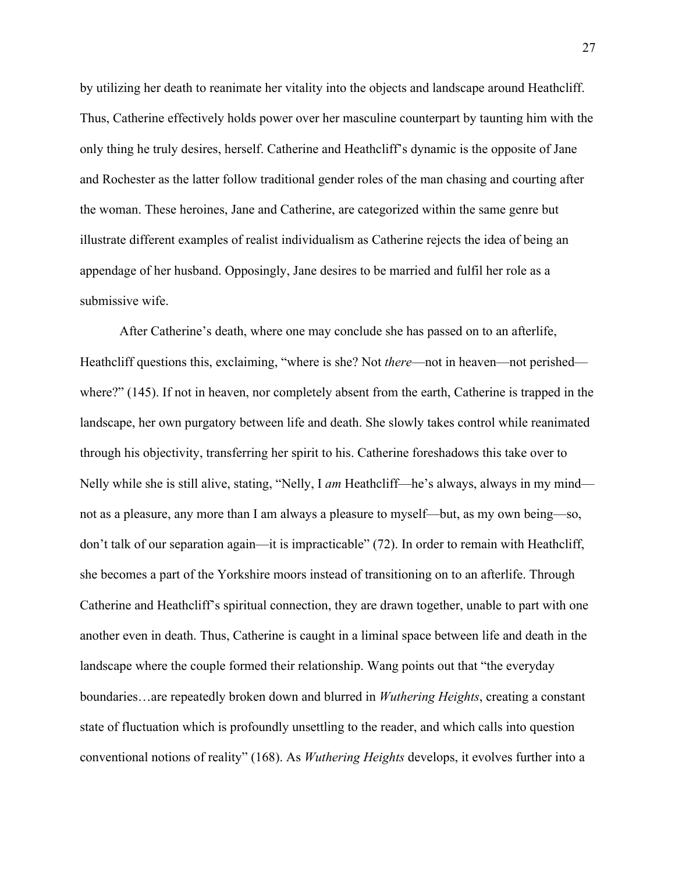by utilizing her death to reanimate her vitality into the objects and landscape around Heathcliff. Thus, Catherine effectively holds power over her masculine counterpart by taunting him with the only thing he truly desires, herself. Catherine and Heathcliff's dynamic is the opposite of Jane and Rochester as the latter follow traditional gender roles of the man chasing and courting after the woman. These heroines, Jane and Catherine, are categorized within the same genre but illustrate different examples of realist individualism as Catherine rejects the idea of being an appendage of her husband. Opposingly, Jane desires to be married and fulfil her role as a submissive wife.

After Catherine's death, where one may conclude she has passed on to an afterlife, Heathcliff questions this, exclaiming, "where is she? Not *there*—not in heaven—not perished where?" (145). If not in heaven, nor completely absent from the earth, Catherine is trapped in the landscape, her own purgatory between life and death. She slowly takes control while reanimated through his objectivity, transferring her spirit to his. Catherine foreshadows this take over to Nelly while she is still alive, stating, "Nelly, I *am* Heathcliff—he's always, always in my mind not as a pleasure, any more than I am always a pleasure to myself—but, as my own being—so, don't talk of our separation again—it is impracticable" (72). In order to remain with Heathcliff, she becomes a part of the Yorkshire moors instead of transitioning on to an afterlife. Through Catherine and Heathcliff's spiritual connection, they are drawn together, unable to part with one another even in death. Thus, Catherine is caught in a liminal space between life and death in the landscape where the couple formed their relationship. Wang points out that "the everyday boundaries…are repeatedly broken down and blurred in *Wuthering Heights*, creating a constant state of fluctuation which is profoundly unsettling to the reader, and which calls into question conventional notions of reality" (168). As *Wuthering Heights* develops, it evolves further into a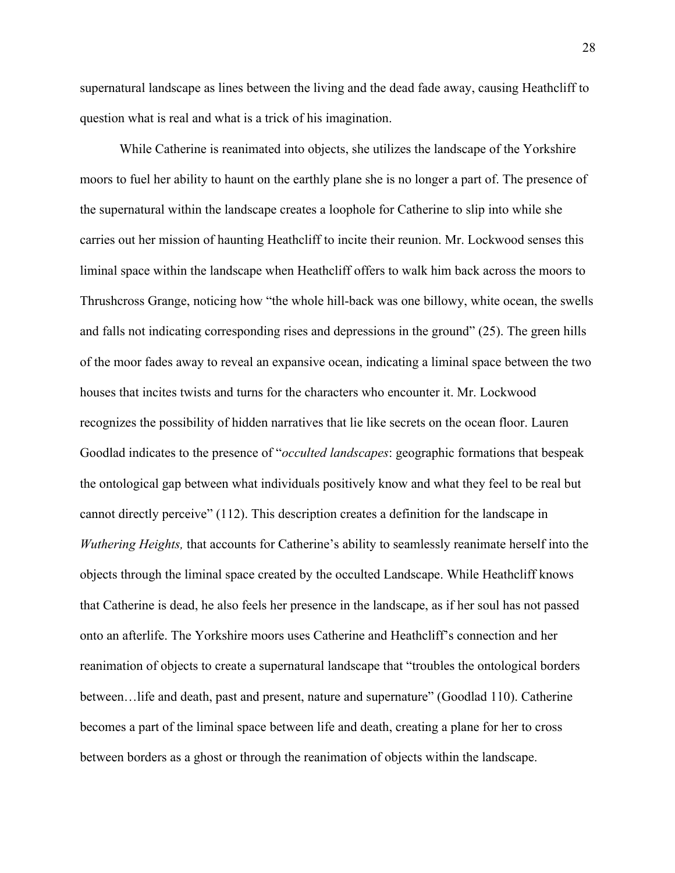supernatural landscape as lines between the living and the dead fade away, causing Heathcliff to question what is real and what is a trick of his imagination.

While Catherine is reanimated into objects, she utilizes the landscape of the Yorkshire moors to fuel her ability to haunt on the earthly plane she is no longer a part of. The presence of the supernatural within the landscape creates a loophole for Catherine to slip into while she carries out her mission of haunting Heathcliff to incite their reunion. Mr. Lockwood senses this liminal space within the landscape when Heathcliff offers to walk him back across the moors to Thrushcross Grange, noticing how "the whole hill-back was one billowy, white ocean, the swells and falls not indicating corresponding rises and depressions in the ground" (25). The green hills of the moor fades away to reveal an expansive ocean, indicating a liminal space between the two houses that incites twists and turns for the characters who encounter it. Mr. Lockwood recognizes the possibility of hidden narratives that lie like secrets on the ocean floor. Lauren Goodlad indicates to the presence of "*occulted landscapes*: geographic formations that bespeak the ontological gap between what individuals positively know and what they feel to be real but cannot directly perceive" (112). This description creates a definition for the landscape in *Wuthering Heights,* that accounts for Catherine's ability to seamlessly reanimate herself into the objects through the liminal space created by the occulted Landscape. While Heathcliff knows that Catherine is dead, he also feels her presence in the landscape, as if her soul has not passed onto an afterlife. The Yorkshire moors uses Catherine and Heathcliff's connection and her reanimation of objects to create a supernatural landscape that "troubles the ontological borders between…life and death, past and present, nature and supernature" (Goodlad 110). Catherine becomes a part of the liminal space between life and death, creating a plane for her to cross between borders as a ghost or through the reanimation of objects within the landscape.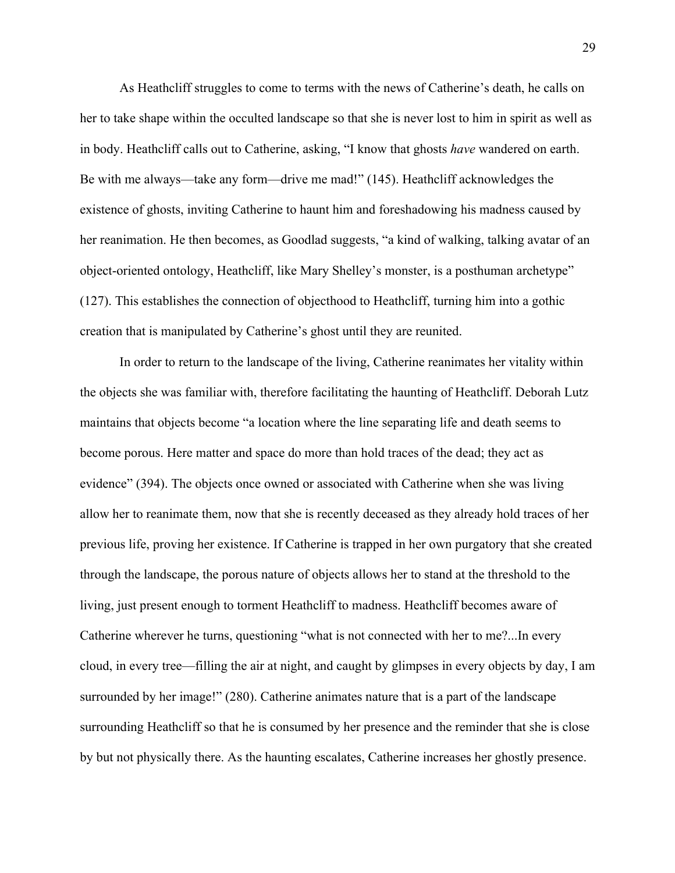As Heathcliff struggles to come to terms with the news of Catherine's death, he calls on her to take shape within the occulted landscape so that she is never lost to him in spirit as well as in body. Heathcliff calls out to Catherine, asking, "I know that ghosts *have* wandered on earth. Be with me always—take any form—drive me mad!" (145). Heathcliff acknowledges the existence of ghosts, inviting Catherine to haunt him and foreshadowing his madness caused by her reanimation. He then becomes, as Goodlad suggests, "a kind of walking, talking avatar of an object-oriented ontology, Heathcliff, like Mary Shelley's monster, is a posthuman archetype" (127). This establishes the connection of objecthood to Heathcliff, turning him into a gothic creation that is manipulated by Catherine's ghost until they are reunited.

In order to return to the landscape of the living, Catherine reanimates her vitality within the objects she was familiar with, therefore facilitating the haunting of Heathcliff. Deborah Lutz maintains that objects become "a location where the line separating life and death seems to become porous. Here matter and space do more than hold traces of the dead; they act as evidence" (394). The objects once owned or associated with Catherine when she was living allow her to reanimate them, now that she is recently deceased as they already hold traces of her previous life, proving her existence. If Catherine is trapped in her own purgatory that she created through the landscape, the porous nature of objects allows her to stand at the threshold to the living, just present enough to torment Heathcliff to madness. Heathcliff becomes aware of Catherine wherever he turns, questioning "what is not connected with her to me?...In every cloud, in every tree—filling the air at night, and caught by glimpses in every objects by day, I am surrounded by her image!" (280). Catherine animates nature that is a part of the landscape surrounding Heathcliff so that he is consumed by her presence and the reminder that she is close by but not physically there. As the haunting escalates, Catherine increases her ghostly presence.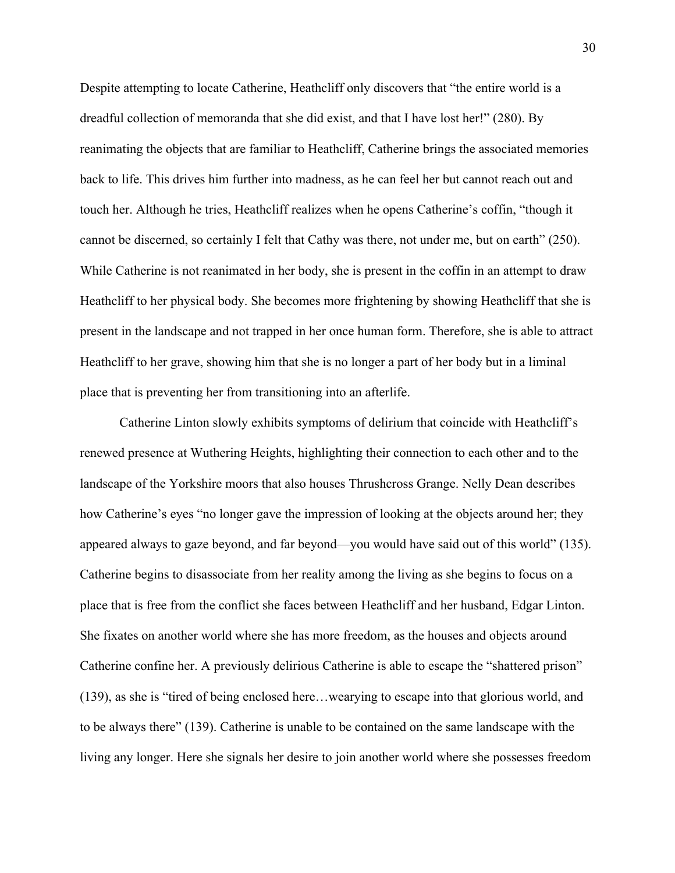Despite attempting to locate Catherine, Heathcliff only discovers that "the entire world is a dreadful collection of memoranda that she did exist, and that I have lost her!" (280). By reanimating the objects that are familiar to Heathcliff, Catherine brings the associated memories back to life. This drives him further into madness, as he can feel her but cannot reach out and touch her. Although he tries, Heathcliff realizes when he opens Catherine's coffin, "though it cannot be discerned, so certainly I felt that Cathy was there, not under me, but on earth" (250). While Catherine is not reanimated in her body, she is present in the coffin in an attempt to draw Heathcliff to her physical body. She becomes more frightening by showing Heathcliff that she is present in the landscape and not trapped in her once human form. Therefore, she is able to attract Heathcliff to her grave, showing him that she is no longer a part of her body but in a liminal place that is preventing her from transitioning into an afterlife.

Catherine Linton slowly exhibits symptoms of delirium that coincide with Heathcliff's renewed presence at Wuthering Heights, highlighting their connection to each other and to the landscape of the Yorkshire moors that also houses Thrushcross Grange. Nelly Dean describes how Catherine's eyes "no longer gave the impression of looking at the objects around her; they appeared always to gaze beyond, and far beyond—you would have said out of this world" (135). Catherine begins to disassociate from her reality among the living as she begins to focus on a place that is free from the conflict she faces between Heathcliff and her husband, Edgar Linton. She fixates on another world where she has more freedom, as the houses and objects around Catherine confine her. A previously delirious Catherine is able to escape the "shattered prison" (139), as she is "tired of being enclosed here…wearying to escape into that glorious world, and to be always there" (139). Catherine is unable to be contained on the same landscape with the living any longer. Here she signals her desire to join another world where she possesses freedom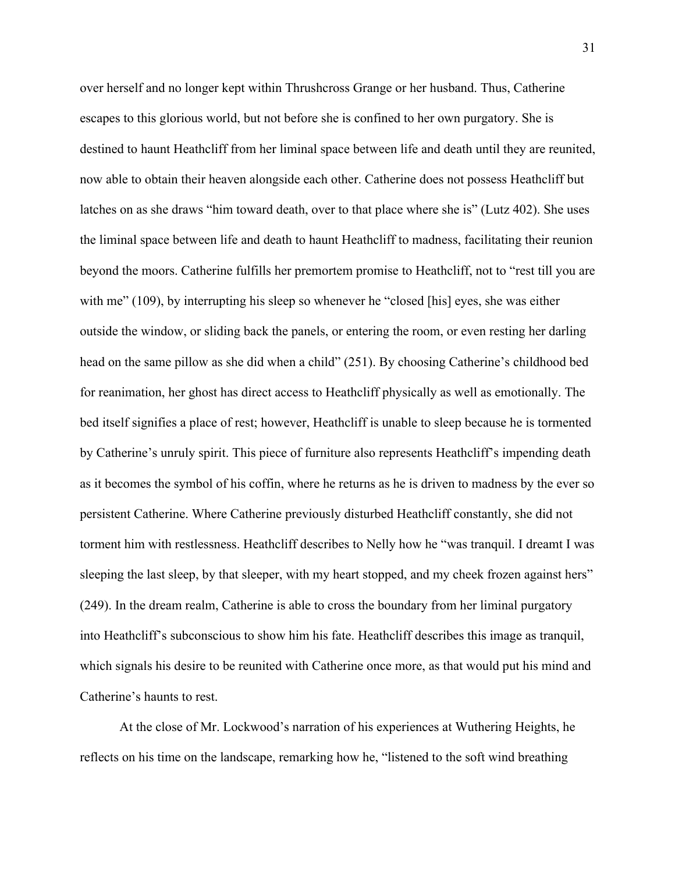over herself and no longer kept within Thrushcross Grange or her husband. Thus, Catherine escapes to this glorious world, but not before she is confined to her own purgatory. She is destined to haunt Heathcliff from her liminal space between life and death until they are reunited, now able to obtain their heaven alongside each other. Catherine does not possess Heathcliff but latches on as she draws "him toward death, over to that place where she is" (Lutz 402). She uses the liminal space between life and death to haunt Heathcliff to madness, facilitating their reunion beyond the moors. Catherine fulfills her premortem promise to Heathcliff, not to "rest till you are with me" (109), by interrupting his sleep so whenever he "closed [his] eyes, she was either outside the window, or sliding back the panels, or entering the room, or even resting her darling head on the same pillow as she did when a child" (251). By choosing Catherine's childhood bed for reanimation, her ghost has direct access to Heathcliff physically as well as emotionally. The bed itself signifies a place of rest; however, Heathcliff is unable to sleep because he is tormented by Catherine's unruly spirit. This piece of furniture also represents Heathcliff's impending death as it becomes the symbol of his coffin, where he returns as he is driven to madness by the ever so persistent Catherine. Where Catherine previously disturbed Heathcliff constantly, she did not torment him with restlessness. Heathcliff describes to Nelly how he "was tranquil. I dreamt I was sleeping the last sleep, by that sleeper, with my heart stopped, and my cheek frozen against hers" (249). In the dream realm, Catherine is able to cross the boundary from her liminal purgatory into Heathcliff's subconscious to show him his fate. Heathcliff describes this image as tranquil, which signals his desire to be reunited with Catherine once more, as that would put his mind and Catherine's haunts to rest.

At the close of Mr. Lockwood's narration of his experiences at Wuthering Heights, he reflects on his time on the landscape, remarking how he, "listened to the soft wind breathing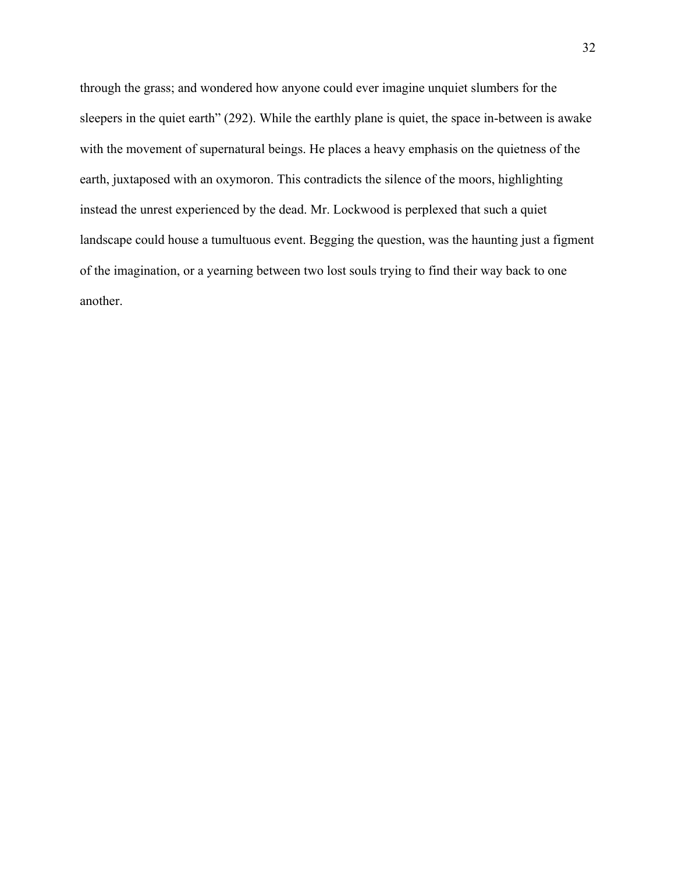through the grass; and wondered how anyone could ever imagine unquiet slumbers for the sleepers in the quiet earth" (292). While the earthly plane is quiet, the space in-between is awake with the movement of supernatural beings. He places a heavy emphasis on the quietness of the earth, juxtaposed with an oxymoron. This contradicts the silence of the moors, highlighting instead the unrest experienced by the dead. Mr. Lockwood is perplexed that such a quiet landscape could house a tumultuous event. Begging the question, was the haunting just a figment of the imagination, or a yearning between two lost souls trying to find their way back to one another.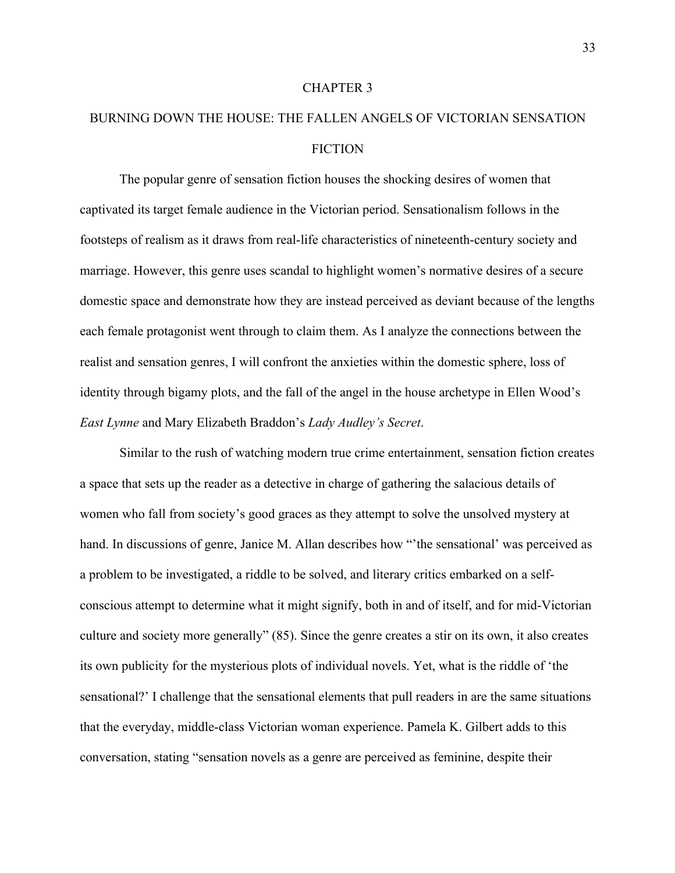#### CHAPTER 3

# BURNING DOWN THE HOUSE: THE FALLEN ANGELS OF VICTORIAN SENSATION **FICTION**

The popular genre of sensation fiction houses the shocking desires of women that captivated its target female audience in the Victorian period. Sensationalism follows in the footsteps of realism as it draws from real-life characteristics of nineteenth-century society and marriage. However, this genre uses scandal to highlight women's normative desires of a secure domestic space and demonstrate how they are instead perceived as deviant because of the lengths each female protagonist went through to claim them. As I analyze the connections between the realist and sensation genres, I will confront the anxieties within the domestic sphere, loss of identity through bigamy plots, and the fall of the angel in the house archetype in Ellen Wood's *East Lynne* and Mary Elizabeth Braddon's *Lady Audley's Secret*.

Similar to the rush of watching modern true crime entertainment, sensation fiction creates a space that sets up the reader as a detective in charge of gathering the salacious details of women who fall from society's good graces as they attempt to solve the unsolved mystery at hand. In discussions of genre, Janice M. Allan describes how "the sensational' was perceived as a problem to be investigated, a riddle to be solved, and literary critics embarked on a selfconscious attempt to determine what it might signify, both in and of itself, and for mid-Victorian culture and society more generally" (85). Since the genre creates a stir on its own, it also creates its own publicity for the mysterious plots of individual novels. Yet, what is the riddle of 'the sensational?' I challenge that the sensational elements that pull readers in are the same situations that the everyday, middle-class Victorian woman experience. Pamela K. Gilbert adds to this conversation, stating "sensation novels as a genre are perceived as feminine, despite their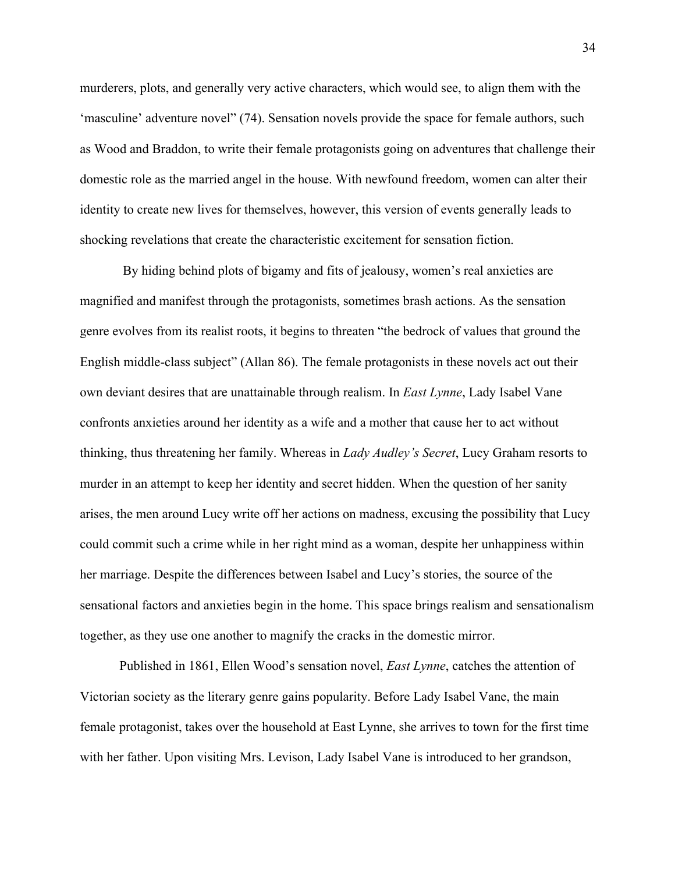murderers, plots, and generally very active characters, which would see, to align them with the 'masculine' adventure novel" (74). Sensation novels provide the space for female authors, such as Wood and Braddon, to write their female protagonists going on adventures that challenge their domestic role as the married angel in the house. With newfound freedom, women can alter their identity to create new lives for themselves, however, this version of events generally leads to shocking revelations that create the characteristic excitement for sensation fiction.

By hiding behind plots of bigamy and fits of jealousy, women's real anxieties are magnified and manifest through the protagonists, sometimes brash actions. As the sensation genre evolves from its realist roots, it begins to threaten "the bedrock of values that ground the English middle-class subject" (Allan 86). The female protagonists in these novels act out their own deviant desires that are unattainable through realism. In *East Lynne*, Lady Isabel Vane confronts anxieties around her identity as a wife and a mother that cause her to act without thinking, thus threatening her family. Whereas in *Lady Audley's Secret*, Lucy Graham resorts to murder in an attempt to keep her identity and secret hidden. When the question of her sanity arises, the men around Lucy write off her actions on madness, excusing the possibility that Lucy could commit such a crime while in her right mind as a woman, despite her unhappiness within her marriage. Despite the differences between Isabel and Lucy's stories, the source of the sensational factors and anxieties begin in the home. This space brings realism and sensationalism together, as they use one another to magnify the cracks in the domestic mirror.

Published in 1861, Ellen Wood's sensation novel, *East Lynne*, catches the attention of Victorian society as the literary genre gains popularity. Before Lady Isabel Vane, the main female protagonist, takes over the household at East Lynne, she arrives to town for the first time with her father. Upon visiting Mrs. Levison, Lady Isabel Vane is introduced to her grandson,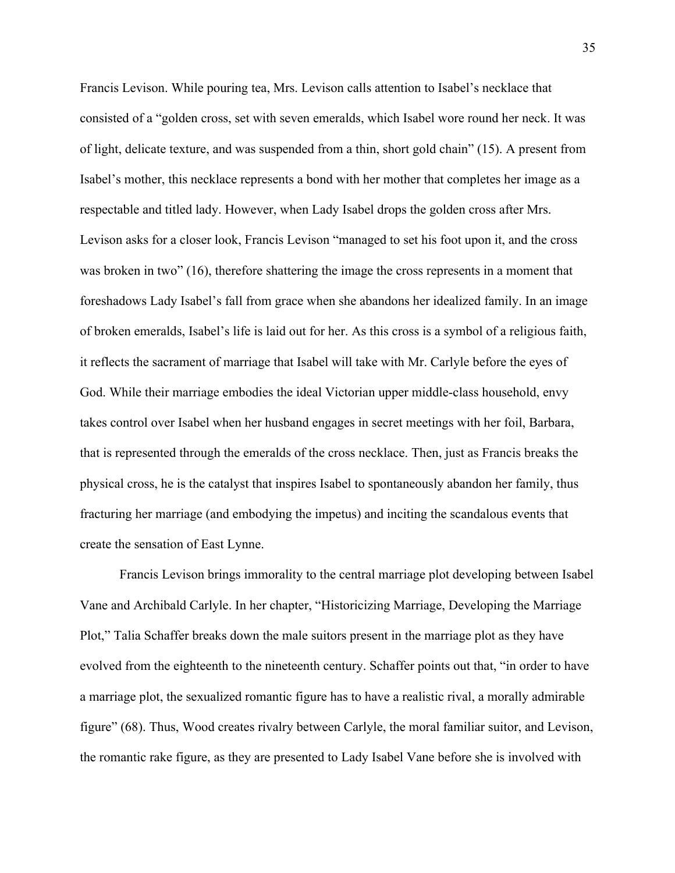Francis Levison. While pouring tea, Mrs. Levison calls attention to Isabel's necklace that consisted of a "golden cross, set with seven emeralds, which Isabel wore round her neck. It was of light, delicate texture, and was suspended from a thin, short gold chain" (15). A present from Isabel's mother, this necklace represents a bond with her mother that completes her image as a respectable and titled lady. However, when Lady Isabel drops the golden cross after Mrs. Levison asks for a closer look, Francis Levison "managed to set his foot upon it, and the cross was broken in two" (16), therefore shattering the image the cross represents in a moment that foreshadows Lady Isabel's fall from grace when she abandons her idealized family. In an image of broken emeralds, Isabel's life is laid out for her. As this cross is a symbol of a religious faith, it reflects the sacrament of marriage that Isabel will take with Mr. Carlyle before the eyes of God. While their marriage embodies the ideal Victorian upper middle-class household, envy takes control over Isabel when her husband engages in secret meetings with her foil, Barbara, that is represented through the emeralds of the cross necklace. Then, just as Francis breaks the physical cross, he is the catalyst that inspires Isabel to spontaneously abandon her family, thus fracturing her marriage (and embodying the impetus) and inciting the scandalous events that create the sensation of East Lynne.

Francis Levison brings immorality to the central marriage plot developing between Isabel Vane and Archibald Carlyle. In her chapter, "Historicizing Marriage, Developing the Marriage Plot," Talia Schaffer breaks down the male suitors present in the marriage plot as they have evolved from the eighteenth to the nineteenth century. Schaffer points out that, "in order to have a marriage plot, the sexualized romantic figure has to have a realistic rival, a morally admirable figure" (68). Thus, Wood creates rivalry between Carlyle, the moral familiar suitor, and Levison, the romantic rake figure, as they are presented to Lady Isabel Vane before she is involved with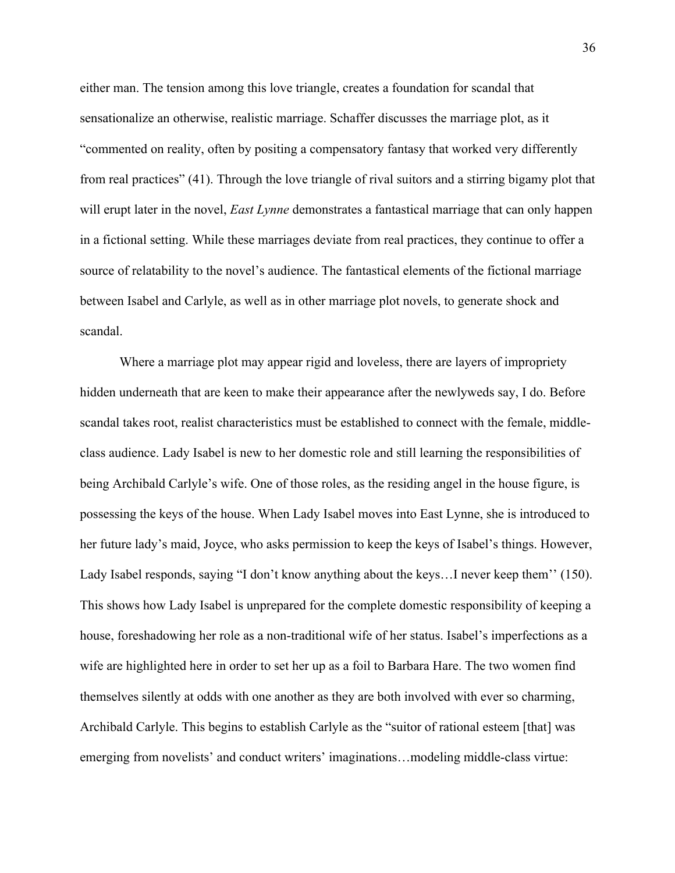either man. The tension among this love triangle, creates a foundation for scandal that sensationalize an otherwise, realistic marriage. Schaffer discusses the marriage plot, as it "commented on reality, often by positing a compensatory fantasy that worked very differently from real practices" (41). Through the love triangle of rival suitors and a stirring bigamy plot that will erupt later in the novel, *East Lynne* demonstrates a fantastical marriage that can only happen in a fictional setting. While these marriages deviate from real practices, they continue to offer a source of relatability to the novel's audience. The fantastical elements of the fictional marriage between Isabel and Carlyle, as well as in other marriage plot novels, to generate shock and scandal.

Where a marriage plot may appear rigid and loveless, there are layers of impropriety hidden underneath that are keen to make their appearance after the newlyweds say, I do. Before scandal takes root, realist characteristics must be established to connect with the female, middleclass audience. Lady Isabel is new to her domestic role and still learning the responsibilities of being Archibald Carlyle's wife. One of those roles, as the residing angel in the house figure, is possessing the keys of the house. When Lady Isabel moves into East Lynne, she is introduced to her future lady's maid, Joyce, who asks permission to keep the keys of Isabel's things. However, Lady Isabel responds, saying "I don't know anything about the keys... I never keep them'' (150). This shows how Lady Isabel is unprepared for the complete domestic responsibility of keeping a house, foreshadowing her role as a non-traditional wife of her status. Isabel's imperfections as a wife are highlighted here in order to set her up as a foil to Barbara Hare. The two women find themselves silently at odds with one another as they are both involved with ever so charming, Archibald Carlyle. This begins to establish Carlyle as the "suitor of rational esteem [that] was emerging from novelists' and conduct writers' imaginations…modeling middle-class virtue: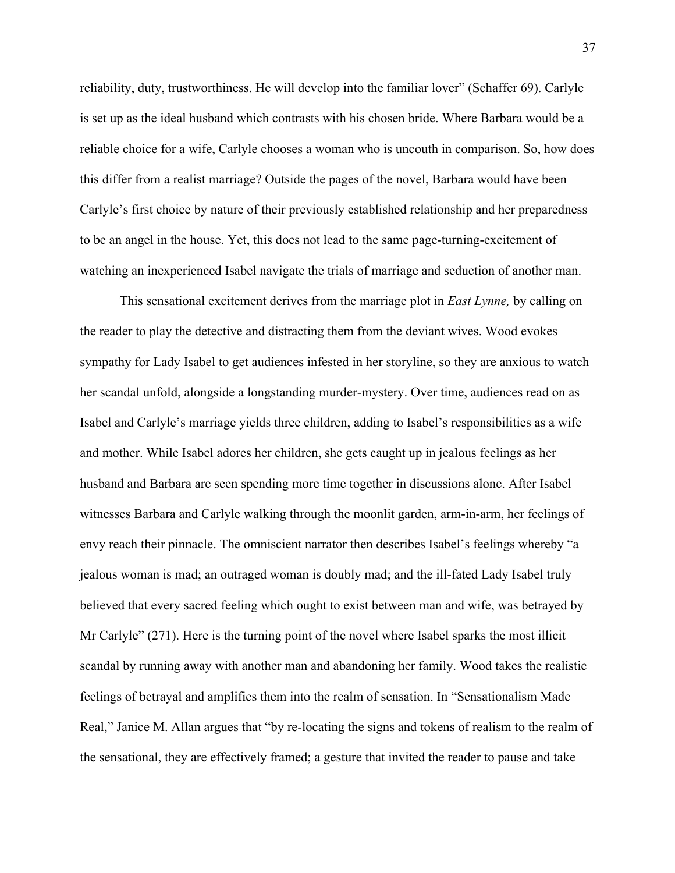reliability, duty, trustworthiness. He will develop into the familiar lover" (Schaffer 69). Carlyle is set up as the ideal husband which contrasts with his chosen bride. Where Barbara would be a reliable choice for a wife, Carlyle chooses a woman who is uncouth in comparison. So, how does this differ from a realist marriage? Outside the pages of the novel, Barbara would have been Carlyle's first choice by nature of their previously established relationship and her preparedness to be an angel in the house. Yet, this does not lead to the same page-turning-excitement of watching an inexperienced Isabel navigate the trials of marriage and seduction of another man.

This sensational excitement derives from the marriage plot in *East Lynne,* by calling on the reader to play the detective and distracting them from the deviant wives. Wood evokes sympathy for Lady Isabel to get audiences infested in her storyline, so they are anxious to watch her scandal unfold, alongside a longstanding murder-mystery. Over time, audiences read on as Isabel and Carlyle's marriage yields three children, adding to Isabel's responsibilities as a wife and mother. While Isabel adores her children, she gets caught up in jealous feelings as her husband and Barbara are seen spending more time together in discussions alone. After Isabel witnesses Barbara and Carlyle walking through the moonlit garden, arm-in-arm, her feelings of envy reach their pinnacle. The omniscient narrator then describes Isabel's feelings whereby "a jealous woman is mad; an outraged woman is doubly mad; and the ill-fated Lady Isabel truly believed that every sacred feeling which ought to exist between man and wife, was betrayed by Mr Carlyle" (271). Here is the turning point of the novel where Isabel sparks the most illicit scandal by running away with another man and abandoning her family. Wood takes the realistic feelings of betrayal and amplifies them into the realm of sensation. In "Sensationalism Made Real," Janice M. Allan argues that "by re-locating the signs and tokens of realism to the realm of the sensational, they are effectively framed; a gesture that invited the reader to pause and take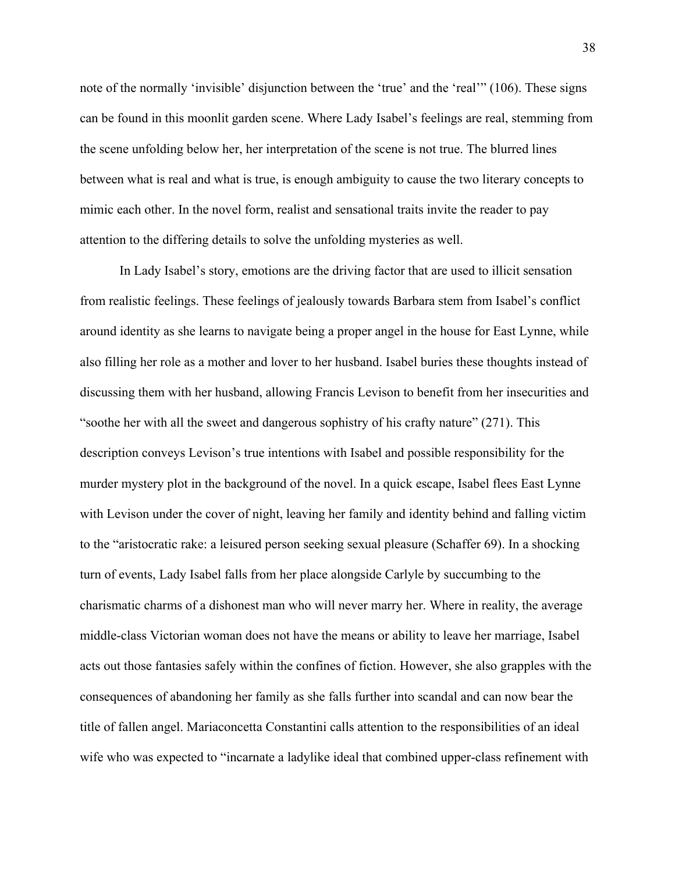note of the normally 'invisible' disjunction between the 'true' and the 'real'" (106). These signs can be found in this moonlit garden scene. Where Lady Isabel's feelings are real, stemming from the scene unfolding below her, her interpretation of the scene is not true. The blurred lines between what is real and what is true, is enough ambiguity to cause the two literary concepts to mimic each other. In the novel form, realist and sensational traits invite the reader to pay attention to the differing details to solve the unfolding mysteries as well.

In Lady Isabel's story, emotions are the driving factor that are used to illicit sensation from realistic feelings. These feelings of jealously towards Barbara stem from Isabel's conflict around identity as she learns to navigate being a proper angel in the house for East Lynne, while also filling her role as a mother and lover to her husband. Isabel buries these thoughts instead of discussing them with her husband, allowing Francis Levison to benefit from her insecurities and "soothe her with all the sweet and dangerous sophistry of his crafty nature" (271). This description conveys Levison's true intentions with Isabel and possible responsibility for the murder mystery plot in the background of the novel. In a quick escape, Isabel flees East Lynne with Levison under the cover of night, leaving her family and identity behind and falling victim to the "aristocratic rake: a leisured person seeking sexual pleasure (Schaffer 69). In a shocking turn of events, Lady Isabel falls from her place alongside Carlyle by succumbing to the charismatic charms of a dishonest man who will never marry her. Where in reality, the average middle-class Victorian woman does not have the means or ability to leave her marriage, Isabel acts out those fantasies safely within the confines of fiction. However, she also grapples with the consequences of abandoning her family as she falls further into scandal and can now bear the title of fallen angel. Mariaconcetta Constantini calls attention to the responsibilities of an ideal wife who was expected to "incarnate a ladylike ideal that combined upper-class refinement with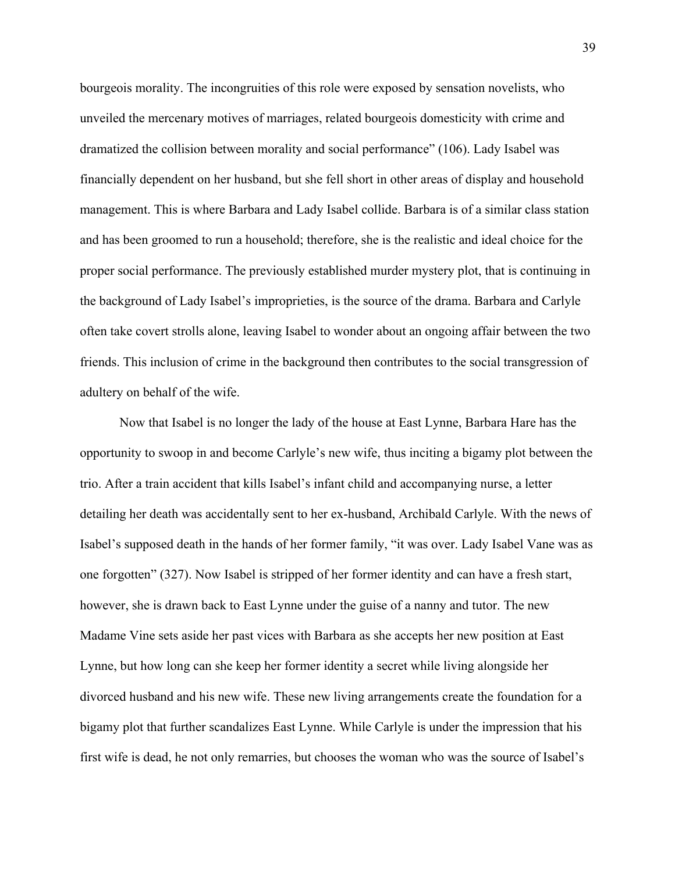bourgeois morality. The incongruities of this role were exposed by sensation novelists, who unveiled the mercenary motives of marriages, related bourgeois domesticity with crime and dramatized the collision between morality and social performance" (106). Lady Isabel was financially dependent on her husband, but she fell short in other areas of display and household management. This is where Barbara and Lady Isabel collide. Barbara is of a similar class station and has been groomed to run a household; therefore, she is the realistic and ideal choice for the proper social performance. The previously established murder mystery plot, that is continuing in the background of Lady Isabel's improprieties, is the source of the drama. Barbara and Carlyle often take covert strolls alone, leaving Isabel to wonder about an ongoing affair between the two friends. This inclusion of crime in the background then contributes to the social transgression of adultery on behalf of the wife.

Now that Isabel is no longer the lady of the house at East Lynne, Barbara Hare has the opportunity to swoop in and become Carlyle's new wife, thus inciting a bigamy plot between the trio. After a train accident that kills Isabel's infant child and accompanying nurse, a letter detailing her death was accidentally sent to her ex-husband, Archibald Carlyle. With the news of Isabel's supposed death in the hands of her former family, "it was over. Lady Isabel Vane was as one forgotten" (327). Now Isabel is stripped of her former identity and can have a fresh start, however, she is drawn back to East Lynne under the guise of a nanny and tutor. The new Madame Vine sets aside her past vices with Barbara as she accepts her new position at East Lynne, but how long can she keep her former identity a secret while living alongside her divorced husband and his new wife. These new living arrangements create the foundation for a bigamy plot that further scandalizes East Lynne. While Carlyle is under the impression that his first wife is dead, he not only remarries, but chooses the woman who was the source of Isabel's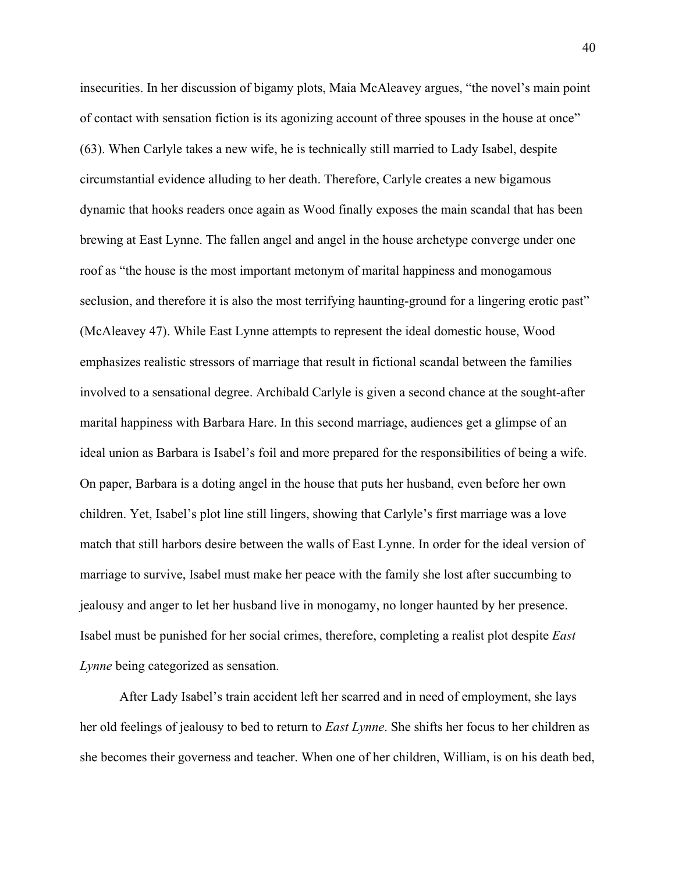insecurities. In her discussion of bigamy plots, Maia McAleavey argues, "the novel's main point of contact with sensation fiction is its agonizing account of three spouses in the house at once" (63). When Carlyle takes a new wife, he is technically still married to Lady Isabel, despite circumstantial evidence alluding to her death. Therefore, Carlyle creates a new bigamous dynamic that hooks readers once again as Wood finally exposes the main scandal that has been brewing at East Lynne. The fallen angel and angel in the house archetype converge under one roof as "the house is the most important metonym of marital happiness and monogamous seclusion, and therefore it is also the most terrifying haunting-ground for a lingering erotic past" (McAleavey 47). While East Lynne attempts to represent the ideal domestic house, Wood emphasizes realistic stressors of marriage that result in fictional scandal between the families involved to a sensational degree. Archibald Carlyle is given a second chance at the sought-after marital happiness with Barbara Hare. In this second marriage, audiences get a glimpse of an ideal union as Barbara is Isabel's foil and more prepared for the responsibilities of being a wife. On paper, Barbara is a doting angel in the house that puts her husband, even before her own children. Yet, Isabel's plot line still lingers, showing that Carlyle's first marriage was a love match that still harbors desire between the walls of East Lynne. In order for the ideal version of marriage to survive, Isabel must make her peace with the family she lost after succumbing to jealousy and anger to let her husband live in monogamy, no longer haunted by her presence. Isabel must be punished for her social crimes, therefore, completing a realist plot despite *East Lynne* being categorized as sensation.

After Lady Isabel's train accident left her scarred and in need of employment, she lays her old feelings of jealousy to bed to return to *East Lynne*. She shifts her focus to her children as she becomes their governess and teacher. When one of her children, William, is on his death bed,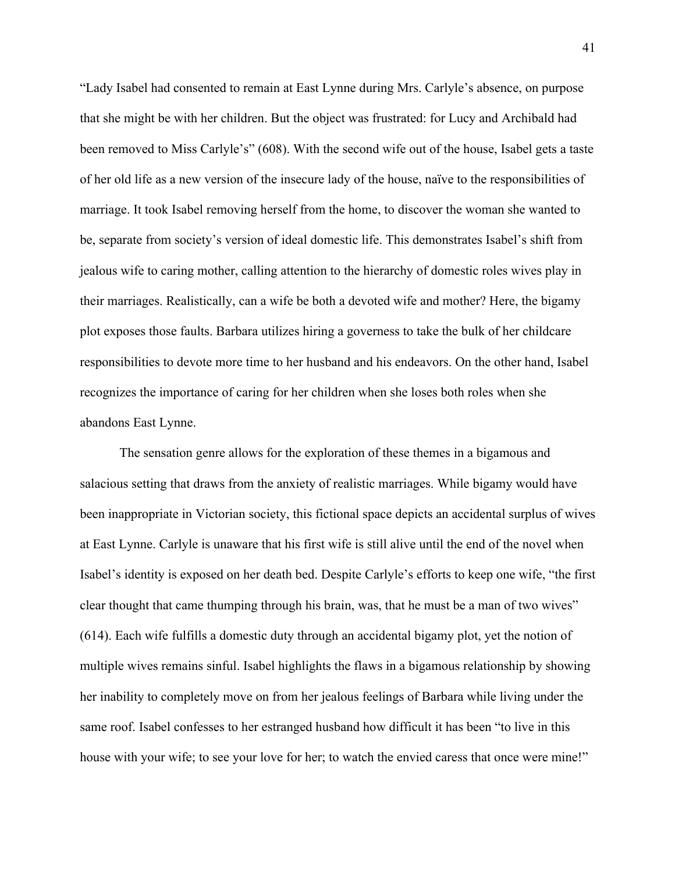"Lady Isabel had consented to remain at East Lynne during Mrs. Carlyle's absence, on purpose that she might be with her children. But the object was frustrated: for Lucy and Archibald had been removed to Miss Carlyle's" (608). With the second wife out of the house, Isabel gets a taste of her old life as a new version of the insecure lady of the house, naïve to the responsibilities of marriage. It took Isabel removing herself from the home, to discover the woman she wanted to be, separate from society's version of ideal domestic life. This demonstrates Isabel's shift from jealous wife to caring mother, calling attention to the hierarchy of domestic roles wives play in their marriages. Realistically, can a wife be both a devoted wife and mother? Here, the bigamy plot exposes those faults. Barbara utilizes hiring a governess to take the bulk of her childcare responsibilities to devote more time to her husband and his endeavors. On the other hand, Isabel recognizes the importance of caring for her children when she loses both roles when she abandons East Lynne.

The sensation genre allows for the exploration of these themes in a bigamous and salacious setting that draws from the anxiety of realistic marriages. While bigamy would have been inappropriate in Victorian society, this fictional space depicts an accidental surplus of wives at East Lynne. Carlyle is unaware that his first wife is still alive until the end of the novel when Isabel's identity is exposed on her death bed. Despite Carlyle's efforts to keep one wife, "the first clear thought that came thumping through his brain, was, that he must be a man of two wives" (614). Each wife fulfills a domestic duty through an accidental bigamy plot, yet the notion of multiple wives remains sinful. Isabel highlights the flaws in a bigamous relationship by showing her inability to completely move on from her jealous feelings of Barbara while living under the same roof. Isabel confesses to her estranged husband how difficult it has been "to live in this house with your wife; to see your love for her; to watch the envied caress that once were mine!"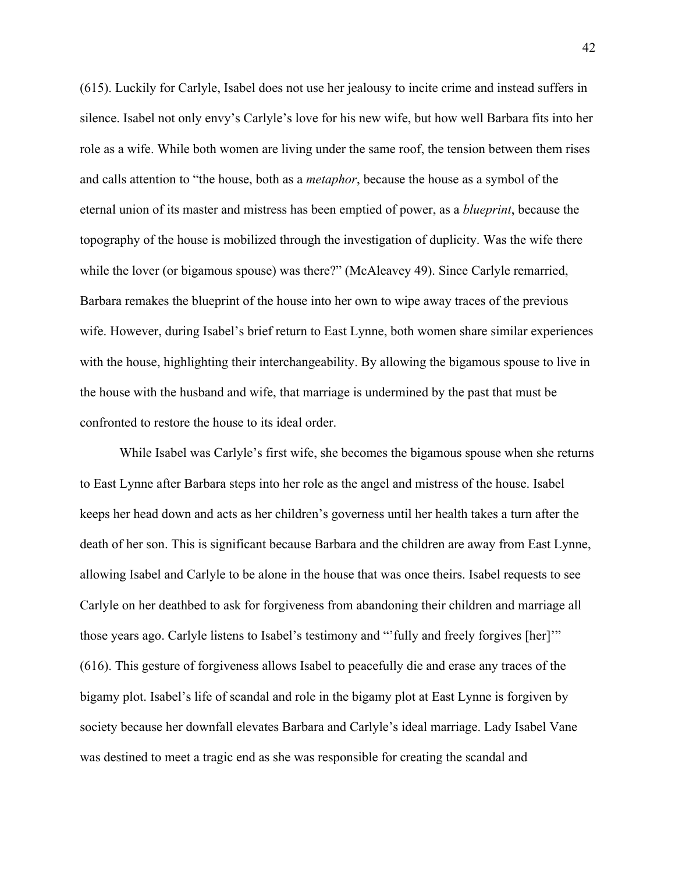(615). Luckily for Carlyle, Isabel does not use her jealousy to incite crime and instead suffers in silence. Isabel not only envy's Carlyle's love for his new wife, but how well Barbara fits into her role as a wife. While both women are living under the same roof, the tension between them rises and calls attention to "the house, both as a *metaphor*, because the house as a symbol of the eternal union of its master and mistress has been emptied of power, as a *blueprint*, because the topography of the house is mobilized through the investigation of duplicity. Was the wife there while the lover (or bigamous spouse) was there?" (McAleavey 49). Since Carlyle remarried, Barbara remakes the blueprint of the house into her own to wipe away traces of the previous wife. However, during Isabel's brief return to East Lynne, both women share similar experiences with the house, highlighting their interchangeability. By allowing the bigamous spouse to live in the house with the husband and wife, that marriage is undermined by the past that must be confronted to restore the house to its ideal order.

While Isabel was Carlyle's first wife, she becomes the bigamous spouse when she returns to East Lynne after Barbara steps into her role as the angel and mistress of the house. Isabel keeps her head down and acts as her children's governess until her health takes a turn after the death of her son. This is significant because Barbara and the children are away from East Lynne, allowing Isabel and Carlyle to be alone in the house that was once theirs. Isabel requests to see Carlyle on her deathbed to ask for forgiveness from abandoning their children and marriage all those years ago. Carlyle listens to Isabel's testimony and "'fully and freely forgives [her]'" (616). This gesture of forgiveness allows Isabel to peacefully die and erase any traces of the bigamy plot. Isabel's life of scandal and role in the bigamy plot at East Lynne is forgiven by society because her downfall elevates Barbara and Carlyle's ideal marriage. Lady Isabel Vane was destined to meet a tragic end as she was responsible for creating the scandal and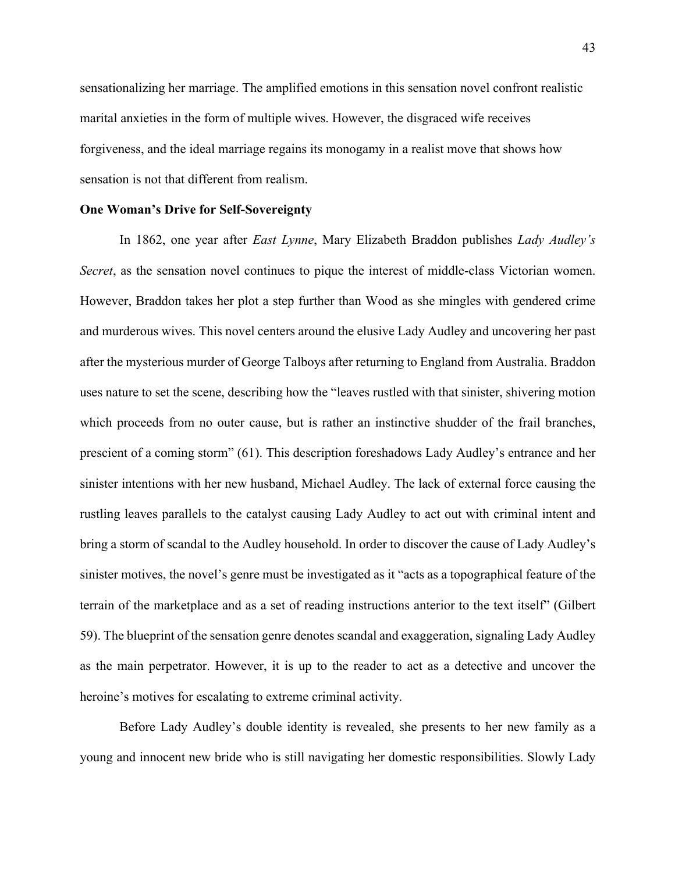sensationalizing her marriage. The amplified emotions in this sensation novel confront realistic marital anxieties in the form of multiple wives. However, the disgraced wife receives forgiveness, and the ideal marriage regains its monogamy in a realist move that shows how sensation is not that different from realism.

#### **One Woman's Drive for Self-Sovereignty**

In 1862, one year after *East Lynne*, Mary Elizabeth Braddon publishes *Lady Audley's Secret*, as the sensation novel continues to pique the interest of middle-class Victorian women. However, Braddon takes her plot a step further than Wood as she mingles with gendered crime and murderous wives. This novel centers around the elusive Lady Audley and uncovering her past after the mysterious murder of George Talboys after returning to England from Australia. Braddon uses nature to set the scene, describing how the "leaves rustled with that sinister, shivering motion which proceeds from no outer cause, but is rather an instinctive shudder of the frail branches, prescient of a coming storm" (61). This description foreshadows Lady Audley's entrance and her sinister intentions with her new husband, Michael Audley. The lack of external force causing the rustling leaves parallels to the catalyst causing Lady Audley to act out with criminal intent and bring a storm of scandal to the Audley household. In order to discover the cause of Lady Audley's sinister motives, the novel's genre must be investigated as it "acts as a topographical feature of the terrain of the marketplace and as a set of reading instructions anterior to the text itself" (Gilbert 59). The blueprint of the sensation genre denotes scandal and exaggeration, signaling Lady Audley as the main perpetrator. However, it is up to the reader to act as a detective and uncover the heroine's motives for escalating to extreme criminal activity.

Before Lady Audley's double identity is revealed, she presents to her new family as a young and innocent new bride who is still navigating her domestic responsibilities. Slowly Lady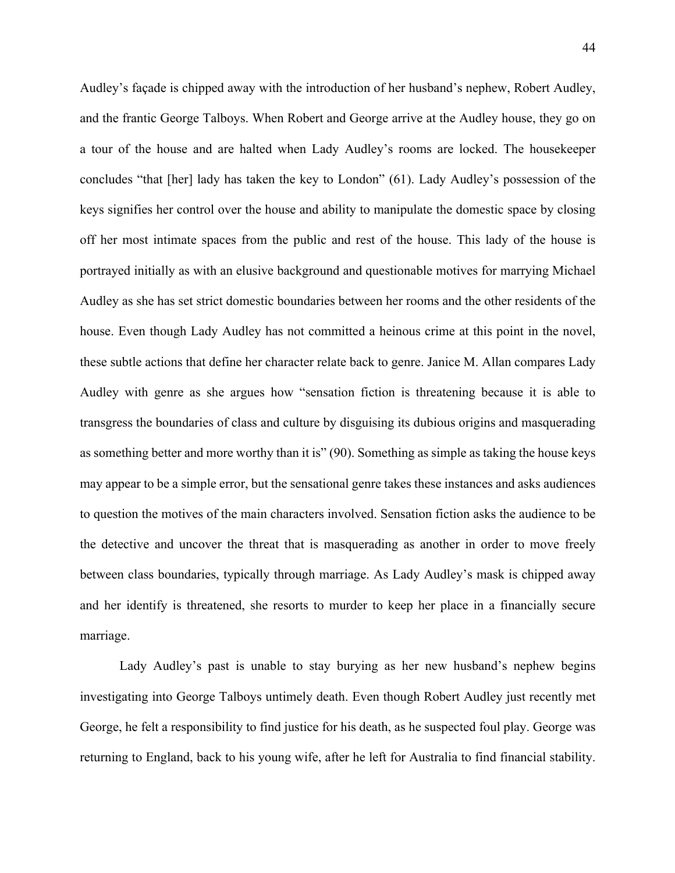Audley's façade is chipped away with the introduction of her husband's nephew, Robert Audley, and the frantic George Talboys. When Robert and George arrive at the Audley house, they go on a tour of the house and are halted when Lady Audley's rooms are locked. The housekeeper concludes "that [her] lady has taken the key to London" (61). Lady Audley's possession of the keys signifies her control over the house and ability to manipulate the domestic space by closing off her most intimate spaces from the public and rest of the house. This lady of the house is portrayed initially as with an elusive background and questionable motives for marrying Michael Audley as she has set strict domestic boundaries between her rooms and the other residents of the house. Even though Lady Audley has not committed a heinous crime at this point in the novel, these subtle actions that define her character relate back to genre. Janice M. Allan compares Lady Audley with genre as she argues how "sensation fiction is threatening because it is able to transgress the boundaries of class and culture by disguising its dubious origins and masquerading as something better and more worthy than it is" (90). Something as simple as taking the house keys may appear to be a simple error, but the sensational genre takes these instances and asks audiences to question the motives of the main characters involved. Sensation fiction asks the audience to be the detective and uncover the threat that is masquerading as another in order to move freely between class boundaries, typically through marriage. As Lady Audley's mask is chipped away and her identify is threatened, she resorts to murder to keep her place in a financially secure marriage.

Lady Audley's past is unable to stay burying as her new husband's nephew begins investigating into George Talboys untimely death. Even though Robert Audley just recently met George, he felt a responsibility to find justice for his death, as he suspected foul play. George was returning to England, back to his young wife, after he left for Australia to find financial stability.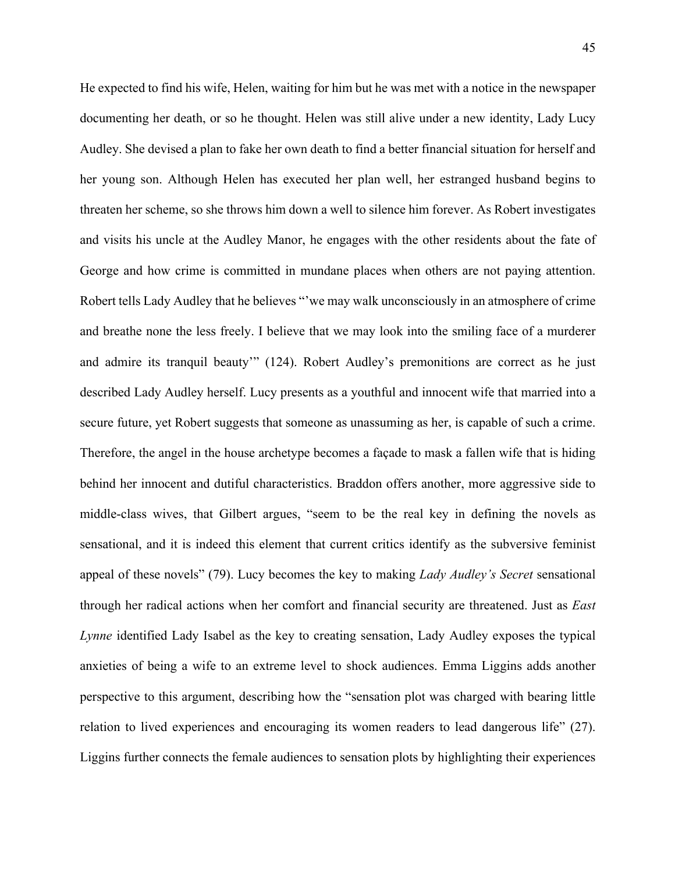He expected to find his wife, Helen, waiting for him but he was met with a notice in the newspaper documenting her death, or so he thought. Helen was still alive under a new identity, Lady Lucy Audley. She devised a plan to fake her own death to find a better financial situation for herself and her young son. Although Helen has executed her plan well, her estranged husband begins to threaten her scheme, so she throws him down a well to silence him forever. As Robert investigates and visits his uncle at the Audley Manor, he engages with the other residents about the fate of George and how crime is committed in mundane places when others are not paying attention. Robert tells Lady Audley that he believes "'we may walk unconsciously in an atmosphere of crime and breathe none the less freely. I believe that we may look into the smiling face of a murderer and admire its tranquil beauty" (124). Robert Audley's premonitions are correct as he just described Lady Audley herself. Lucy presents as a youthful and innocent wife that married into a secure future, yet Robert suggests that someone as unassuming as her, is capable of such a crime. Therefore, the angel in the house archetype becomes a façade to mask a fallen wife that is hiding behind her innocent and dutiful characteristics. Braddon offers another, more aggressive side to middle-class wives, that Gilbert argues, "seem to be the real key in defining the novels as sensational, and it is indeed this element that current critics identify as the subversive feminist appeal of these novels" (79). Lucy becomes the key to making *Lady Audley's Secret* sensational through her radical actions when her comfort and financial security are threatened. Just as *East Lynne* identified Lady Isabel as the key to creating sensation, Lady Audley exposes the typical anxieties of being a wife to an extreme level to shock audiences. Emma Liggins adds another perspective to this argument, describing how the "sensation plot was charged with bearing little relation to lived experiences and encouraging its women readers to lead dangerous life" (27). Liggins further connects the female audiences to sensation plots by highlighting their experiences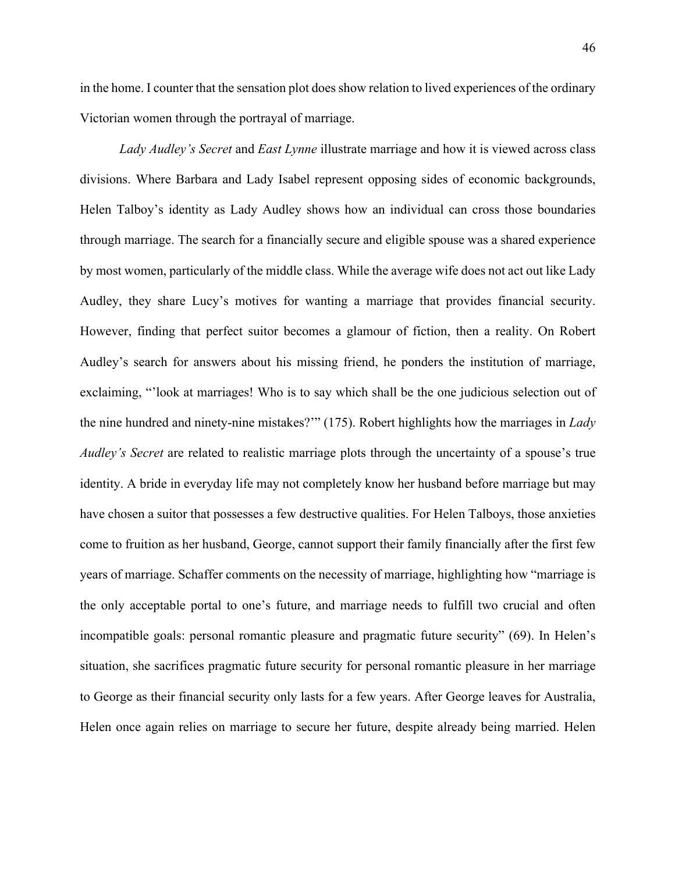in the home. I counter that the sensation plot does show relation to lived experiences of the ordinary Victorian women through the portrayal of marriage.

*Lady Audley's Secret* and *East Lynne* illustrate marriage and how it is viewed across class divisions. Where Barbara and Lady Isabel represent opposing sides of economic backgrounds, Helen Talboy's identity as Lady Audley shows how an individual can cross those boundaries through marriage. The search for a financially secure and eligible spouse was a shared experience by most women, particularly of the middle class. While the average wife does not act out like Lady Audley, they share Lucy's motives for wanting a marriage that provides financial security. However, finding that perfect suitor becomes a glamour of fiction, then a reality. On Robert Audley's search for answers about his missing friend, he ponders the institution of marriage, exclaiming, "'look at marriages! Who is to say which shall be the one judicious selection out of the nine hundred and ninety-nine mistakes?'" (175). Robert highlights how the marriages in *Lady Audley's Secret* are related to realistic marriage plots through the uncertainty of a spouse's true identity. A bride in everyday life may not completely know her husband before marriage but may have chosen a suitor that possesses a few destructive qualities. For Helen Talboys, those anxieties come to fruition as her husband, George, cannot support their family financially after the first few years of marriage. Schaffer comments on the necessity of marriage, highlighting how "marriage is the only acceptable portal to one's future, and marriage needs to fulfill two crucial and often incompatible goals: personal romantic pleasure and pragmatic future security" (69). In Helen's situation, she sacrifices pragmatic future security for personal romantic pleasure in her marriage to George as their financial security only lasts for a few years. After George leaves for Australia, Helen once again relies on marriage to secure her future, despite already being married. Helen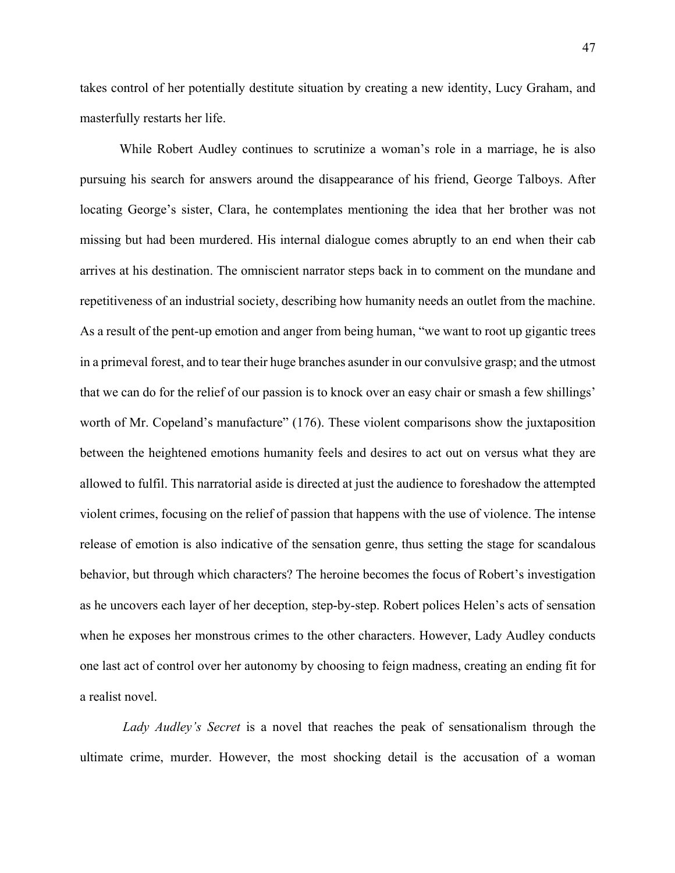takes control of her potentially destitute situation by creating a new identity, Lucy Graham, and masterfully restarts her life.

While Robert Audley continues to scrutinize a woman's role in a marriage, he is also pursuing his search for answers around the disappearance of his friend, George Talboys. After locating George's sister, Clara, he contemplates mentioning the idea that her brother was not missing but had been murdered. His internal dialogue comes abruptly to an end when their cab arrives at his destination. The omniscient narrator steps back in to comment on the mundane and repetitiveness of an industrial society, describing how humanity needs an outlet from the machine. As a result of the pent-up emotion and anger from being human, "we want to root up gigantic trees in a primeval forest, and to tear their huge branches asunder in our convulsive grasp; and the utmost that we can do for the relief of our passion is to knock over an easy chair or smash a few shillings' worth of Mr. Copeland's manufacture" (176). These violent comparisons show the juxtaposition between the heightened emotions humanity feels and desires to act out on versus what they are allowed to fulfil. This narratorial aside is directed at just the audience to foreshadow the attempted violent crimes, focusing on the relief of passion that happens with the use of violence. The intense release of emotion is also indicative of the sensation genre, thus setting the stage for scandalous behavior, but through which characters? The heroine becomes the focus of Robert's investigation as he uncovers each layer of her deception, step-by-step. Robert polices Helen's acts of sensation when he exposes her monstrous crimes to the other characters. However, Lady Audley conducts one last act of control over her autonomy by choosing to feign madness, creating an ending fit for a realist novel.

*Lady Audley's Secret* is a novel that reaches the peak of sensationalism through the ultimate crime, murder. However, the most shocking detail is the accusation of a woman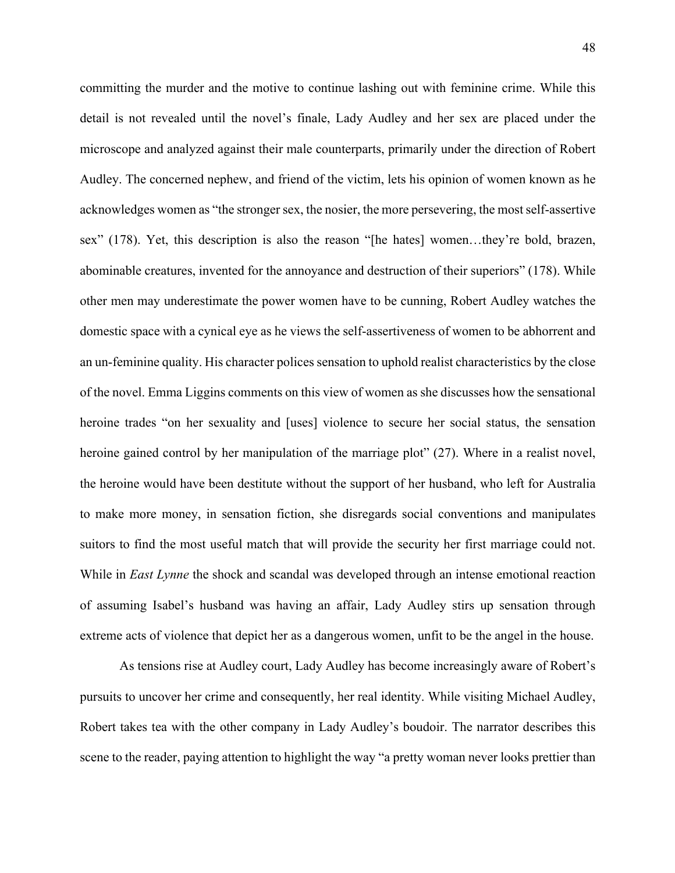committing the murder and the motive to continue lashing out with feminine crime. While this detail is not revealed until the novel's finale, Lady Audley and her sex are placed under the microscope and analyzed against their male counterparts, primarily under the direction of Robert Audley. The concerned nephew, and friend of the victim, lets his opinion of women known as he acknowledges women as "the stronger sex, the nosier, the more persevering, the most self-assertive sex" (178). Yet, this description is also the reason "[he hates] women…they're bold, brazen, abominable creatures, invented for the annoyance and destruction of their superiors" (178). While other men may underestimate the power women have to be cunning, Robert Audley watches the domestic space with a cynical eye as he views the self-assertiveness of women to be abhorrent and an un-feminine quality. His character polices sensation to uphold realist characteristics by the close of the novel. Emma Liggins comments on this view of women as she discusses how the sensational heroine trades "on her sexuality and [uses] violence to secure her social status, the sensation heroine gained control by her manipulation of the marriage plot" (27). Where in a realist novel, the heroine would have been destitute without the support of her husband, who left for Australia to make more money, in sensation fiction, she disregards social conventions and manipulates suitors to find the most useful match that will provide the security her first marriage could not. While in *East Lynne* the shock and scandal was developed through an intense emotional reaction of assuming Isabel's husband was having an affair, Lady Audley stirs up sensation through extreme acts of violence that depict her as a dangerous women, unfit to be the angel in the house.

As tensions rise at Audley court, Lady Audley has become increasingly aware of Robert's pursuits to uncover her crime and consequently, her real identity. While visiting Michael Audley, Robert takes tea with the other company in Lady Audley's boudoir. The narrator describes this scene to the reader, paying attention to highlight the way "a pretty woman never looks prettier than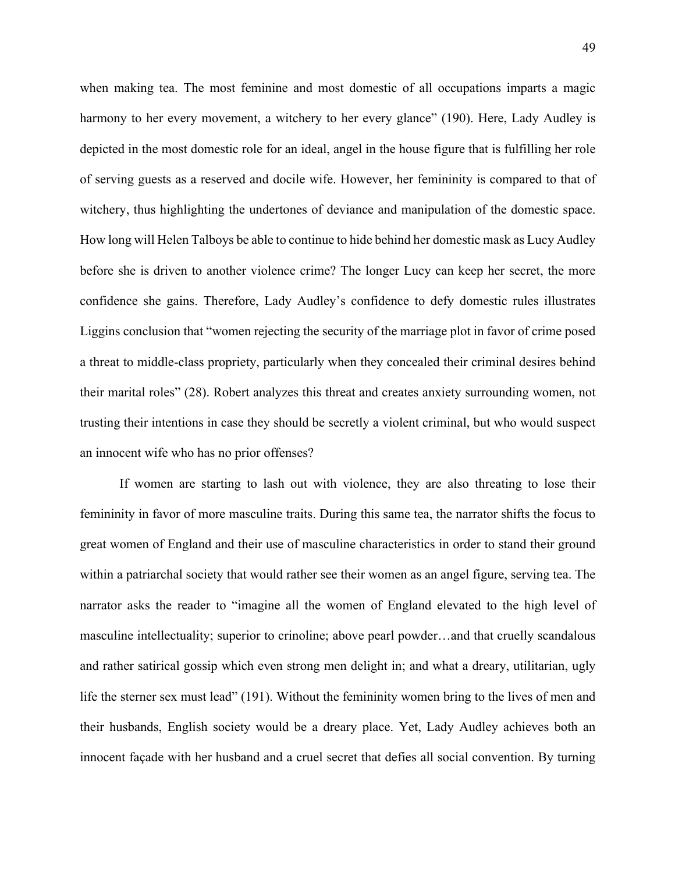when making tea. The most feminine and most domestic of all occupations imparts a magic harmony to her every movement, a witchery to her every glance" (190). Here, Lady Audley is depicted in the most domestic role for an ideal, angel in the house figure that is fulfilling her role of serving guests as a reserved and docile wife. However, her femininity is compared to that of witchery, thus highlighting the undertones of deviance and manipulation of the domestic space. How long will Helen Talboys be able to continue to hide behind her domestic mask as Lucy Audley before she is driven to another violence crime? The longer Lucy can keep her secret, the more confidence she gains. Therefore, Lady Audley's confidence to defy domestic rules illustrates Liggins conclusion that "women rejecting the security of the marriage plot in favor of crime posed a threat to middle-class propriety, particularly when they concealed their criminal desires behind their marital roles" (28). Robert analyzes this threat and creates anxiety surrounding women, not trusting their intentions in case they should be secretly a violent criminal, but who would suspect an innocent wife who has no prior offenses?

If women are starting to lash out with violence, they are also threating to lose their femininity in favor of more masculine traits. During this same tea, the narrator shifts the focus to great women of England and their use of masculine characteristics in order to stand their ground within a patriarchal society that would rather see their women as an angel figure, serving tea. The narrator asks the reader to "imagine all the women of England elevated to the high level of masculine intellectuality; superior to crinoline; above pearl powder…and that cruelly scandalous and rather satirical gossip which even strong men delight in; and what a dreary, utilitarian, ugly life the sterner sex must lead" (191). Without the femininity women bring to the lives of men and their husbands, English society would be a dreary place. Yet, Lady Audley achieves both an innocent façade with her husband and a cruel secret that defies all social convention. By turning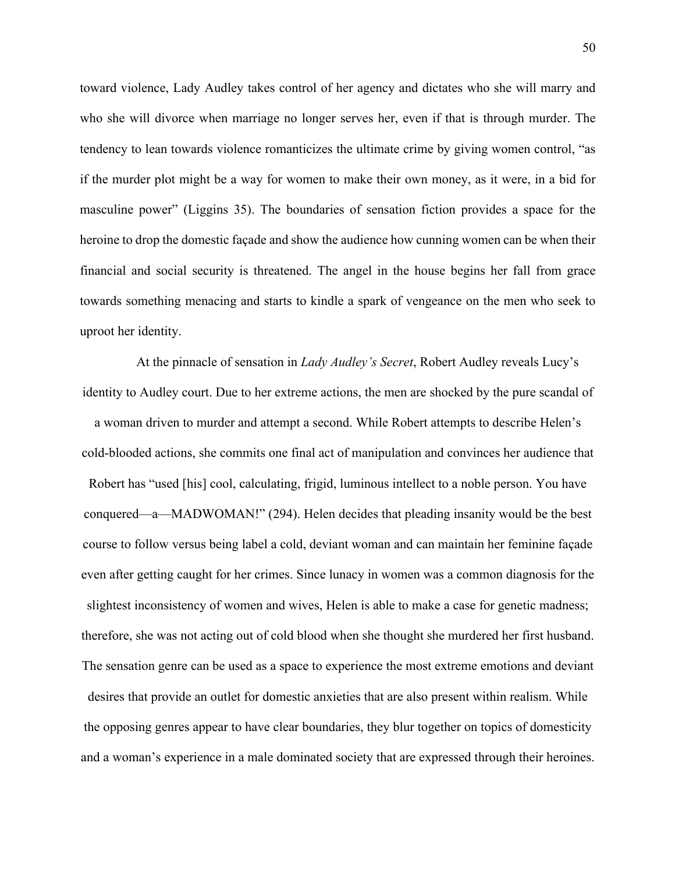toward violence, Lady Audley takes control of her agency and dictates who she will marry and who she will divorce when marriage no longer serves her, even if that is through murder. The tendency to lean towards violence romanticizes the ultimate crime by giving women control, "as if the murder plot might be a way for women to make their own money, as it were, in a bid for masculine power" (Liggins 35). The boundaries of sensation fiction provides a space for the heroine to drop the domestic façade and show the audience how cunning women can be when their financial and social security is threatened. The angel in the house begins her fall from grace towards something menacing and starts to kindle a spark of vengeance on the men who seek to uproot her identity.

At the pinnacle of sensation in *Lady Audley's Secret*, Robert Audley reveals Lucy's identity to Audley court. Due to her extreme actions, the men are shocked by the pure scandal of a woman driven to murder and attempt a second. While Robert attempts to describe Helen's cold-blooded actions, she commits one final act of manipulation and convinces her audience that Robert has "used [his] cool, calculating, frigid, luminous intellect to a noble person. You have conquered—a—MADWOMAN!" (294). Helen decides that pleading insanity would be the best course to follow versus being label a cold, deviant woman and can maintain her feminine façade even after getting caught for her crimes. Since lunacy in women was a common diagnosis for the slightest inconsistency of women and wives, Helen is able to make a case for genetic madness; therefore, she was not acting out of cold blood when she thought she murdered her first husband. The sensation genre can be used as a space to experience the most extreme emotions and deviant desires that provide an outlet for domestic anxieties that are also present within realism. While the opposing genres appear to have clear boundaries, they blur together on topics of domesticity and a woman's experience in a male dominated society that are expressed through their heroines.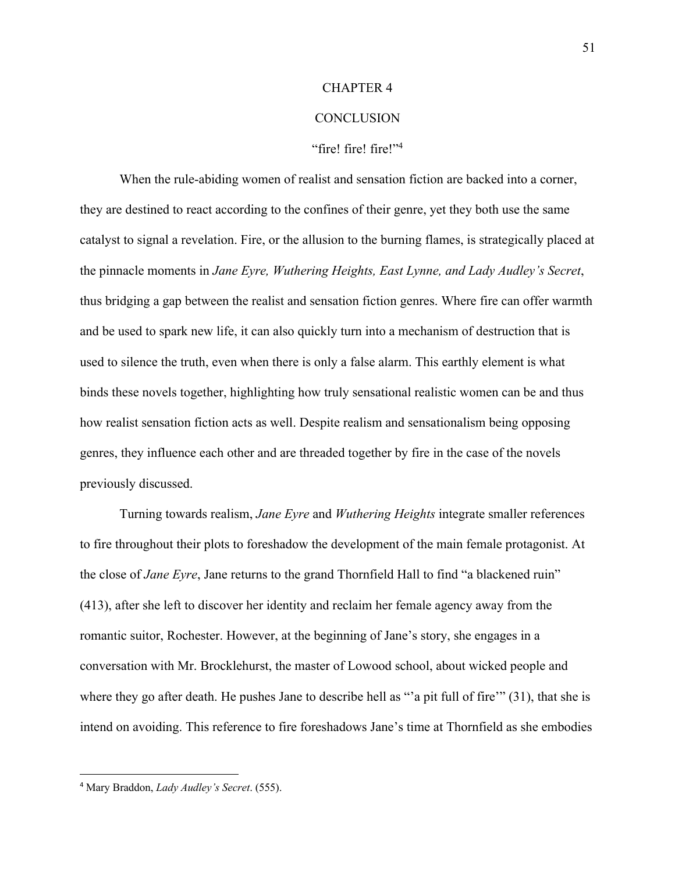#### CHAPTER 4

#### **CONCLUSION**

#### "fire! fire! fire!"4

When the rule-abiding women of realist and sensation fiction are backed into a corner, they are destined to react according to the confines of their genre, yet they both use the same catalyst to signal a revelation. Fire, or the allusion to the burning flames, is strategically placed at the pinnacle moments in *Jane Eyre, Wuthering Heights, East Lynne, and Lady Audley's Secret*, thus bridging a gap between the realist and sensation fiction genres. Where fire can offer warmth and be used to spark new life, it can also quickly turn into a mechanism of destruction that is used to silence the truth, even when there is only a false alarm. This earthly element is what binds these novels together, highlighting how truly sensational realistic women can be and thus how realist sensation fiction acts as well. Despite realism and sensationalism being opposing genres, they influence each other and are threaded together by fire in the case of the novels previously discussed.

Turning towards realism, *Jane Eyre* and *Wuthering Heights* integrate smaller references to fire throughout their plots to foreshadow the development of the main female protagonist. At the close of *Jane Eyre*, Jane returns to the grand Thornfield Hall to find "a blackened ruin" (413), after she left to discover her identity and reclaim her female agency away from the romantic suitor, Rochester. However, at the beginning of Jane's story, she engages in a conversation with Mr. Brocklehurst, the master of Lowood school, about wicked people and where they go after death. He pushes Jane to describe hell as "'a pit full of fire'" (31), that she is intend on avoiding. This reference to fire foreshadows Jane's time at Thornfield as she embodies

<sup>4</sup> Mary Braddon, *Lady Audley's Secret*. (555).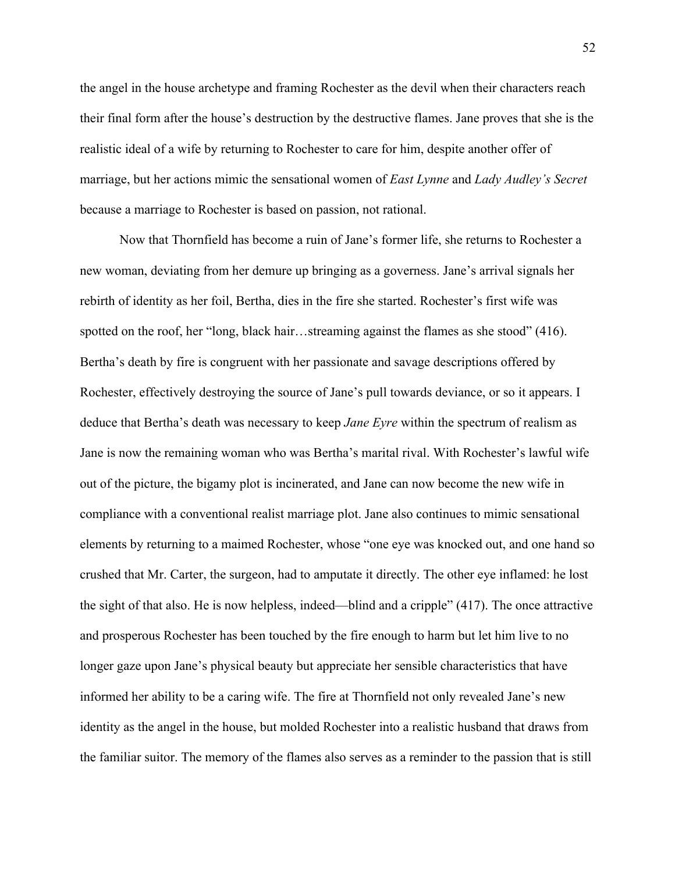the angel in the house archetype and framing Rochester as the devil when their characters reach their final form after the house's destruction by the destructive flames. Jane proves that she is the realistic ideal of a wife by returning to Rochester to care for him, despite another offer of marriage, but her actions mimic the sensational women of *East Lynne* and *Lady Audley's Secret* because a marriage to Rochester is based on passion, not rational.

Now that Thornfield has become a ruin of Jane's former life, she returns to Rochester a new woman, deviating from her demure up bringing as a governess. Jane's arrival signals her rebirth of identity as her foil, Bertha, dies in the fire she started. Rochester's first wife was spotted on the roof, her "long, black hair...streaming against the flames as she stood" (416). Bertha's death by fire is congruent with her passionate and savage descriptions offered by Rochester, effectively destroying the source of Jane's pull towards deviance, or so it appears. I deduce that Bertha's death was necessary to keep *Jane Eyre* within the spectrum of realism as Jane is now the remaining woman who was Bertha's marital rival. With Rochester's lawful wife out of the picture, the bigamy plot is incinerated, and Jane can now become the new wife in compliance with a conventional realist marriage plot. Jane also continues to mimic sensational elements by returning to a maimed Rochester, whose "one eye was knocked out, and one hand so crushed that Mr. Carter, the surgeon, had to amputate it directly. The other eye inflamed: he lost the sight of that also. He is now helpless, indeed—blind and a cripple" (417). The once attractive and prosperous Rochester has been touched by the fire enough to harm but let him live to no longer gaze upon Jane's physical beauty but appreciate her sensible characteristics that have informed her ability to be a caring wife. The fire at Thornfield not only revealed Jane's new identity as the angel in the house, but molded Rochester into a realistic husband that draws from the familiar suitor. The memory of the flames also serves as a reminder to the passion that is still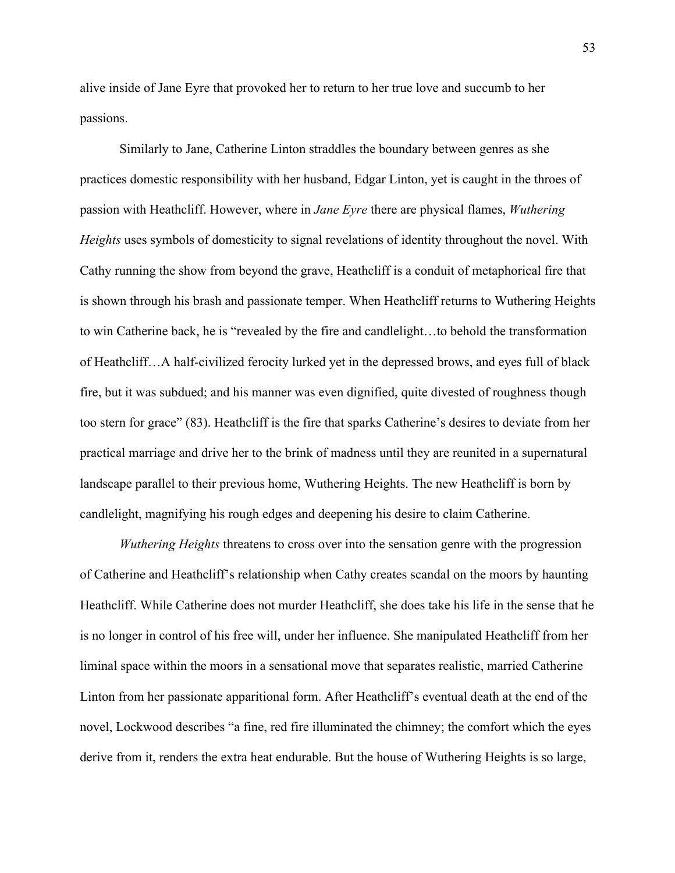alive inside of Jane Eyre that provoked her to return to her true love and succumb to her passions.

Similarly to Jane, Catherine Linton straddles the boundary between genres as she practices domestic responsibility with her husband, Edgar Linton, yet is caught in the throes of passion with Heathcliff. However, where in *Jane Eyre* there are physical flames, *Wuthering Heights* uses symbols of domesticity to signal revelations of identity throughout the novel. With Cathy running the show from beyond the grave, Heathcliff is a conduit of metaphorical fire that is shown through his brash and passionate temper. When Heathcliff returns to Wuthering Heights to win Catherine back, he is "revealed by the fire and candlelight…to behold the transformation of Heathcliff…A half-civilized ferocity lurked yet in the depressed brows, and eyes full of black fire, but it was subdued; and his manner was even dignified, quite divested of roughness though too stern for grace" (83). Heathcliff is the fire that sparks Catherine's desires to deviate from her practical marriage and drive her to the brink of madness until they are reunited in a supernatural landscape parallel to their previous home, Wuthering Heights. The new Heathcliff is born by candlelight, magnifying his rough edges and deepening his desire to claim Catherine.

*Wuthering Heights* threatens to cross over into the sensation genre with the progression of Catherine and Heathcliff's relationship when Cathy creates scandal on the moors by haunting Heathcliff. While Catherine does not murder Heathcliff, she does take his life in the sense that he is no longer in control of his free will, under her influence. She manipulated Heathcliff from her liminal space within the moors in a sensational move that separates realistic, married Catherine Linton from her passionate apparitional form. After Heathcliff's eventual death at the end of the novel, Lockwood describes "a fine, red fire illuminated the chimney; the comfort which the eyes derive from it, renders the extra heat endurable. But the house of Wuthering Heights is so large,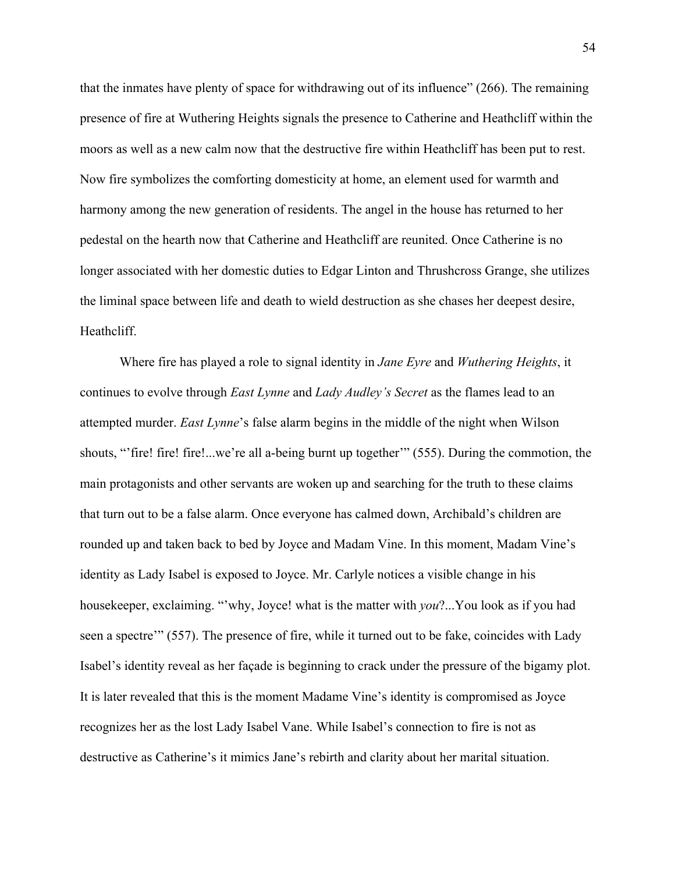that the inmates have plenty of space for withdrawing out of its influence" (266). The remaining presence of fire at Wuthering Heights signals the presence to Catherine and Heathcliff within the moors as well as a new calm now that the destructive fire within Heathcliff has been put to rest. Now fire symbolizes the comforting domesticity at home, an element used for warmth and harmony among the new generation of residents. The angel in the house has returned to her pedestal on the hearth now that Catherine and Heathcliff are reunited. Once Catherine is no longer associated with her domestic duties to Edgar Linton and Thrushcross Grange, she utilizes the liminal space between life and death to wield destruction as she chases her deepest desire, Heathcliff.

Where fire has played a role to signal identity in *Jane Eyre* and *Wuthering Heights*, it continues to evolve through *East Lynne* and *Lady Audley's Secret* as the flames lead to an attempted murder. *East Lynne*'s false alarm begins in the middle of the night when Wilson shouts, "'fire! fire! fire!...we're all a-being burnt up together'" (555). During the commotion, the main protagonists and other servants are woken up and searching for the truth to these claims that turn out to be a false alarm. Once everyone has calmed down, Archibald's children are rounded up and taken back to bed by Joyce and Madam Vine. In this moment, Madam Vine's identity as Lady Isabel is exposed to Joyce. Mr. Carlyle notices a visible change in his housekeeper, exclaiming. "'why, Joyce! what is the matter with *you*?...You look as if you had seen a spectre'" (557). The presence of fire, while it turned out to be fake, coincides with Lady Isabel's identity reveal as her façade is beginning to crack under the pressure of the bigamy plot. It is later revealed that this is the moment Madame Vine's identity is compromised as Joyce recognizes her as the lost Lady Isabel Vane. While Isabel's connection to fire is not as destructive as Catherine's it mimics Jane's rebirth and clarity about her marital situation.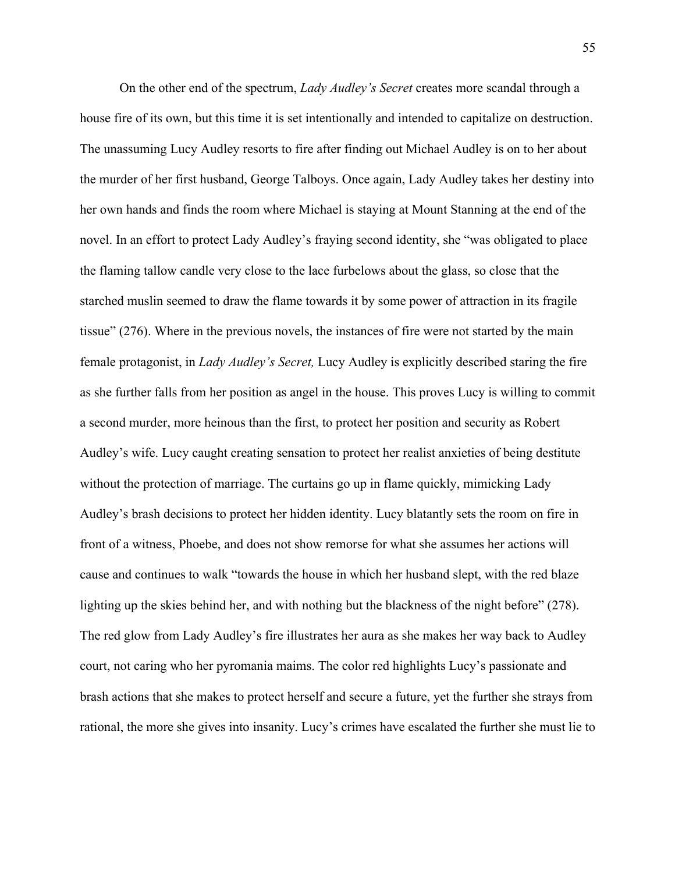On the other end of the spectrum, *Lady Audley's Secret* creates more scandal through a house fire of its own, but this time it is set intentionally and intended to capitalize on destruction. The unassuming Lucy Audley resorts to fire after finding out Michael Audley is on to her about the murder of her first husband, George Talboys. Once again, Lady Audley takes her destiny into her own hands and finds the room where Michael is staying at Mount Stanning at the end of the novel. In an effort to protect Lady Audley's fraying second identity, she "was obligated to place the flaming tallow candle very close to the lace furbelows about the glass, so close that the starched muslin seemed to draw the flame towards it by some power of attraction in its fragile tissue" (276). Where in the previous novels, the instances of fire were not started by the main female protagonist, in *Lady Audley's Secret,* Lucy Audley is explicitly described staring the fire as she further falls from her position as angel in the house. This proves Lucy is willing to commit a second murder, more heinous than the first, to protect her position and security as Robert Audley's wife. Lucy caught creating sensation to protect her realist anxieties of being destitute without the protection of marriage. The curtains go up in flame quickly, mimicking Lady Audley's brash decisions to protect her hidden identity. Lucy blatantly sets the room on fire in front of a witness, Phoebe, and does not show remorse for what she assumes her actions will cause and continues to walk "towards the house in which her husband slept, with the red blaze lighting up the skies behind her, and with nothing but the blackness of the night before" (278). The red glow from Lady Audley's fire illustrates her aura as she makes her way back to Audley court, not caring who her pyromania maims. The color red highlights Lucy's passionate and brash actions that she makes to protect herself and secure a future, yet the further she strays from rational, the more she gives into insanity. Lucy's crimes have escalated the further she must lie to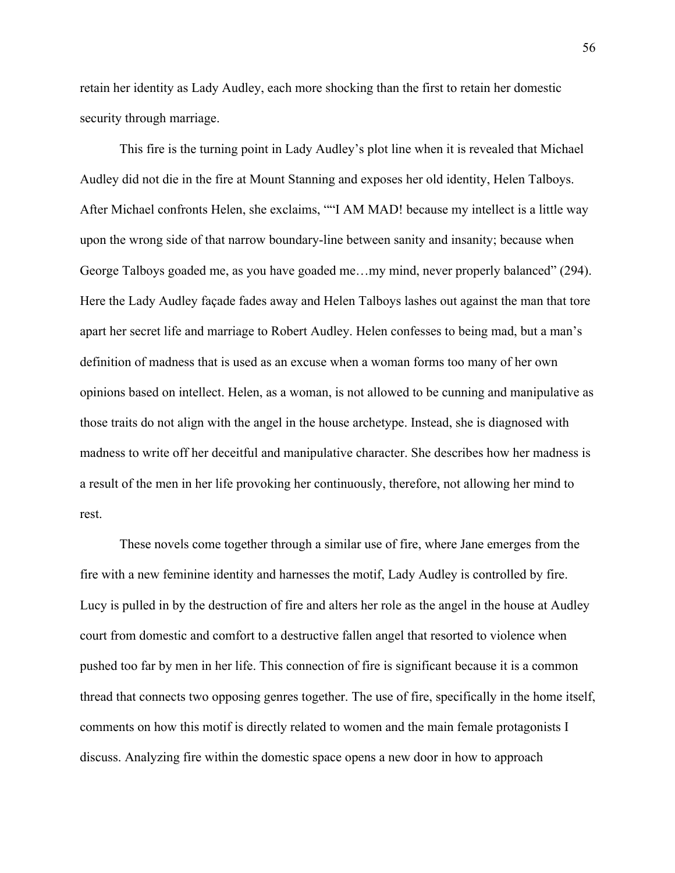retain her identity as Lady Audley, each more shocking than the first to retain her domestic security through marriage.

This fire is the turning point in Lady Audley's plot line when it is revealed that Michael Audley did not die in the fire at Mount Stanning and exposes her old identity, Helen Talboys. After Michael confronts Helen, she exclaims, ""I AM MAD! because my intellect is a little way upon the wrong side of that narrow boundary-line between sanity and insanity; because when George Talboys goaded me, as you have goaded me…my mind, never properly balanced" (294). Here the Lady Audley façade fades away and Helen Talboys lashes out against the man that tore apart her secret life and marriage to Robert Audley. Helen confesses to being mad, but a man's definition of madness that is used as an excuse when a woman forms too many of her own opinions based on intellect. Helen, as a woman, is not allowed to be cunning and manipulative as those traits do not align with the angel in the house archetype. Instead, she is diagnosed with madness to write off her deceitful and manipulative character. She describes how her madness is a result of the men in her life provoking her continuously, therefore, not allowing her mind to rest.

These novels come together through a similar use of fire, where Jane emerges from the fire with a new feminine identity and harnesses the motif, Lady Audley is controlled by fire. Lucy is pulled in by the destruction of fire and alters her role as the angel in the house at Audley court from domestic and comfort to a destructive fallen angel that resorted to violence when pushed too far by men in her life. This connection of fire is significant because it is a common thread that connects two opposing genres together. The use of fire, specifically in the home itself, comments on how this motif is directly related to women and the main female protagonists I discuss. Analyzing fire within the domestic space opens a new door in how to approach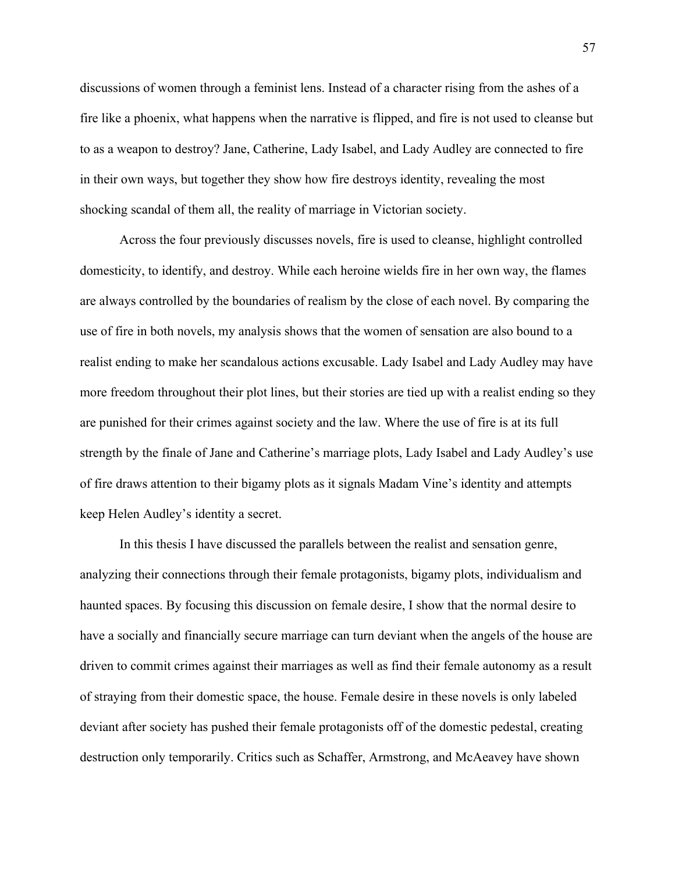discussions of women through a feminist lens. Instead of a character rising from the ashes of a fire like a phoenix, what happens when the narrative is flipped, and fire is not used to cleanse but to as a weapon to destroy? Jane, Catherine, Lady Isabel, and Lady Audley are connected to fire in their own ways, but together they show how fire destroys identity, revealing the most shocking scandal of them all, the reality of marriage in Victorian society.

Across the four previously discusses novels, fire is used to cleanse, highlight controlled domesticity, to identify, and destroy. While each heroine wields fire in her own way, the flames are always controlled by the boundaries of realism by the close of each novel. By comparing the use of fire in both novels, my analysis shows that the women of sensation are also bound to a realist ending to make her scandalous actions excusable. Lady Isabel and Lady Audley may have more freedom throughout their plot lines, but their stories are tied up with a realist ending so they are punished for their crimes against society and the law. Where the use of fire is at its full strength by the finale of Jane and Catherine's marriage plots, Lady Isabel and Lady Audley's use of fire draws attention to their bigamy plots as it signals Madam Vine's identity and attempts keep Helen Audley's identity a secret.

In this thesis I have discussed the parallels between the realist and sensation genre, analyzing their connections through their female protagonists, bigamy plots, individualism and haunted spaces. By focusing this discussion on female desire, I show that the normal desire to have a socially and financially secure marriage can turn deviant when the angels of the house are driven to commit crimes against their marriages as well as find their female autonomy as a result of straying from their domestic space, the house. Female desire in these novels is only labeled deviant after society has pushed their female protagonists off of the domestic pedestal, creating destruction only temporarily. Critics such as Schaffer, Armstrong, and McAeavey have shown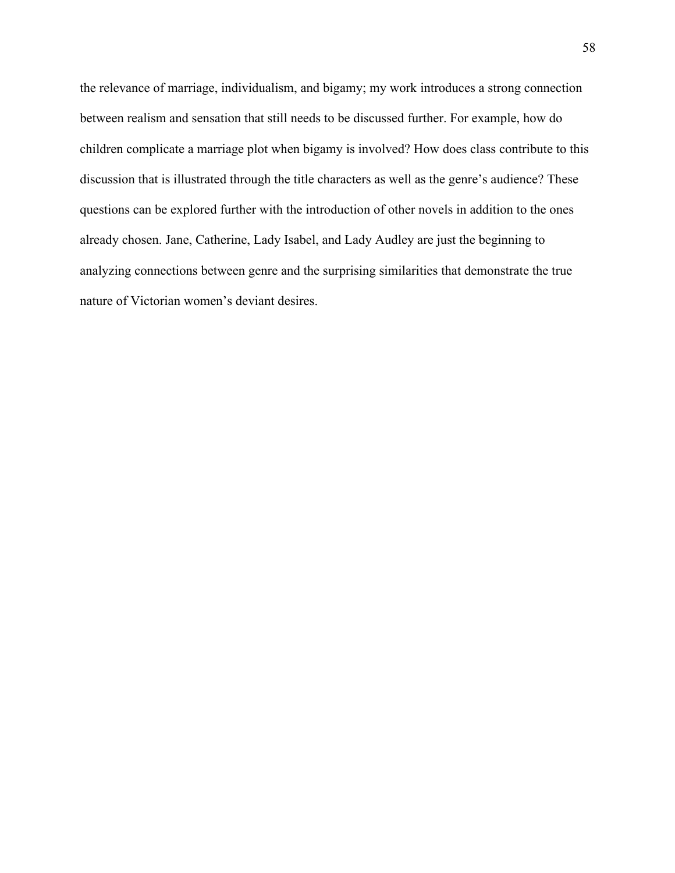the relevance of marriage, individualism, and bigamy; my work introduces a strong connection between realism and sensation that still needs to be discussed further. For example, how do children complicate a marriage plot when bigamy is involved? How does class contribute to this discussion that is illustrated through the title characters as well as the genre's audience? These questions can be explored further with the introduction of other novels in addition to the ones already chosen. Jane, Catherine, Lady Isabel, and Lady Audley are just the beginning to analyzing connections between genre and the surprising similarities that demonstrate the true nature of Victorian women's deviant desires.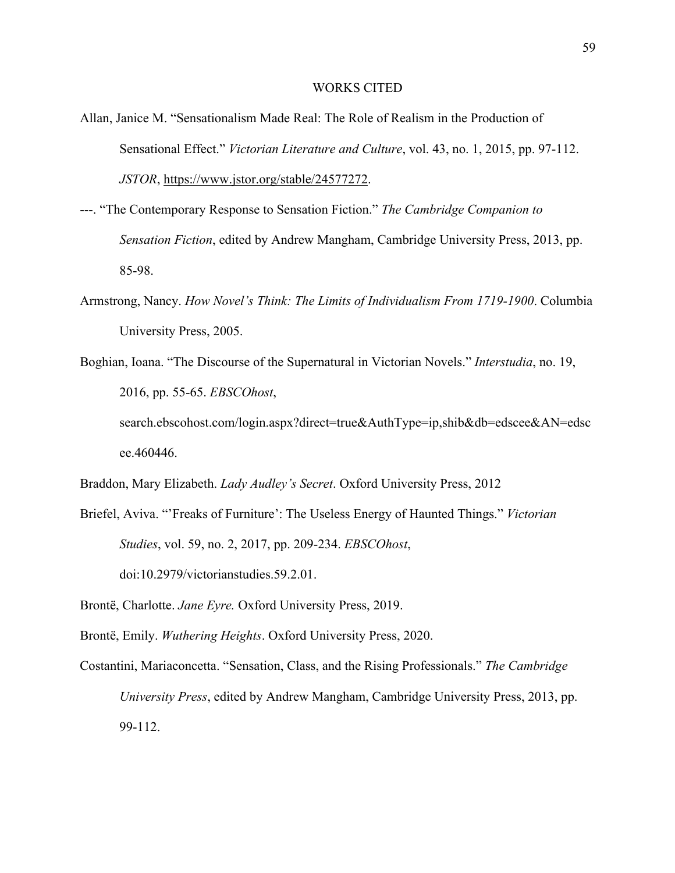#### WORKS CITED

- Allan, Janice M. "Sensationalism Made Real: The Role of Realism in the Production of Sensational Effect." *Victorian Literature and Culture*, vol. 43, no. 1, 2015, pp. 97-112. *JSTOR*, https://www.jstor.org/stable/24577272.
- ---. "The Contemporary Response to Sensation Fiction." *The Cambridge Companion to Sensation Fiction*, edited by Andrew Mangham, Cambridge University Press, 2013, pp. 85-98.
- Armstrong, Nancy. *How Novel's Think: The Limits of Individualism From 1719-1900*. Columbia University Press, 2005.
- Boghian, Ioana. "The Discourse of the Supernatural in Victorian Novels." *Interstudia*, no. 19, 2016, pp. 55-65. *EBSCOhost*, search.ebscohost.com/login.aspx?direct=true&AuthType=ip,shib&db=edscee&AN=edsc ee.460446.

Braddon, Mary Elizabeth. *Lady Audley's Secret*. Oxford University Press, 2012

- Briefel, Aviva. "'Freaks of Furniture': The Useless Energy of Haunted Things." *Victorian Studies*, vol. 59, no. 2, 2017, pp. 209-234. *EBSCOhost*, doi:10.2979/victorianstudies.59.2.01.
- Brontë, Charlotte. *Jane Eyre.* Oxford University Press, 2019.

Brontë, Emily. *Wuthering Heights*. Oxford University Press, 2020.

Costantini, Mariaconcetta. "Sensation, Class, and the Rising Professionals." *The Cambridge University Press*, edited by Andrew Mangham, Cambridge University Press, 2013, pp. 99-112.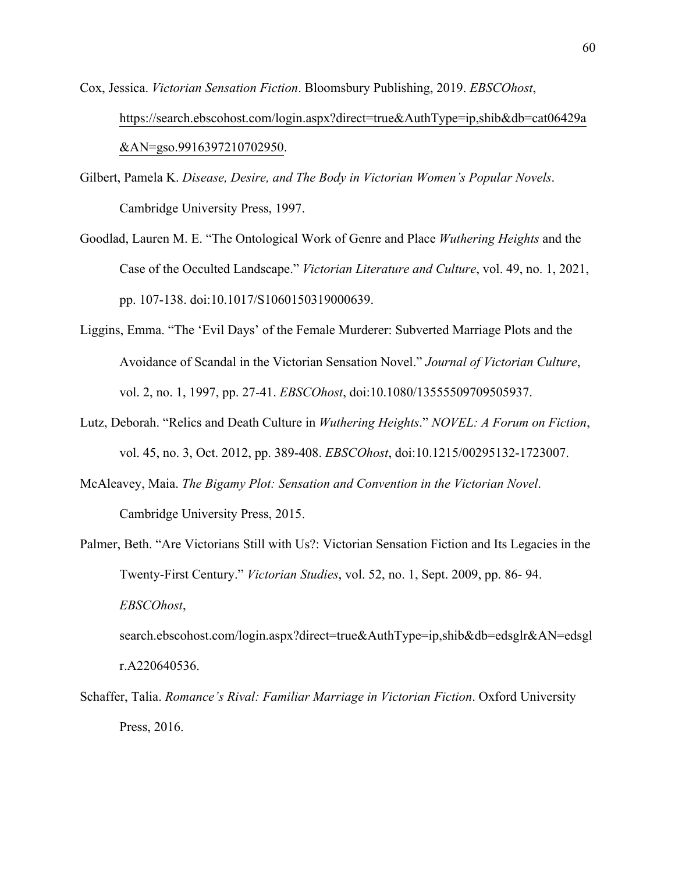Cox, Jessica. *Victorian Sensation Fiction*. Bloomsbury Publishing, 2019. *EBSCOhost*, https://search.ebscohost.com/login.aspx?direct=true&AuthType=ip,shib&db=cat06429a &AN=gso.9916397210702950.

- Gilbert, Pamela K. *Disease, Desire, and The Body in Victorian Women's Popular Novels*. Cambridge University Press, 1997.
- Goodlad, Lauren M. E. "The Ontological Work of Genre and Place *Wuthering Heights* and the Case of the Occulted Landscape." *Victorian Literature and Culture*, vol. 49, no. 1, 2021, pp. 107-138. doi:10.1017/S1060150319000639.
- Liggins, Emma. "The 'Evil Days' of the Female Murderer: Subverted Marriage Plots and the Avoidance of Scandal in the Victorian Sensation Novel." *Journal of Victorian Culture*, vol. 2, no. 1, 1997, pp. 27-41. *EBSCOhost*, doi:10.1080/13555509709505937.
- Lutz, Deborah. "Relics and Death Culture in *Wuthering Heights*." *NOVEL: A Forum on Fiction*, vol. 45, no. 3, Oct. 2012, pp. 389-408. *EBSCOhost*, doi:10.1215/00295132-1723007.
- McAleavey, Maia. *The Bigamy Plot: Sensation and Convention in the Victorian Novel*. Cambridge University Press, 2015.
- Palmer, Beth. "Are Victorians Still with Us?: Victorian Sensation Fiction and Its Legacies in the Twenty-First Century." *Victorian Studies*, vol. 52, no. 1, Sept. 2009, pp. 86- 94. *EBSCOhost*,

search.ebscohost.com/login.aspx?direct=true&AuthType=ip,shib&db=edsglr&AN=edsgl r.A220640536.

Schaffer, Talia. *Romance's Rival: Familiar Marriage in Victorian Fiction*. Oxford University Press, 2016.